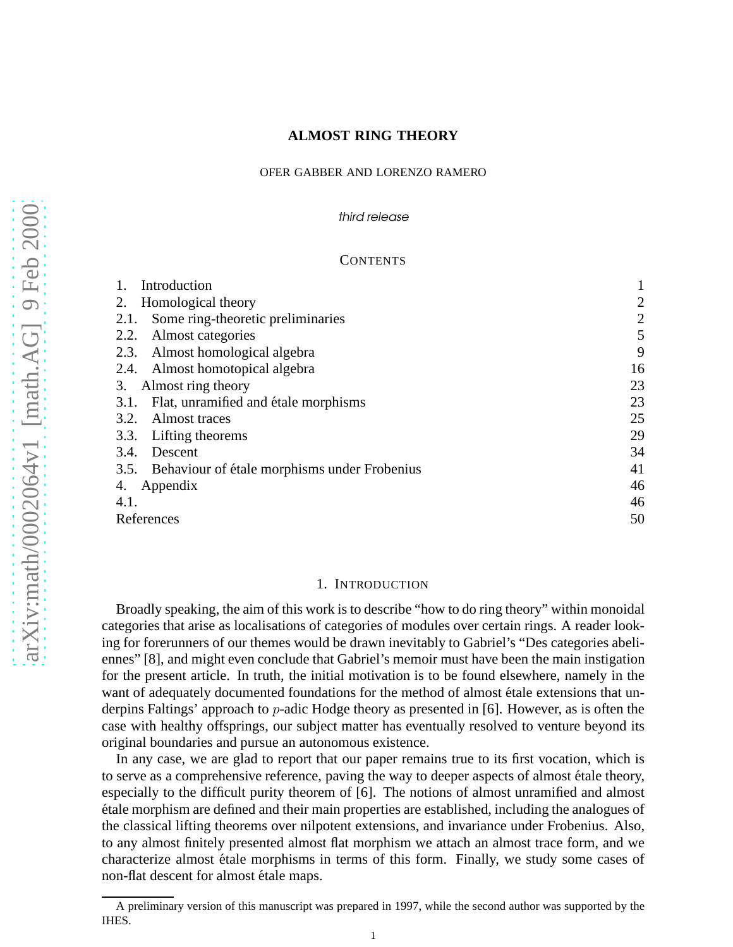# **ALMOST RING THEORY**

# OFER GABBER AND LORENZO RAMERO

third release

#### **CONTENTS**

| Introduction                                      |                |
|---------------------------------------------------|----------------|
| Homological theory<br>2.                          | $\overline{2}$ |
| Some ring-theoretic preliminaries<br>2.1.         | $\overline{2}$ |
| Almost categories<br>2.2.                         | 5              |
| 2.3. Almost homological algebra                   | 9              |
| 2.4. Almost homotopical algebra                   | 16             |
| Almost ring theory<br>3.                          | 23             |
| Flat, unramified and étale morphisms<br>3.1.      | 23             |
| Almost traces<br>3.2.                             | 25             |
| Lifting theorems<br>3.3.                          | 29             |
| 3.4.<br>Descent                                   | 34             |
| 3.5. Behaviour of étale morphisms under Frobenius | 41             |
| Appendix<br>4.                                    | 46             |
| 4.1.                                              | 46             |
| References                                        | 50             |

# 1. INTRODUCTION

Broadly speaking, the aim of this work is to describe "how to do ring theory" within monoidal categories that arise as localisations of categories of modules over certain rings. A reader looking for forerunners of our themes would be drawn inevitably to Gabriel's "Des categories abeliennes" [8], and might even conclude that Gabriel's memoir must have been the main instigation for the present article. In truth, the initial motivation is to be found elsewhere, namely in the want of adequately documented foundations for the method of almost étale extensions that underpins Faltings' approach to p-adic Hodge theory as presented in [6]. However, as is often the case with healthy offsprings, our subject matter has eventually resolved to venture beyond its original boundaries and pursue an autonomous existence.

In any case, we are glad to report that our paper remains true to its first vocation, which is to serve as a comprehensive reference, paving the way to deeper aspects of almost étale theory, especially to the difficult purity theorem of [6]. The notions of almost unramified and almost ´etale morphism are defined and their main properties are established, including the analogues of the classical lifting theorems over nilpotent extensions, and invariance under Frobenius. Also, to any almost finitely presented almost flat morphism we attach an almost trace form, and we characterize almost étale morphisms in terms of this form. Finally, we study some cases of non-flat descent for almost étale maps.

A preliminary version of this manuscript was prepared in 1997, while the second author was supported by the IHES.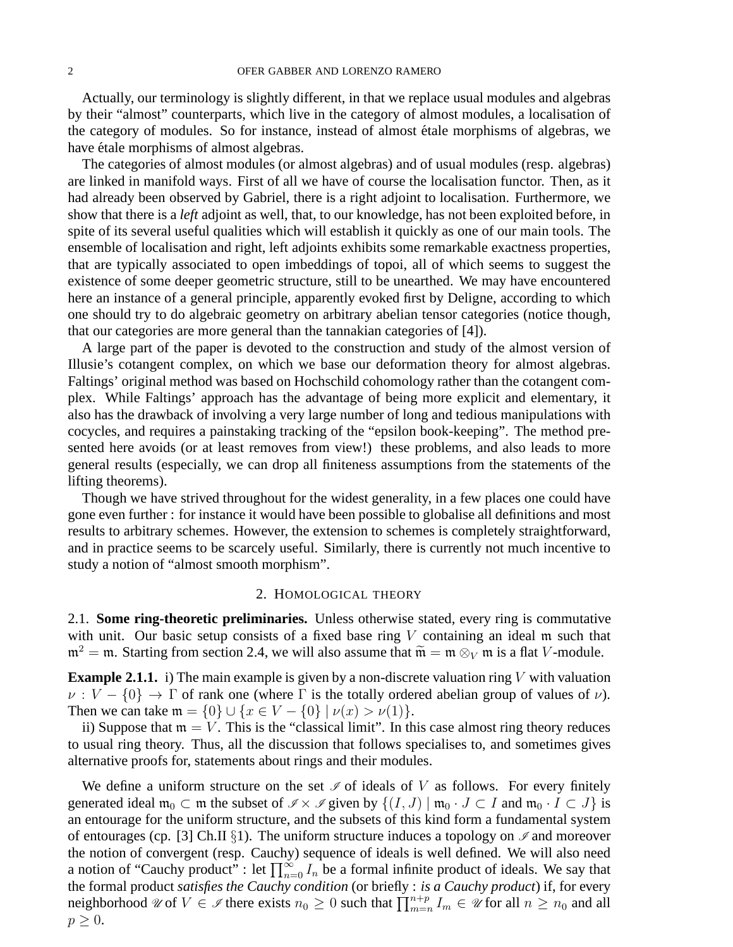Actually, our terminology is slightly different, in that we replace usual modules and algebras by their "almost" counterparts, which live in the category of almost modules, a localisation of the category of modules. So for instance, instead of almost étale morphisms of algebras, we have étale morphisms of almost algebras.

The categories of almost modules (or almost algebras) and of usual modules (resp. algebras) are linked in manifold ways. First of all we have of course the localisation functor. Then, as it had already been observed by Gabriel, there is a right adjoint to localisation. Furthermore, we show that there is a *left* adjoint as well, that, to our knowledge, has not been exploited before, in spite of its several useful qualities which will establish it quickly as one of our main tools. The ensemble of localisation and right, left adjoints exhibits some remarkable exactness properties, that are typically associated to open imbeddings of topoi, all of which seems to suggest the existence of some deeper geometric structure, still to be unearthed. We may have encountered here an instance of a general principle, apparently evoked first by Deligne, according to which one should try to do algebraic geometry on arbitrary abelian tensor categories (notice though, that our categories are more general than the tannakian categories of [4]).

A large part of the paper is devoted to the construction and study of the almost version of Illusie's cotangent complex, on which we base our deformation theory for almost algebras. Faltings' original method was based on Hochschild cohomology rather than the cotangent complex. While Faltings' approach has the advantage of being more explicit and elementary, it also has the drawback of involving a very large number of long and tedious manipulations with cocycles, and requires a painstaking tracking of the "epsilon book-keeping". The method presented here avoids (or at least removes from view!) these problems, and also leads to more general results (especially, we can drop all finiteness assumptions from the statements of the lifting theorems).

Though we have strived throughout for the widest generality, in a few places one could have gone even further : for instance it would have been possible to globalise all definitions and most results to arbitrary schemes. However, the extension to schemes is completely straightforward, and in practice seems to be scarcely useful. Similarly, there is currently not much incentive to study a notion of "almost smooth morphism".

# 2. HOMOLOGICAL THEORY

2.1. **Some ring-theoretic preliminaries.** Unless otherwise stated, every ring is commutative with unit. Our basic setup consists of a fixed base ring  $V$  containing an ideal  $m$  such that  $m^2 = m$ . Starting from section 2.4, we will also assume that  $\widetilde{m} = m \otimes_V m$  is a flat V-module.

**Example 2.1.1.** i) The main example is given by a non-discrete valuation ring  $V$  with valuation  $\nu : V - \{0\} \rightarrow \Gamma$  of rank one (where  $\Gamma$  is the totally ordered abelian group of values of  $\nu$ ). Then we can take  $\mathfrak{m} = \{0\} \cup \{x \in V - \{0\} \mid \nu(x) > \nu(1)\}.$ 

ii) Suppose that  $m = V$ . This is the "classical limit". In this case almost ring theory reduces to usual ring theory. Thus, all the discussion that follows specialises to, and sometimes gives alternative proofs for, statements about rings and their modules.

We define a uniform structure on the set  $\mathscr I$  of ideals of V as follows. For every finitely generated ideal  $\mathfrak{m}_0 \subset \mathfrak{m}$  the subset of  $\mathscr{I} \times \mathscr{I}$  given by  $\{(I, J) \mid \mathfrak{m}_0 \cdot J \subset I \text{ and } \mathfrak{m}_0 \cdot I \subset J\}$  is an entourage for the uniform structure, and the subsets of this kind form a fundamental system of entourages (cp. [3] Ch.II §1). The uniform structure induces a topology on  $\mathscr I$  and moreover the notion of convergent (resp. Cauchy) sequence of ideals is well defined. We will also need a notion of "Cauchy product": let  $\prod_{n=0}^{\infty} I_n$  be a formal infinite product of ideals. We say that the formal product *satisfies the Cauchy condition* (or briefly : *is a Cauchy product*) if, for every neighborhood  $\mathscr U$  of  $V \in \mathscr I$  there exists  $n_0 \geq 0$  such that  $\prod_{m=n}^{n+p} I_m \in \mathscr U$  for all  $n \geq n_0$  and all  $p \geq 0$ .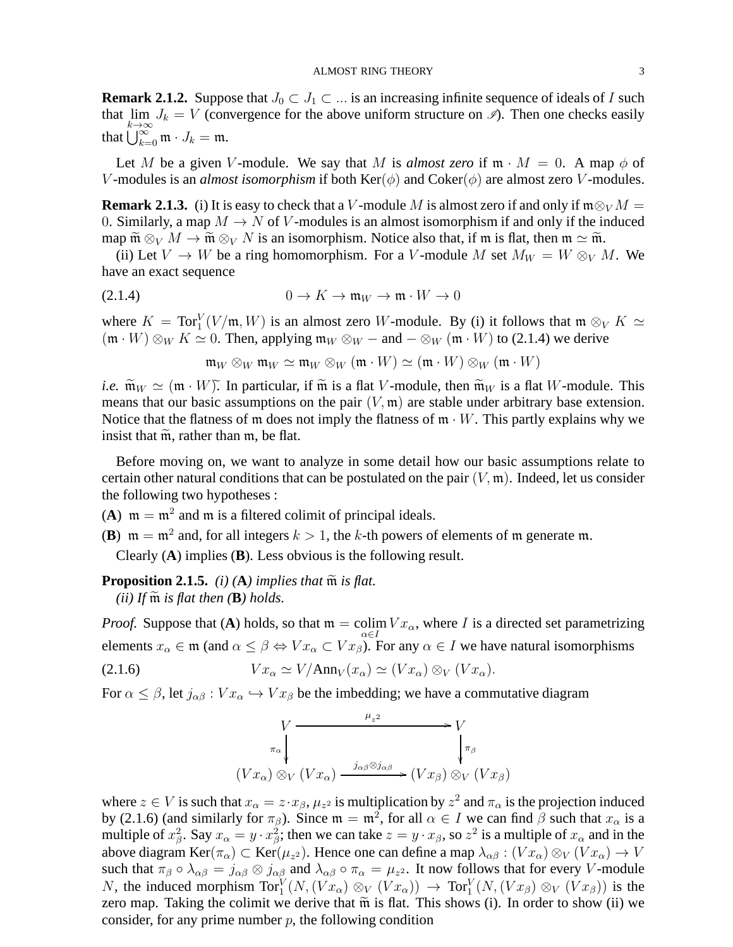**Remark 2.1.2.** Suppose that  $J_0 \subset J_1 \subset \dots$  is an increasing infinite sequence of ideals of I such that  $\lim J_k = V$  (convergence for the above uniform structure on  $\mathscr{I}$ ). Then one checks easily that  $\bigcup_{k=0}^{k\to\infty} \mathfrak{m} \cdot J_k = \mathfrak{m}.$ 

Let M be a given V-module. We say that M is almost zero if  $\mathfrak{m} \cdot M = 0$ . A map  $\phi$  of V-modules is an *almost isomorphism* if both  $Ker(\phi)$  and  $Coker(\phi)$  are almost zero V-modules.

**Remark 2.1.3.** (i) It is easy to check that a V-module M is almost zero if and only if  $\mathfrak{m} \otimes_V M =$ 0. Similarly, a map  $M \to N$  of V-modules is an almost isomorphism if and only if the induced map  $\widetilde{\mathfrak{m}} \otimes_V M \to \widetilde{\mathfrak{m}} \otimes_V N$  is an isomorphism. Notice also that, if  $\mathfrak{m}$  is flat, then  $\mathfrak{m} \simeq \widetilde{\mathfrak{m}}$ .

(ii) Let  $V \to W$  be a ring homomorphism. For a V-module M set  $M_W = W \otimes_V M$ . We have an exact sequence

$$
(2.1.4) \t\t 0 \to K \to \mathfrak{m}_W \to \mathfrak{m} \cdot W \to 0
$$

where  $K = Tor_1^V(V/\mathfrak{m}, W)$  is an almost zero W-module. By (i) it follows that  $\mathfrak{m} \otimes_V K \simeq$  $(\mathfrak{m} \cdot W) \otimes_W K \simeq 0$ . Then, applying  $\mathfrak{m}_W \otimes_W -$  and  $-\otimes_W (\mathfrak{m} \cdot W)$  to (2.1.4) we derive

$$
\mathfrak{m}_W \otimes_W \mathfrak{m}_W \simeq \mathfrak{m}_W \otimes_W (\mathfrak{m} \cdot W) \simeq (\mathfrak{m} \cdot W) \otimes_W (\mathfrak{m} \cdot W)
$$

*i.e.*  $\widetilde{\mathfrak{m}}_W \simeq (\mathfrak{m} \cdot W)$ . In particular, if  $\widetilde{\mathfrak{m}}$  is a flat V-module, then  $\widetilde{\mathfrak{m}}_W$  is a flat W-module. This means that our basic assumptions on the pair  $(V, \mathfrak{m})$  are stable under arbitrary base extension. Notice that the flatness of m does not imply the flatness of  $m \cdot W$ . This partly explains why we insist that  $\widetilde{m}$ , rather than  $m$ , be flat.

Before moving on, we want to analyze in some detail how our basic assumptions relate to certain other natural conditions that can be postulated on the pair  $(V, \mathfrak{m})$ . Indeed, let us consider the following two hypotheses :

(A)  $m = m^2$  and m is a filtered colimit of principal ideals.

**(B)**  $m = m^2$  and, for all integers  $k > 1$ , the k-th powers of elements of m generate m.

Clearly (**A**) implies (**B**). Less obvious is the following result.

# **Proposition 2.1.5.** *(i)* (**A***) implies that*  $\widetilde{m}$  *is flat.*

*(ii)* If  $\widetilde{m}$  *is flat then* (**B***)* holds.

*Proof.* Suppose that (A) holds, so that  $m = \operatorname{colim}_{\alpha \in I} V x_{\alpha}$ , where I is a directed set parametrizing elements  $x_\alpha \in \mathfrak{m}$  (and  $\alpha \leq \beta \Leftrightarrow V x_\alpha \subset V x_\beta$ ). For any  $\alpha \in I$  we have natural isomorphisms

$$
(2.1.6) \tVx_{\alpha} \simeq V/\text{Ann}_V(x_{\alpha}) \simeq (Vx_{\alpha}) \otimes_V (Vx_{\alpha}).
$$

For  $\alpha \leq \beta$ , let  $j_{\alpha\beta}: V_{x_\alpha} \hookrightarrow V_{x_\beta}$  be the imbedding; we have a commutative diagram

$$
V \xrightarrow{\mu_{z^2}} V
$$
  
\n
$$
\pi_{\alpha} \downarrow \qquad \qquad V
$$
  
\n
$$
(Vx_{\alpha}) \otimes_{V} (Vx_{\alpha}) \xrightarrow{j_{\alpha\beta} \otimes j_{\alpha\beta}} (Vx_{\beta}) \otimes_{V} (Vx_{\beta})
$$

where  $z \in V$  is such that  $x_\alpha = z \cdot x_\beta$ ,  $\mu_{z^2}$  is multiplication by  $z^2$  and  $\pi_\alpha$  is the projection induced by (2.1.6) (and similarly for  $\pi_{\beta}$ ). Since  $\mathfrak{m} = \mathfrak{m}^2$ , for all  $\alpha \in I$  we can find  $\beta$  such that  $x_{\alpha}$  is a multiple of  $x_\beta^2$ . Say  $x_\alpha = y \cdot x_\beta^2$ ; then we can take  $z = y \cdot x_\beta$ , so  $z^2$  is a multiple of  $x_\alpha$  and in the above diagram Ker $(\pi_{\alpha})\subset$  Ker $(\mu_{z^2})$ . Hence one can define a map  $\lambda_{\alpha\beta}:(Vx_\alpha)\otimes_V(Vx_\alpha)\to V$ such that  $\pi_\beta \circ \lambda_{\alpha\beta} = j_{\alpha\beta} \otimes j_{\alpha\beta}$  and  $\lambda_{\alpha\beta} \circ \pi_\alpha = \mu_{z^2}$ . It now follows that for every *V*-module N, the induced morphism  $Tor_1^V(N,(Vx_\alpha)\otimes_V(Vx_\alpha)) \to Tor_1^V(N,(Vx_\beta)\otimes_V(Vx_\beta))$  is the zero map. Taking the colimit we derive that  $\tilde{m}$  is flat. This shows (i). In order to show (ii) we consider, for any prime number  $p$ , the following condition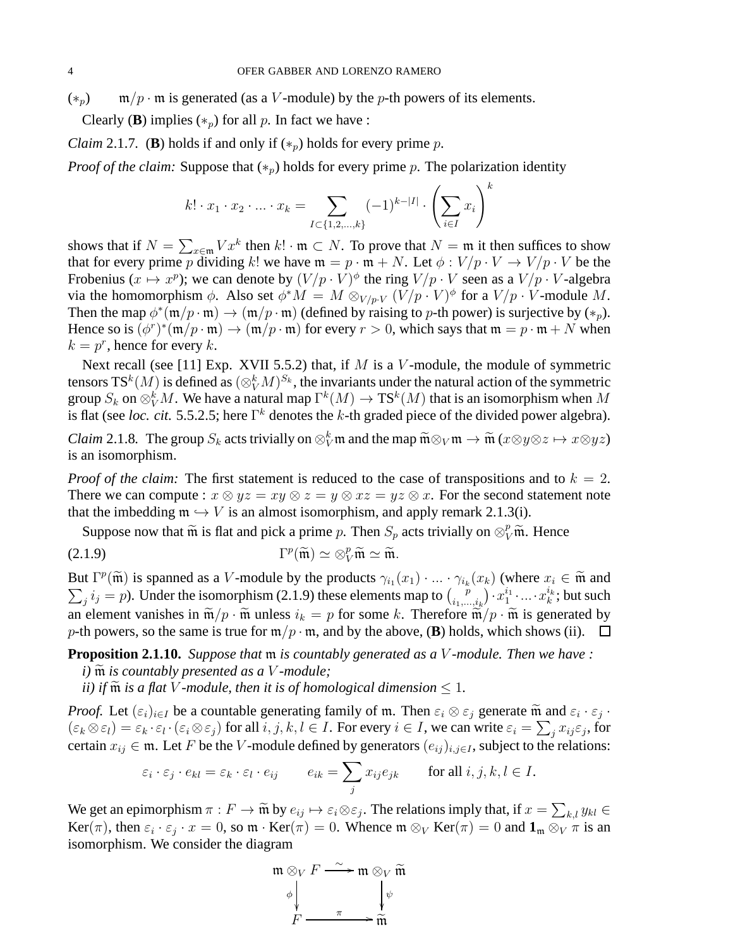$(*_p)$  m/p · m is generated (as a V-module) by the p-th powers of its elements.

Clearly (**B**) implies  $(*_p)$  for all p. In fact we have :

*Claim* 2.1.7*.* (**B**) holds if and only if  $(*_p)$  holds for every prime p.

*Proof of the claim:* Suppose that  $(*_p)$  holds for every prime p. The polarization identity

$$
k! \cdot x_1 \cdot x_2 \cdot \ldots \cdot x_k = \sum_{I \subset \{1,2,\ldots,k\}} (-1)^{k-|I|} \cdot \left(\sum_{i \in I} x_i\right)^k
$$

shows that if  $N = \sum_{x \in \mathfrak{m}} V x^k$  then  $k! \cdot \mathfrak{m} \subset N$ . To prove that  $N = \mathfrak{m}$  it then suffices to show that for every prime p dividing k! we have  $\mathfrak{m} = p \cdot \mathfrak{m} + N$ . Let  $\phi : V/p \cdot V \rightarrow V/p \cdot V$  be the Frobenius  $(x \mapsto x^p)$ ; we can denote by  $(V/p \cdot V)^{\phi}$  the ring  $V/p \cdot V$  seen as a  $V/p \cdot V$ -algebra via the homomorphism  $\phi$ . Also set  $\phi^* M = M \otimes_{V/p \cdot V} (V/p \cdot V)^{\phi}$  for a  $V/p \cdot V$ -module M. Then the map  $\phi^*(m/p \cdot m) \to (m/p \cdot m)$  (defined by raising to p-th power) is surjective by  $(*_p)$ . Hence so is  $(\phi^r)^*(\mathfrak{m}/p \cdot \mathfrak{m}) \to (\mathfrak{m}/p \cdot \mathfrak{m})$  for every  $r > 0$ , which says that  $\mathfrak{m} = p \cdot \mathfrak{m} + N$  when  $k = p^r$ , hence for every k.

Next recall (see [11] Exp. XVII 5.5.2) that, if M is a V-module, the module of symmetric tensors  ${\rm TS}^k(M)$  is defined as  $(\otimes^k_V M)^{S_k}$ , the invariants under the natural action of the symmetric group  $S_k$  on  $\otimes^k_V M$ . We have a natural map  $\Gamma^k(M)\to \mathrm{TS}^k(M)$  that is an isomorphism when  $M$ is flat (see *loc. cit.* 5.5.2.5; here  $\Gamma^k$  denotes the k-th graded piece of the divided power algebra).

*Claim* 2.1.8. The group  $S_k$  acts trivially on  $\otimes^k_V \mathfrak{m}$  and the map  $\widetilde{\mathfrak{m}} \otimes_V \mathfrak{m} \to \widetilde{\mathfrak{m}}$   $(x \otimes y \otimes z \mapsto x \otimes yz)$ is an isomorphism.

*Proof of the claim:* The first statement is reduced to the case of transpositions and to  $k = 2$ . There we can compute :  $x \otimes yz = xy \otimes z = y \otimes xz = yz \otimes x$ . For the second statement note that the imbedding  $m \hookrightarrow V$  is an almost isomorphism, and apply remark 2.1.3(i).

Suppose now that  $\widetilde{m}$  is flat and pick a prime p. Then  $S_p$  acts trivially on  $\otimes^p_V \widetilde{m}$ . Hence

 $\Gamma^p(\widetilde{\mathfrak{m}})\simeq \otimes^p_V$ (2.1.9)  $\Gamma^p(\widetilde{\mathfrak{m}}) \simeq \otimes_V^p \widetilde{\mathfrak{m}} \simeq \widetilde{\mathfrak{m}}.$ 

But  $\Gamma^p(\widetilde{\mathfrak{m}})$  is spanned as a V-module by the products  $\gamma_{i_1}(x_1) \cdot ... \cdot \gamma_{i_k}(x_k)$  (where  $x_i \in \widetilde{\mathfrak{m}}$  and  $\sum_i i_i = p$ ). Under the isomorphism (2.1.9) these elements map to  $\binom{p}{r} \cdot x_1^{i_1} \cdot ... \cdot x_k^{i_k}$ ; but  $j_i$   $i_j = p$ ). Under the isomorphism (2.1.9) these elements map to  $\binom{p}{i_1...i_p}$  $\left(\begin{matrix}p\ i_1,...,i_k\end{matrix}\right)\cdot x_1^{i_1}\cdot...\cdot x_k^{i_k};$  but such an element vanishes in  $\widetilde{\mathfrak{m}}/p \cdot \widetilde{\mathfrak{m}}$  unless  $i_k = p$  for some k. Therefore  $\widetilde{\mathfrak{m}}/p \cdot \widetilde{\mathfrak{m}}$  is generated by p-th powers, so the same is true for  $m/p \cdot m$ , and by the above, (**B**) holds, which shows (ii).  $\Box$ 

**Proposition 2.1.10.** *Suppose that* m *is countably generated as a* V *-module. Then we have :*

 $i)$   $\tilde{m}$  *is countably presented as a V -module;* 

*ii)* if  $\widetilde{m}$  *is a flat* V *-module, then it is of homological dimension*  $\leq 1$ *.* 

*Proof.* Let  $(\varepsilon_i)_{i \in I}$  be a countable generating family of m. Then  $\varepsilon_i \otimes \varepsilon_j$  generate  $\tilde{m}$  and  $\varepsilon_i \cdot \varepsilon_j \cdot (n \otimes \varepsilon_j)$  for all  $i, j, k, l \in I$ . For ayour  $i \in I$ , we see write  $s \in \sum_{i \in I} s_i$  $(\varepsilon_k \otimes \varepsilon_l) = \varepsilon_k \cdot \varepsilon_l \cdot (\varepsilon_i \otimes \varepsilon_j)$  for all  $i, j, k, l \in I$ . For every  $i \in I$ , we can write  $\varepsilon_i = \sum_j x_{ij} \varepsilon_j$ , for certain  $x_{ij} \in \mathfrak{m}$ . Let F be the V-module defined by generators  $(e_{ij})_{i,j \in I}$ , subject to the relations:

$$
\varepsilon_i \cdot \varepsilon_j \cdot e_{kl} = \varepsilon_k \cdot \varepsilon_l \cdot e_{ij}
$$
  $e_{ik} = \sum_j x_{ij} e_{jk}$  for all  $i, j, k, l \in I$ .

We get an epimorphism  $\pi : F \to \tilde{\mathfrak{m}}$  by  $e_{ij} \mapsto \varepsilon_i \otimes \varepsilon_j$ . The relations imply that, if  $x = \sum_{k,l} y_{kl} \in K$ Ker( $\pi$ ), then  $\varepsilon_i \cdot \varepsilon_j \cdot x = 0$ , so  $\mathfrak{m} \cdot \text{Ker}(\pi) = 0$ . Whence  $\mathfrak{m} \otimes_V \text{Ker}(\pi) = 0$  and  $\mathbf{1}_{\mathfrak{m}} \otimes_V \pi$  is an isomorphism. We consider the diagram

$$
\begin{array}{ccc}\n\mathfrak{m} & \otimes_V & F \xrightarrow{\sim} & \mathfrak{m} & \otimes_V & \widetilde{\mathfrak{m}} \\
& & \phi & & \psi \\
& F \xrightarrow{\pi} & & \widetilde{\mathfrak{m}}\n\end{array}
$$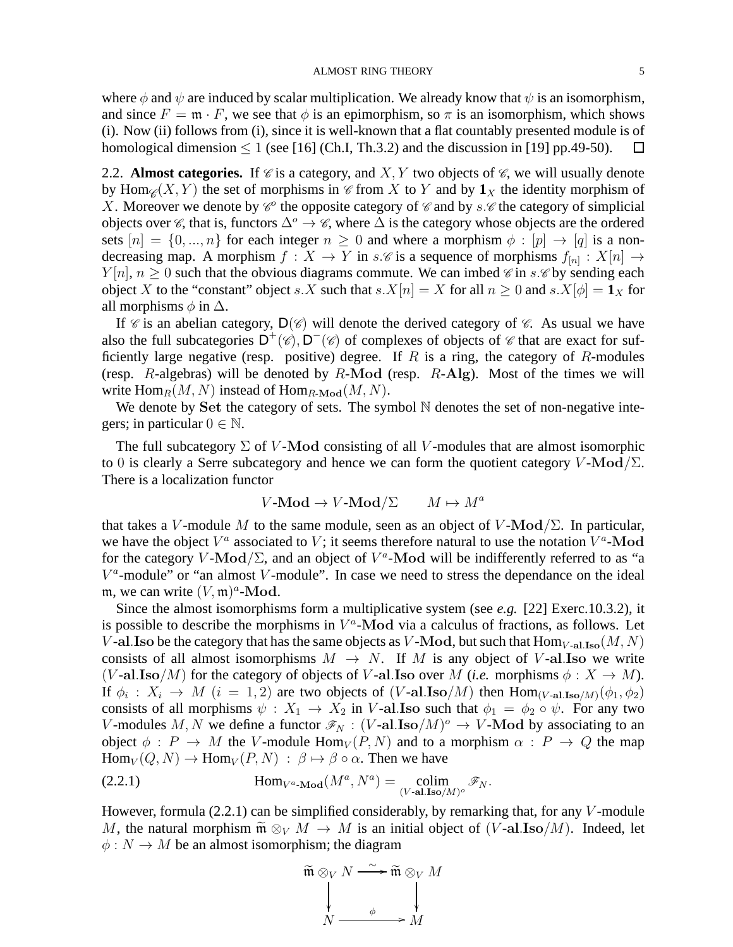where  $\phi$  and  $\psi$  are induced by scalar multiplication. We already know that  $\psi$  is an isomorphism, and since  $F = \mathfrak{m} \cdot F$ , we see that  $\phi$  is an epimorphism, so  $\pi$  is an isomorphism, which shows (i). Now (ii) follows from (i), since it is well-known that a flat countably presented module is of homological dimension  $\leq 1$  (see [16] (Ch.I, Th.3.2) and the discussion in [19] pp.49-50).  $\Box$ 

2.2. **Almost categories.** If  $\mathscr C$  is a category, and  $X, Y$  two objects of  $\mathscr C$ , we will usually denote by Hom $\mathscr{L}(X, Y)$  the set of morphisms in  $\mathscr{C}$  from X to Y and by  $\mathbf{1}_X$  the identity morphism of X. Moreover we denote by  $\mathscr{C}^o$  the opposite category of  $\mathscr{C}$  and by  $s.\mathscr{C}$  the category of simplicial objects over  $\mathcal{C}$ , that is, functors  $\Delta^o \to \mathcal{C}$ , where  $\Delta$  is the category whose objects are the ordered sets  $[n] = \{0, ..., n\}$  for each integer  $n \geq 0$  and where a morphism  $\phi : [p] \to [q]$  is a nondecreasing map. A morphism  $f: X \to Y$  in s.  $\mathscr C$  is a sequence of morphisms  $f_{[n]}: X[n] \to Y$  $Y[n], n \geq 0$  such that the obvious diagrams commute. We can imbed  $\mathscr{C}$  in  $s.\mathscr{C}$  by sending each object X to the "constant" object s.X such that  $s.X[n] = X$  for all  $n \geq 0$  and  $s.X[\phi] = \mathbf{1}_X$  for all morphisms  $\phi$  in  $\Delta$ .

If  $\mathscr C$  is an abelian category,  $D(\mathscr C)$  will denote the derived category of  $\mathscr C$ . As usual we have also the full subcategories  $D^+(\mathscr{C})$ ,  $D^-(\mathscr{C})$  of complexes of objects of  $\mathscr{C}$  that are exact for sufficiently large negative (resp. positive) degree. If R is a ring, the category of R-modules (resp.  $R$ -algebras) will be denoted by  $R$ -Mod (resp.  $R$ -Alg). Most of the times we will write  $\text{Hom}_R(M, N)$  instead of  $\text{Hom}_{R\text{-}\mathbf{Mod}}(M, N)$ .

We denote by Set the category of sets. The symbol N denotes the set of non-negative integers; in particular  $0 \in \mathbb{N}$ .

The full subcategory  $\Sigma$  of V-Mod consisting of all V-modules that are almost isomorphic to 0 is clearly a Serre subcategory and hence we can form the quotient category  $V$ -Mod/ $\Sigma$ . There is a localization functor

$$
V\text{-}\mathbf{Mod} \to V\text{-}\mathbf{Mod}/\Sigma \qquad M \mapsto M^a
$$

that takes a V-module M to the same module, seen as an object of V-Mod/ $\Sigma$ . In particular, we have the object  $V^a$  associated to V; it seems therefore natural to use the notation  $V^a$ -Mod for the category V-Mod/ $\Sigma$ , and an object of  $V^a$ -Mod will be indifferently referred to as "a  $V^a$ -module" or "an almost V-module". In case we need to stress the dependance on the ideal  $\mathfrak{m}$ , we can write  $(V, \mathfrak{m})^a$ -Mod.

Since the almost isomorphisms form a multiplicative system (see *e.g.* [22] Exerc.10.3.2), it is possible to describe the morphisms in  $V^a$ -Mod via a calculus of fractions, as follows. Let V-al. Iso be the category that has the same objects as V-Mod, but such that  $\text{Hom}_{V\text{-al,Iso}}(M, N)$ consists of all almost isomorphisms  $M \to N$ . If M is any object of V-al. Iso we write (V-al.Iso/M) for the category of objects of V-al.Iso over M (*i.e.* morphisms  $\phi: X \to M$ ). If  $\phi_i: X_i \to M$   $(i = 1, 2)$  are two objects of  $(V-\textbf{al.Iso}/M)$  then  $\text{Hom}_{(V-\textbf{al.Iso}/M)}(\phi_1, \phi_2)$ consists of all morphisms  $\psi : X_1 \to X_2$  in V-al.Iso such that  $\phi_1 = \phi_2 \circ \psi$ . For any two V-modules M, N we define a functor  $\mathcal{F}_N : (V\text{-}al.Iso/M)^{\circ} \to V\text{-}\text{Mod}$  by associating to an object  $\phi : P \to M$  the V-module  $\text{Hom}_V(P, N)$  and to a morphism  $\alpha : P \to Q$  the map  $\text{Hom}_V(Q, N) \to \text{Hom}_V(P, N) : \beta \mapsto \beta \circ \alpha$ . Then we have

(2.2.1) 
$$
\text{Hom}_{V^a\text{-}\text{Mod}}(M^a, N^a) = \underset{(V\text{-al.Iso}/M)^o}{\text{colim}} \mathscr{F}_N.
$$

However, formula  $(2.2.1)$  can be simplified considerably, by remarking that, for any V-module M, the natural morphism  $\widetilde{\mathfrak{m}} \otimes_V M \to M$  is an initial object of (V-al.Iso/M). Indeed, let  $\phi: N \to M$  be an almost isomorphism; the diagram

$$
\widetilde{\mathfrak{m}} \otimes_V N \xrightarrow{\sim} \widetilde{\mathfrak{m}} \otimes_V M
$$
\n
$$
\downarrow \qquad \qquad \downarrow
$$
\n
$$
N \xrightarrow{\phi} M
$$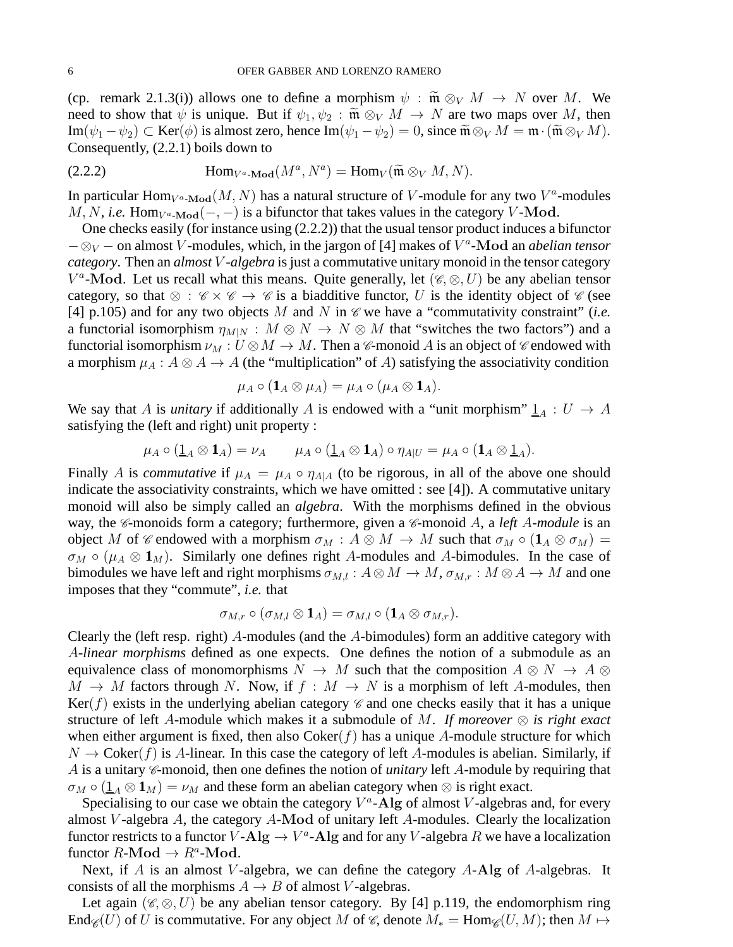(cp. remark 2.1.3(i)) allows one to define a morphism  $\psi : \tilde{m} \otimes_V M \to N$  over M. We need to show that  $\psi$  is unique. But if  $\psi_1, \psi_2$ :  $\widetilde{\mathfrak{m}} \otimes_V M \to N$  are two maps over M, then  $\text{Im}(\psi_1 - \psi_2) \subset \text{Ker}(\phi)$  is almost zero, hence  $\text{Im}(\psi_1 - \psi_2) = 0$ , since  $\tilde{\mathfrak{m}} \otimes_V M = \mathfrak{m} \cdot (\tilde{\mathfrak{m}} \otimes_V M)$ . Consequently, (2.2.1) boils down to

(2.2.2) 
$$
\text{Hom}_{V^a\text{-}\mathbf{Mod}}(M^a, N^a) = \text{Hom}_V(\widetilde{\mathfrak{m}} \otimes_V M, N).
$$

In particular  $\text{Hom}_{V^a\text{-}\mathbf{Mod}}(M,N)$  has a natural structure of V-module for any two  $V^a\text{-modules}$  $M, N, i.e.$  Hom $_{V^a\text{-Mod}}(-, -)$  is a bifunctor that takes values in the category V-Mod.

One checks easily (for instance using (2.2.2)) that the usual tensor product induces a bifunctor  $-\otimes_V$  – on almost *V*-modules, which, in the jargon of [4] makes of  $V^a$ -Mod an *abelian tensor category*. Then an *almost* V *-algebra* is just a commutative unitary monoid in the tensor category  $V^a$ -Mod. Let us recall what this means. Quite generally, let  $(\mathscr{C}, \otimes, U)$  be any abelian tensor category, so that  $\otimes$  :  $\mathscr{C} \times \mathscr{C} \to \mathscr{C}$  is a biadditive functor, U is the identity object of  $\mathscr{C}$  (see [4] p.105) and for any two objects M and N in  $\mathcal C$  we have a "commutativity constraint" (*i.e.* a functorial isomorphism  $\eta_{M|N} : M \otimes N \to N \otimes M$  that "switches the two factors") and a functorial isomorphism  $\nu_M : U \otimes M \to M$ . Then a  $\mathscr{C}$ -monoid A is an object of  $\mathscr{C}$  endowed with a morphism  $\mu_A : A \otimes A \to A$  (the "multiplication" of A) satisfying the associativity condition

$$
\mu_A\circ ({\bf 1}_A\otimes \mu_A)=\mu_A\circ (\mu_A\otimes {\bf 1}_A).
$$

We say that A is *unitary* if additionally A is endowed with a "unit morphism"  $\underline{1}_A : U \to A$ satisfying the (left and right) unit property :

$$
\mu_A \circ (\underline{1}_A \otimes \mathbf{1}_A) = \nu_A \qquad \mu_A \circ (\underline{1}_A \otimes \mathbf{1}_A) \circ \eta_{A|U} = \mu_A \circ (\mathbf{1}_A \otimes \underline{1}_A).
$$

Finally A is *commutative* if  $\mu_A = \mu_A \circ \eta_{A|A}$  (to be rigorous, in all of the above one should indicate the associativity constraints, which we have omitted : see [4]). A commutative unitary monoid will also be simply called an *algebra*. With the morphisms defined in the obvious way, the *C*-monoids form a category; furthermore, given a *C*-monoid A, a *left* A-module is an object M of C endowed with a morphism  $\sigma_M$  :  $A \otimes M \to M$  such that  $\sigma_M \circ (\mathbf{1}_A \otimes \sigma_M) =$  $\sigma_M \circ (\mu_A \otimes \mathbf{1}_M)$ . Similarly one defines right A-modules and A-bimodules. In the case of bimodules we have left and right morphisms  $\sigma_{M,l}$  :  $A \otimes M \to M$ ,  $\sigma_{M,r}$  :  $M \otimes A \to M$  and one imposes that they "commute", *i.e.* that

$$
\sigma_{M,r}\circ (\sigma_{M,l}\otimes \mathbf{1}_A)=\sigma_{M,l}\circ (\mathbf{1}_A\otimes \sigma_{M,r}).
$$

Clearly the (left resp. right) A-modules (and the A-bimodules) form an additive category with A*-linear morphisms* defined as one expects. One defines the notion of a submodule as an equivalence class of monomorphisms  $N \to M$  such that the composition  $A \otimes N \to A \otimes$  $M \to M$  factors through N. Now, if  $f : M \to N$  is a morphism of left A-modules, then  $Ker(f)$  exists in the underlying abelian category  $\mathscr C$  and one checks easily that it has a unique structure of left A-module which makes it a submodule of M. *If moreover* ⊗ *is right exact* when either argument is fixed, then also  $Coker(f)$  has a unique A-module structure for which  $N \to \text{Coker}(f)$  is A-linear. In this case the category of left A-modules is abelian. Similarly, if A is a unitary  $\mathscr C$ -monoid, then one defines the notion of *unitary* left A-module by requiring that  $\sigma_M \circ (\underline{1}_A \otimes \mathbf{1}_M) = \nu_M$  and these form an abelian category when  $\otimes$  is right exact.

Specialising to our case we obtain the category  $V^a$ -Alg of almost V-algebras and, for every almost V -algebra A, the category A-Mod of unitary left A-modules. Clearly the localization functor restricts to a functor  $V\text{-}{\bf Alg} \to V^a\text{-}{\bf Alg}$  and for any  $V\text{-algebra }R$  we have a localization functor  $R\text{-}\mathbf{Mod} \to R^a\text{-}\mathbf{Mod}$ .

Next, if A is an almost V-algebra, we can define the category  $A$ -Alg of  $A$ -algebras. It consists of all the morphisms  $A \rightarrow B$  of almost V-algebras.

Let again ( $\mathscr{C}, \otimes, U$ ) be any abelian tensor category. By [4] p.119, the endomorphism ring End $\mathscr{C}(U)$  of U is commutative. For any object M of  $\mathscr{C}$ , denote  $M_* = \text{Hom}_{\mathscr{C}}(U, M)$ ; then  $M \mapsto$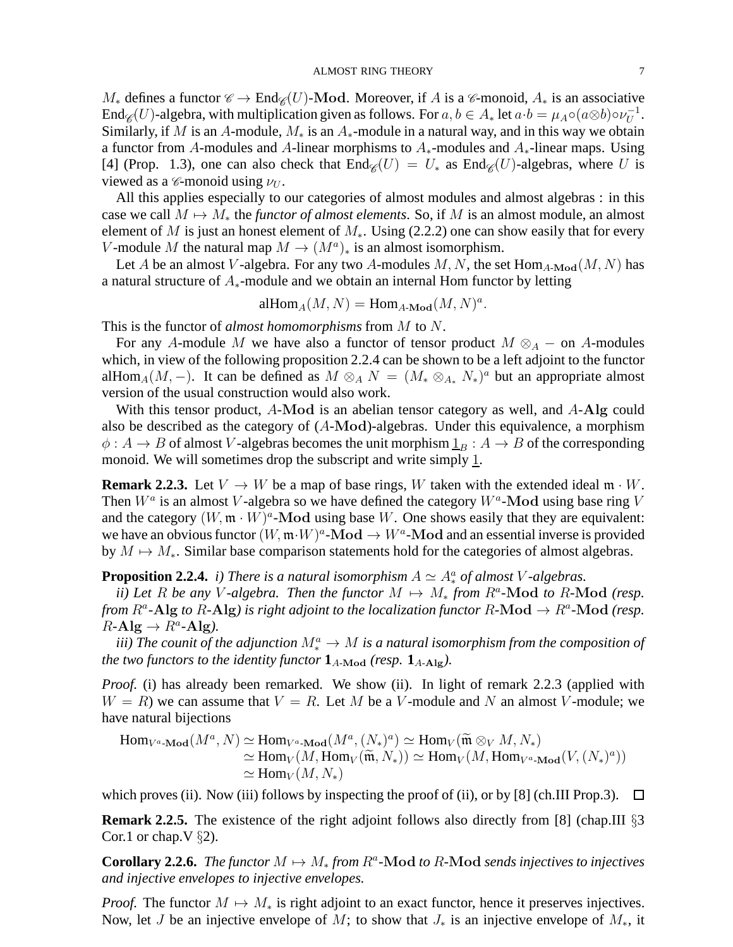$M_*$  defines a functor  $\mathscr{C} \to \text{End}_{\mathscr{C}}(U)$ -Mod. Moreover, if A is a  $\mathscr{C}$ -monoid,  $A_*$  is an associative End $\mathscr{C}(U)$ -algebra, with multiplication given as follows. For  $a, b \in A_*$  let  $a \cdot b = \mu_A \circ (a \otimes b) \circ \nu_U^{-1}$  $\bar{\bar{U}}^{-1}$ . Similarly, if M is an A-module,  $M_*$  is an  $A_*$ -module in a natural way, and in this way we obtain a functor from A-modules and A-linear morphisms to  $A_*$ -modules and  $A_*$ -linear maps. Using [4] (Prop. 1.3), one can also check that  $\text{End}_{\mathscr{C}}(U) = U_*$  as  $\text{End}_{\mathscr{C}}(U)$ -algebras, where U is viewed as a  $\mathcal{C}$ -monoid using  $\nu_U$ .

All this applies especially to our categories of almost modules and almost algebras : in this case we call  $M \mapsto M_*$  the *functor of almost elements*. So, if M is an almost module, an almost element of M is just an honest element of  $M_*$ . Using (2.2.2) one can show easily that for every V-module M the natural map  $M \to (M^a)_*$  is an almost isomorphism.

Let A be an almost V-algebra. For any two A-modules M, N, the set  $\text{Hom}_{A\text{-Mod}}(M, N)$  has a natural structure of  $A_{*}$ -module and we obtain an internal Hom functor by letting

 $\text{alHom}_A(M, N) = \text{Hom}_{A\text{-}\mathbf{Mod}}(M, N)^a.$ 

This is the functor of *almost homomorphisms* from M to N.

For any A-module M we have also a functor of tensor product  $M \otimes_A -$  on A-modules which, in view of the following proposition 2.2.4 can be shown to be a left adjoint to the functor alHom<sub>A</sub> $(M, -)$ . It can be defined as  $M \otimes_A N = (M_* \otimes_{A_*} N_*)^a$  but an appropriate almost version of the usual construction would also work.

With this tensor product, A-Mod is an abelian tensor category as well, and A-Alg could also be described as the category of (A-Mod)-algebras. Under this equivalence, a morphism  $\phi: A \to B$  of almost V-algebras becomes the unit morphism  $\underline{1}_B: A \to B$  of the corresponding monoid. We will sometimes drop the subscript and write simply  $1$ .

**Remark 2.2.3.** Let  $V \to W$  be a map of base rings, W taken with the extended ideal  $\mathfrak{m} \cdot W$ . Then  $W^a$  is an almost V-algebra so we have defined the category  $W^a$ -Mod using base ring V and the category  $(W, \mathfrak{m} \cdot W)^a$ -Mod using base W. One shows easily that they are equivalent: we have an obvious functor  $(W, \mathfrak{m}\cdot W)^a$ -Mod  $\rightarrow W^a$ -Mod and an essential inverse is provided by  $M \mapsto M_*$ . Similar base comparison statements hold for the categories of almost algebras.

**Proposition 2.2.4.** *i)* There is a natural isomorphism  $A \simeq A_*^a$  of almost V-algebras.

*ii)* Let R be any V-algebra. Then the functor  $M \mapsto M_*$  from  $R^a$ -Mod to R-Mod (resp. *from*  $R^a$ -Alg *to*  $R$ -Alg) is right adjoint to the localization functor  $R$ -Mod  $\rightarrow$   $R^a$ -Mod (resp.  $R$ -Alg  $\rightarrow$   $R^a$ -Alg).

*iii) The counit of the adjunction*  $M_*^a \to M$  *is a natural isomorphism from the composition of the two functors to the identity functor*  $\mathbf{1}_{A \cdot \mathbf{Mod}}$  *(resp.*  $\mathbf{1}_{A \cdot \mathbf{Alg}}$ *).* 

*Proof.* (i) has already been remarked. We show (ii). In light of remark 2.2.3 (applied with  $W = R$ ) we can assume that  $V = R$ . Let M be a V-module and N an almost V-module; we have natural bijections

$$
\text{Hom}_{V^a\text{-}\text{Mod}}(M^a, N) \simeq \text{Hom}_{V^a\text{-}\text{Mod}}(M^a, (N_*)^a) \simeq \text{Hom}_V(\widetilde{\mathfrak{m}} \otimes_V M, N_*)
$$
  
\simeq \text{Hom}\_V(M, \text{Hom}\_V(\widetilde{\mathfrak{m}}, N\_\*)) \simeq \text{Hom}\_V(M, \text{Hom}\_{V^a\text{-}\text{Mod}}(V, (N\_\*)^a))  
\simeq \text{Hom}\_V(M, N\_\*)

which proves (ii). Now (iii) follows by inspecting the proof of (ii), or by [8] (ch.III Prop.3).  $\Box$ 

**Remark 2.2.5.** The existence of the right adjoint follows also directly from [8] (chap.III §3 Cor.1 or chap.  $V \S 2$ ).

**Corollary 2.2.6.** *The functor*  $M \mapsto M_*$  *from*  $R^a$ -**Mod** *to*  $R$ -**Mod** *sends injectives to injectives and injective envelopes to injective envelopes.*

*Proof.* The functor  $M \mapsto M_*$  is right adjoint to an exact functor, hence it preserves injectives. Now, let J be an injective envelope of M; to show that  $J_*$  is an injective envelope of  $M_*$ , it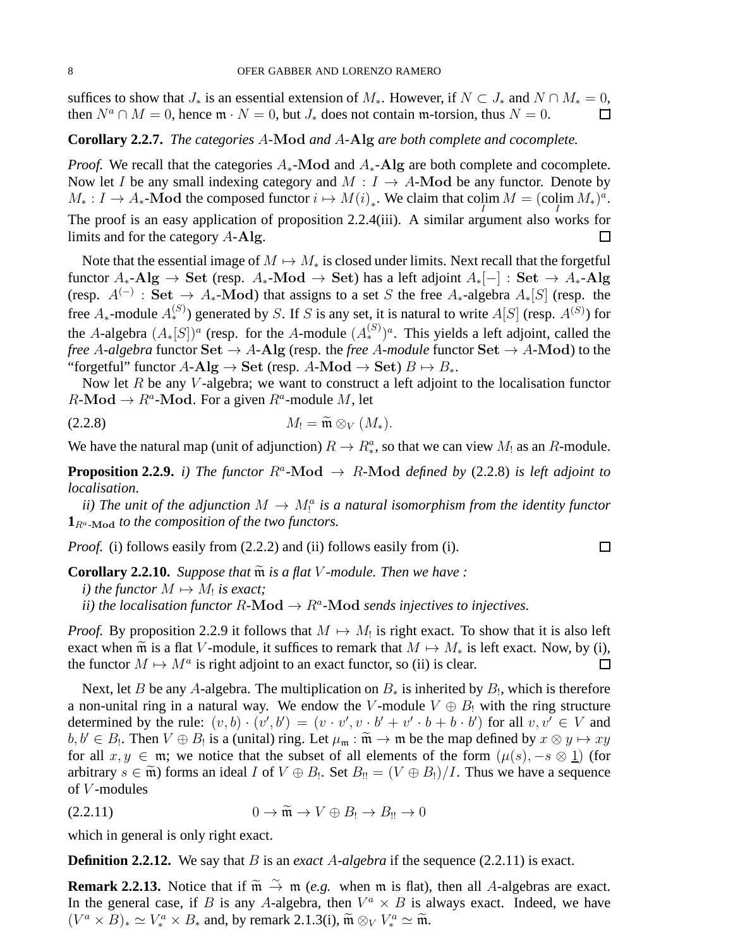suffices to show that  $J_*$  is an essential extension of  $M_*$ . However, if  $N \subset J_*$  and  $N \cap M_* = 0$ , then  $N^a \cap M = 0$ , hence  $\mathfrak{m} \cdot N = 0$ , but  $J_*$  does not contain m-torsion, thus  $N = 0$ . П

**Corollary 2.2.7.** *The categories* A*-*Mod *and* A*-*Alg *are both complete and cocomplete.*

*Proof.* We recall that the categories  $A_{*}$ -Mod and  $A_{*}$ -Alg are both complete and cocomplete. Now let I be any small indexing category and  $M : I \rightarrow A$ -Mod be any functor. Denote by  $M_*: I \to A_*$ -Mod the composed functor  $i \mapsto M(i)_*.$  We claim that colim  $M = (\operatorname{colim}_I M_*)^a$ . The proof is an easy application of proposition 2.2.4(iii). A similar argument also works for limits and for the category A-Alg.  $\Box$ 

Note that the essential image of  $M \mapsto M_*$  is closed under limits. Next recall that the forgetful functor  $A_*$ -Alg  $\rightarrow$  Set (resp.  $A_*$ -Mod  $\rightarrow$  Set) has a left adjoint  $A_*[-]$  : Set  $\rightarrow A_*$ -Alg (resp.  $A^{(-)}$ : Set  $\rightarrow A_{*}$ -Mod) that assigns to a set S the free  $A_{*}$ -algebra  $A_{*}[S]$  (resp. the free  $A_*$ -module  $A_*^{(S)}$ ) generated by S. If S is any set, it is natural to write  $A[S]$  (resp.  $A^{(S)}$ ) for the A-algebra  $(A_*[S])^a$  (resp. for the A-module  $(A_*^{(S)})^a$ . This yields a left adjoint, called the *free* A-algebra functor Set  $\rightarrow$  A-Alg (resp. the *free* A-module functor Set  $\rightarrow$  A-Mod) to the "forgetful" functor  $A$ -Alg  $\rightarrow$  Set (resp.  $A$ -Mod  $\rightarrow$  Set)  $B \mapsto B_*$ .

Now let R be any V-algebra; we want to construct a left adjoint to the localisation functor  $R\text{-Mod} \to R^a\text{-Mod}$ . For a given  $R^a\text{-module }M$ , let

$$
(2.2.8) \t\t M_! = \widetilde{\mathfrak{m}} \otimes_V (M_*)
$$

We have the natural map (unit of adjunction)  $R \to R_*^a$ , so that we can view  $M_1$  as an  $R$ -module.

**Proposition 2.2.9.** *i)* The functor  $R^a$ -Mod  $\rightarrow$  R-Mod *defined by* (2.2.8) *is left adjoint to localisation.*

*ii)* The unit of the adjunction  $M \to M_!^a$  is a natural isomorphism from the identity functor  $\mathbf{1}_{R^a \text{-Mod}}$  *to the composition of the two functors.* 

*Proof.* (i) follows easily from (2.2.2) and (ii) follows easily from (i).

**Corollary 2.2.10.** *Suppose that*  $\widetilde{m}$  *is a flat V*-module. Then we have :

*i*) the functor  $M \mapsto M_!$  is exact;

*ii)* the localisation functor  $R$ -**Mod**  $\rightarrow$   $R^a$ -**Mod** sends injectives to injectives.

*Proof.* By proposition 2.2.9 it follows that  $M \mapsto M_1$  is right exact. To show that it is also left exact when  $\tilde{m}$  is a flat V-module, it suffices to remark that  $M \mapsto M_*$  is left exact. Now, by (i), the functor  $M \mapsto M^a$  is right adjoint to an exact functor, so (ii) is clear. the functor  $M \mapsto M^a$  is right adjoint to an exact functor, so (ii) is clear.

Next, let B be any A-algebra. The multiplication on  $B_*$  is inherited by  $B_1$ , which is therefore a non-unital ring in a natural way. We endow the V-module  $V \oplus B_1$  with the ring structure determined by the rule:  $(v, b) \cdot (v', b') = (v \cdot v', v \cdot b' + v' \cdot b + b \cdot b')$  for all  $v, v' \in V$  and  $b, b' \in B_1$ . Then  $V \oplus B_1$  is a (unital) ring. Let  $\mu_m : \widetilde{\mathfrak{m}} \to \mathfrak{m}$  be the map defined by  $x \otimes y \mapsto xy$ <br>for all  $x \mapsto \sigma$ ,  $m$ , we aratice that the subset of all algorite of the form  $(u(x)) \to \mathfrak{D}$  1) (for for all  $x, y \in \mathfrak{m}$ ; we notice that the subset of all elements of the form  $(\mu(s), -s \otimes \mathfrak{1})$  (for arbitrary  $s \in \widetilde{\mathfrak{m}}$ ) forms an ideal I of  $V \oplus B_!$ . Set  $B_{!!} = (V \oplus B_!) / I$ . Thus we have a sequence of V -modules

(2.2.11)  $0 \to \widetilde{\mathfrak{m}} \to V \oplus B_! \to B_{!} \to 0$ 

which in general is only right exact.

**Definition 2.2.12.** We say that B is an *exact* A-*algebra* if the sequence (2.2.11) is exact.

**Remark 2.2.13.** Notice that if  $\widetilde{m} \stackrel{\sim}{\rightarrow} m$  (*e.g.* when m is flat), then all A-algebras are exact. In the general case, if B is any A-algebra, then  $V^a \times B$  is always exact. Indeed, we have  $(V^a \times B)_* \simeq V^a_* \times B_*$  and, by remark 2.1.3(i),  $\widetilde{\mathfrak{m}} \otimes_V V^a_* \simeq \widetilde{\mathfrak{m}}.$ 

 $\Box$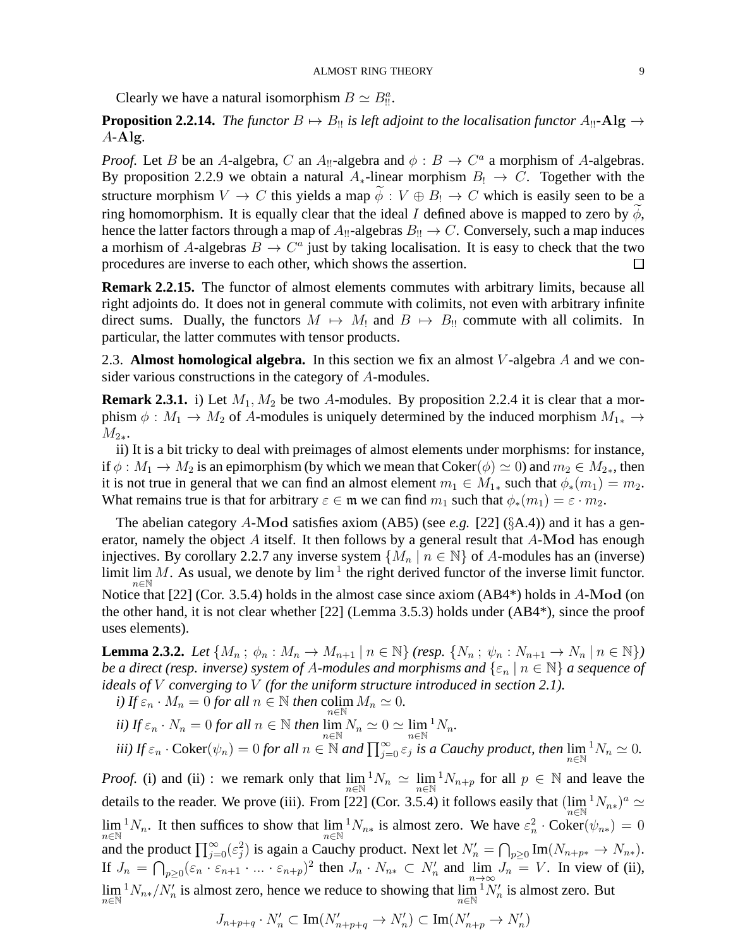Clearly we have a natural isomorphism  $B \simeq B_{\text{II}}^a$ .

**Proposition 2.2.14.** *The functor*  $B \mapsto B_{\text{II}}$  *is left adjoint to the localisation functor*  $A_{\text{II}}$ - $\mathbf{Alg} \rightarrow$ A*-*Alg*.*

*Proof.* Let *B* be an *A*-algebra, *C* an  $A_{!!}$ -algebra and  $\phi : B \to C^a$  a morphism of *A*-algebras. By proposition 2.2.9 we obtain a natural  $A_*$ -linear morphism  $B_! \rightarrow C$ . Together with the structure morphism  $V \to C$  this yields a map  $\phi : V \oplus B_1 \to C$  which is easily seen to be a ring homomorphism. It is equally clear that the ideal I defined above is mapped to zero by  $\phi$ , hence the latter factors through a map of  $A_{\parallel}$ -algebras  $B_{\parallel} \rightarrow C$ . Conversely, such a map induces a morhism of A-algebras  $B \to C^a$  just by taking localisation. It is easy to check that the two procedures are inverse to each other, which shows the assertion.  $\Box$ 

**Remark 2.2.15.** The functor of almost elements commutes with arbitrary limits, because all right adjoints do. It does not in general commute with colimits, not even with arbitrary infinite direct sums. Dually, the functors  $M \mapsto M_1$  and  $B \mapsto B_{11}$  commute with all colimits. In particular, the latter commutes with tensor products.

2.3. **Almost homological algebra.** In this section we fix an almost V -algebra A and we consider various constructions in the category of A-modules.

**Remark 2.3.1.** i) Let  $M_1, M_2$  be two A-modules. By proposition 2.2.4 it is clear that a morphism  $\phi : M_1 \to M_2$  of A-modules is uniquely determined by the induced morphism  $M_{1*} \to$  $M_{2*}$ .

ii) It is a bit tricky to deal with preimages of almost elements under morphisms: for instance, if  $\phi: M_1 \to M_2$  is an epimorphism (by which we mean that  $\mathrm{Coker}(\phi) \simeq 0$ ) and  $m_2 \in M_{2*}$ , then it is not true in general that we can find an almost element  $m_1 \in M_{1*}$  such that  $\phi_*(m_1) = m_2$ . What remains true is that for arbitrary  $\varepsilon \in \mathfrak{m}$  we can find  $m_1$  such that  $\phi_*(m_1) = \varepsilon \cdot m_2$ .

The abelian category A-Mod satisfies axiom (AB5) (see *e.g.* [22] (§A.4)) and it has a generator, namely the object  $A$  itself. It then follows by a general result that  $A$ -Mod has enough injectives. By corollary 2.2.7 any inverse system  $\{M_n \mid n \in \mathbb{N}\}\$  of A-modules has an (inverse) limit lim M. As usual, we denote by  $\lim^{-1}$  the right derived functor of the inverse limit functor. n∈N Notice that [22] (Cor. 3.5.4) holds in the almost case since axiom (AB4\*) holds in A-Mod (on the other hand, it is not clear whether [22] (Lemma 3.5.3) holds under (AB4\*), since the proof uses elements).

**Lemma 2.3.2.** *Let*  $\{M_n : \phi_n : M_n \to M_{n+1} \mid n \in \mathbb{N}\}$  *(resp.*  $\{N_n : \psi_n : N_{n+1} \to N_n \mid n \in \mathbb{N}\}$ *) be a direct (resp. inverse) system of A-modules and morphisms and*  $\{\varepsilon_n \mid n \in \mathbb{N}\}\$ a sequence of *ideals of* V *converging to* V *(for the uniform structure introduced in section 2.1).*

*i)* If  $\varepsilon_n \cdot M_n = 0$  for all  $n \in \mathbb{N}$  then  $\operatorname*{colim}_{n \in \mathbb{N}} M_n \simeq 0$ .

*ii)* If 
$$
\varepsilon_n \cdot N_n = 0
$$
 for all  $n \in \mathbb{N}$  then  $\lim_{n \in \mathbb{N}} N_n \simeq 0 \simeq \lim_{n \in \mathbb{N}} {}^1N_n$ .  
*iii)* If  $\varepsilon_n \cdot \text{Coker}(\psi_n) = 0$  for all  $n \in \mathbb{N}$  and  $\prod_{j=0}^{\infty} \varepsilon_j$  is a Cauchy product, then  $\lim_{n \in \mathbb{N}} {}^1N_n \simeq 0$ .

*Proof.* (i) and (ii) : we remark only that  $\lim_{n \in \mathbb{N}} \binom{1}{n}$   $\approx \lim_{n \in \mathbb{N}} \binom{1}{n+p}$  for all  $p \in \mathbb{N}$  and leave the details to the reader. We prove (iii). From [22] (Cor. 3.5.4) it follows easily that  $(\lim_{n\in\mathbb{N}} 1N_{n*})^a \simeq$  $\lim_{n \in \mathbb{N}}$  1 $N_n$ . It then suffices to show that  $\lim_{n \in \mathbb{N}}$  1 $N_{n*}$  is almost zero. We have  $\varepsilon_n^2 \cdot \text{Coker}(\psi_{n*}) = 0$ and the product  $\prod_{j=0}^{\infty}(\varepsilon_j^2)$  is again a Cauchy product. Next let  $N'_n = \bigcap_{p\geq 0} \text{Im}(N_{n+p*} \to N_{n*})$ . If  $J_n = \bigcap_{p \geq 0} (\varepsilon_n \cdot \varepsilon_{n+1} \cdot \ldots \cdot \varepsilon_{n+p})^2$  then  $J_n \cdot N_{n*} \subset N'_n$  and  $\lim_{n \to \infty} J_n = V$ . In view of (ii),  $\lim_{n \in \mathbb{N}} {^1N_{n*}}/N'_n$  is almost zero, hence we reduce to showing that  $\lim_{n \in \mathbb{N}} {^1N'_n}$  is almost zero. But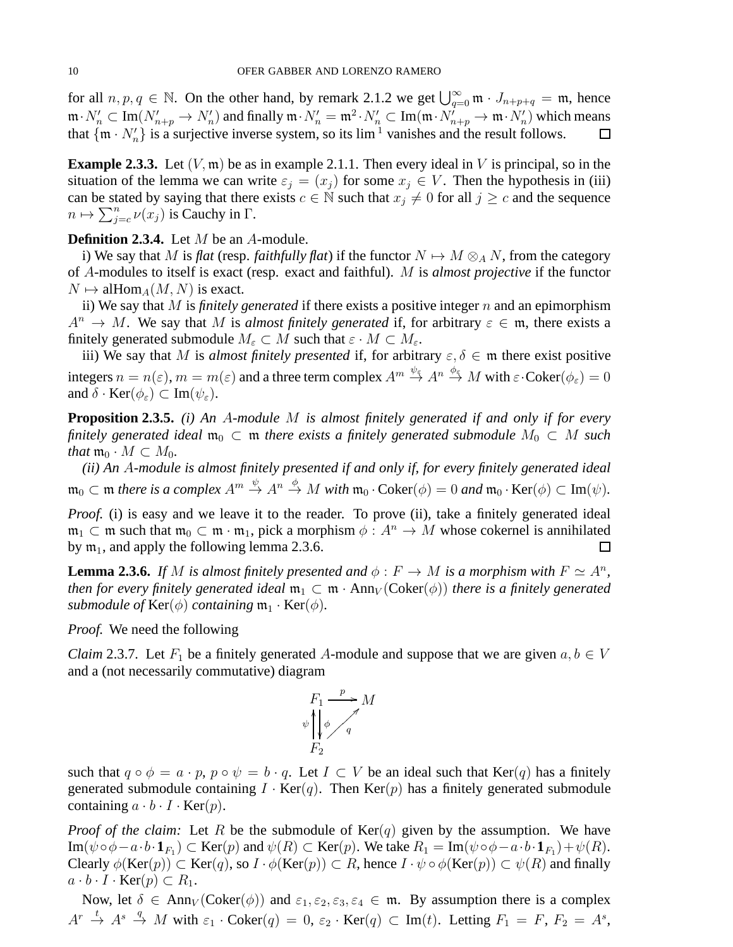for all  $n, p, q \in \mathbb{N}$ . On the other hand, by remark 2.1.2 we get  $\bigcup_{q=0}^{\infty} \mathfrak{m} \cdot J_{n+p+q} = \mathfrak{m}$ , hence  $\mathfrak{m}\cdot N'_n\subset \text{Im}(N'_{n+p}\to N'_n)$  and finally  $\mathfrak{m}\cdot N'_n=\mathfrak{m}^2\cdot N'_n\subset \text{Im}(\mathfrak{m}\cdot N'_{n+p}\to\mathfrak{m}\cdot N'_n)$  which means that  $\{\mathfrak{m} \cdot N'_n\}$  is a surjective inverse system, so its  $\lim^1$  vanishes and the result follows.  $\Box$ 

**Example 2.3.3.** Let  $(V, \mathfrak{m})$  be as in example 2.1.1. Then every ideal in V is principal, so in the situation of the lemma we can write  $\varepsilon_j = (x_j)$  for some  $x_j \in V$ . Then the hypothesis in (iii) can be stated by saying that there exists  $c \in \mathbb{N}$  such that  $x_j \neq 0$  for all  $j \geq c$  and the sequence  $n \mapsto \sum_{j=c}^{n} \nu(x_j)$  is Cauchy in  $\Gamma$ .

### **Definition 2.3.4.** Let M be an A-module.

i) We say that M is *flat* (resp. *faithfully flat*) if the functor  $N \mapsto M \otimes_A N$ , from the category of A-modules to itself is exact (resp. exact and faithful). M is *almost projective* if the functor  $N \mapsto \mathrm{alHom}_A(M, N)$  is exact.

ii) We say that M is *finitely generated* if there exists a positive integer n and an epimorphism  $A^n \to M$ . We say that M is *almost finitely generated* if, for arbitrary  $\varepsilon \in \mathfrak{m}$ , there exists a finitely generated submodule  $M_{\varepsilon} \subset M$  such that  $\varepsilon \cdot M \subset M_{\varepsilon}$ .

iii) We say that M is *almost finitely presented* if, for arbitrary  $\varepsilon, \delta \in \mathfrak{m}$  there exist positive integers  $n = n(\varepsilon)$ ,  $m = m(\varepsilon)$  and a three term complex  $A^m \stackrel{\psi_{\varepsilon}}{\to} A^n \stackrel{\phi_{\varepsilon}}{\to} M$  with  $\varepsilon$  · Coker $(\phi_{\varepsilon}) = 0$ and  $\delta \cdot \text{Ker}(\phi_{\varepsilon}) \subset \text{Im}(\psi_{\varepsilon}).$ 

**Proposition 2.3.5.** *(i) An* A*-module* M *is almost finitely generated if and only if for every finitely generated ideal*  $\mathfrak{m}_0 \subset \mathfrak{m}$  *there exists a finitely generated submodule*  $M_0 \subset M$  *such that*  $\mathfrak{m}_0 \cdot M \subset M_0$ .

*(ii) An* A*-module is almost finitely presented if and only if, for every finitely generated ideal*  $\mathfrak{m}_0 \subset \mathfrak{m}$  *there is a complex*  $A^m \stackrel{\psi}{\to} A^n \stackrel{\phi}{\to} M$  *with*  $\mathfrak{m}_0 \cdot \text{Coker}(\phi) = 0$  *and*  $\mathfrak{m}_0 \cdot \text{Ker}(\phi) \subset \text{Im}(\psi)$ *.* 

*Proof.* (i) is easy and we leave it to the reader. To prove (ii), take a finitely generated ideal  $\mathfrak{m}_1 \subset \mathfrak{m}$  such that  $\mathfrak{m}_0 \subset \mathfrak{m} \cdot \mathfrak{m}_1$ , pick a morphism  $\phi : A^n \to M$  whose cokernel is annihilated by  $m_1$ , and apply the following lemma 2.3.6.  $\Box$ 

**Lemma 2.3.6.** *If* M *is almost finitely presented and*  $\phi$  :  $F \to M$  *is a morphism with*  $F \simeq A^n$ , *then for every finitely generated ideal*  $m_1 \subset m \cdot Ann_V(Coker(\phi))$  *there is a finitely generated submodule of*  $\text{Ker}(\phi)$  *containing*  $m_1 \cdot \text{Ker}(\phi)$ *.* 

*Proof.* We need the following

*Claim* 2.3.7. Let  $F_1$  be a finitely generated A-module and suppose that we are given  $a, b \in V$ and a (not necessarily commutative) diagram

$$
F_1 \xrightarrow{p} M
$$
  
\n
$$
\psi \qquad \downarrow \phi \qquad q
$$
  
\n
$$
F_2
$$

such that  $q \circ \phi = a \cdot p$ ,  $p \circ \psi = b \cdot q$ . Let  $I \subset V$  be an ideal such that Ker(q) has a finitely generated submodule containing  $I \cdot \text{Ker}(q)$ . Then  $\text{Ker}(p)$  has a finitely generated submodule containing  $a \cdot b \cdot I \cdot \text{Ker}(p)$ .

*Proof of the claim:* Let R be the submodule of  $Ker(q)$  given by the assumption. We have  $\text{Im}(\psi \circ \phi - a \cdot b \cdot \mathbf{1}_{F_1}) \subset \text{Ker}(p)$  and  $\psi(R) \subset \text{Ker}(p)$ . We take  $R_1 = \text{Im}(\psi \circ \phi - a \cdot b \cdot \mathbf{1}_{F_1}) + \psi(R)$ . Clearly  $\phi(\text{Ker}(p)) \subset \text{Ker}(q)$ , so  $I \cdot \phi(\text{Ker}(p)) \subset R$ , hence  $I \cdot \psi \circ \phi(\text{Ker}(p)) \subset \psi(R)$  and finally  $a \cdot b \cdot I \cdot \text{Ker}(p) \subset R_1$ .

Now, let  $\delta \in \text{Ann}_V(\text{Coker}(\phi))$  and  $\varepsilon_1, \varepsilon_2, \varepsilon_3, \varepsilon_4 \in \mathfrak{m}$ . By assumption there is a complex  $A^r \stackrel{t}{\rightarrow} A^s \stackrel{q}{\rightarrow} M$  with  $\varepsilon_1 \cdot \text{Coker}(q) = 0$ ,  $\varepsilon_2 \cdot \text{Ker}(q) \subset \text{Im}(t)$ . Letting  $F_1 = F$ ,  $F_2 = A^s$ ,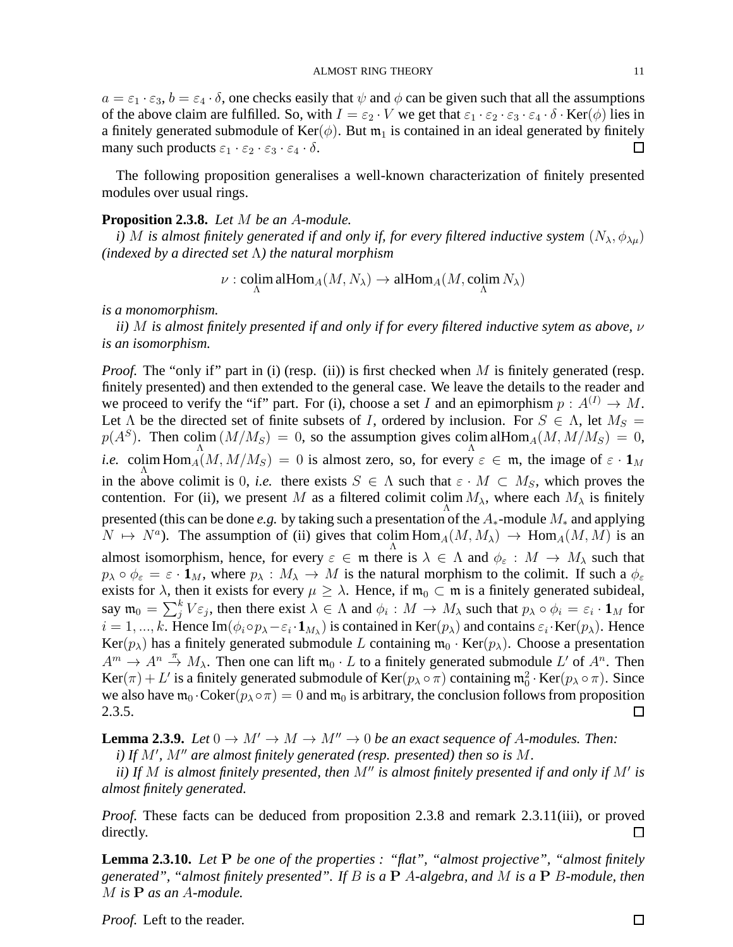$a = \varepsilon_1 \cdot \varepsilon_3$ ,  $b = \varepsilon_4 \cdot \delta$ , one checks easily that  $\psi$  and  $\phi$  can be given such that all the assumptions of the above claim are fulfilled. So, with  $I = \varepsilon_2 \cdot V$  we get that  $\varepsilon_1 \cdot \varepsilon_2 \cdot \varepsilon_3 \cdot \varepsilon_4 \cdot \delta \cdot \text{Ker}(\phi)$  lies in a finitely generated submodule of  $Ker(\phi)$ . But  $m_1$  is contained in an ideal generated by finitely many such products  $\varepsilon_1 \cdot \varepsilon_2 \cdot \varepsilon_3 \cdot \varepsilon_4 \cdot \delta$ .  $\Box$ 

The following proposition generalises a well-known characterization of finitely presented modules over usual rings.

### **Proposition 2.3.8.** *Let* M *be an* A*-module.*

*i)* M is almost finitely generated if and only if, for every filtered inductive system  $(N_\lambda, \phi_{\lambda\mu})$ *(indexed by a directed set* Λ*) the natural morphism*

$$
\nu: \mathop{\text{colim}}_{\Lambda} \mathop{\text{alHom}}\nolimits_A(M, N_\lambda) \to \mathop{\text{alHom}}\nolimits_A(M, \mathop{\text{colim}}\nolimits \Lambda_\lambda)
$$

*is a monomorphism.*

*ii)* M *is almost finitely presented if and only if for every filtered inductive sytem as above,* ν *is an isomorphism.*

*Proof.* The "only if" part in (i) (resp. (ii)) is first checked when M is finitely generated (resp. finitely presented) and then extended to the general case. We leave the details to the reader and we proceed to verify the "if" part. For (i), choose a set I and an epimorphism  $p: A^{(I)} \to M$ . Let  $\Lambda$  be the directed set of finite subsets of I, ordered by inclusion. For  $S \in \Lambda$ , let  $M_S =$  $p(A^S)$ . Then colim  $(M/M_S) = 0$ , so the assumption gives colimalHom $_A(M, M/M_S) = 0$ , *i.e.* colim  $\text{Hom}_{A}(M, M/M_S) = 0$  is almost zero, so, for every  $\varepsilon \in \mathfrak{m}$ , the image of  $\varepsilon \cdot \mathbf{1}_M$ in the above colimit is 0, *i.e.* there exists  $S \in \Lambda$  such that  $\varepsilon \cdot M \subset M_S$ , which proves the contention. For (ii), we present M as a filtered colimit colim  $M_{\lambda}$ , where each  $M_{\lambda}$  is finitely presented (this can be done *e.g.* by taking such a presentation of the  $A_*$ -module  $M_*$  and applying  $N \mapsto N^a$ ). The assumption of (ii) gives that colim  $\text{Hom}_A(M, M_\lambda) \to \text{Hom}_A(M, M)$  is an almost isomorphism, hence, for every  $\varepsilon \in \mathfrak{m}$  there is  $\lambda \in \Lambda$  and  $\phi_{\varepsilon}: M \to M_{\lambda}$  such that  $p_{\lambda} \circ \phi_{\varepsilon} = \varepsilon \cdot \mathbf{1}_M$ , where  $p_{\lambda}: M_{\lambda} \to M$  is the natural morphism to the colimit. If such a  $\phi_{\varepsilon}$ exists for  $\lambda$ , then it exists for every  $\mu \geq \lambda$ . Hence, if  $\mathfrak{m}_0 \subset \mathfrak{m}$  is a finitely generated subideal, say  $\mathfrak{m}_0 = \sum_j^k V \varepsilon_j$ , then there exist  $\lambda \in \Lambda$  and  $\phi_i : M \to M_\lambda$  such that  $p_\lambda \circ \phi_i = \varepsilon_i \cdot \mathbf{1}_M$  for  $i = 1, ..., k$ . Hence  $\text{Im}(\phi_i \circ p_\lambda - \varepsilon_i \cdot \mathbf{1}_{M_\lambda})$  is contained in  $\text{Ker}(p_\lambda)$  and contains  $\varepsilon_i \cdot \text{Ker}(p_\lambda)$ . Hence Ker( $p_{\lambda}$ ) has a finitely generated submodule L containing  $\mathfrak{m}_0$  · Ker( $p_{\lambda}$ ). Choose a presentation  $A^m \to A^n \stackrel{\pi}{\to} M_\lambda$ . Then one can lift  $\mathfrak{m}_0 \cdot L$  to a finitely generated submodule L' of  $A^n$ . Then Ker( $\pi$ ) + L' is a finitely generated submodule of Ker( $p_\lambda \circ \pi$ ) containing  $\mathfrak{m}_0^2 \cdot \text{Ker}(p_\lambda \circ \pi)$ . Since we also have  $\mathfrak{m}_0$  · Coker( $p_\lambda \circ \pi$ ) = 0 and  $\mathfrak{m}_0$  is arbitrary, the conclusion follows from proposition 2.3.5.  $\Box$ 

**Lemma 2.3.9.** *Let*  $0 \to M' \to M \to M'' \to 0$  *be an exact sequence of A-modules. Then:* 

*i) If* M′ *,* M′′ *are almost finitely generated (resp. presented) then so is* M*.*

*ii) If* M *is almost finitely presented, then* M′′ *is almost finitely presented if and only if* M′ *is almost finitely generated.*

*Proof.* These facts can be deduced from proposition 2.3.8 and remark 2.3.11(iii), or proved directly.  $\Box$ 

**Lemma 2.3.10.** *Let* P *be one of the properties : "flat", "almost projective", "almost finitely generated", "almost finitely presented". If* B *is a* P A*-algebra, and* M *is a* P B*-module, then* M *is* P *as an* A*-module.*

*Proof.* Left to the reader.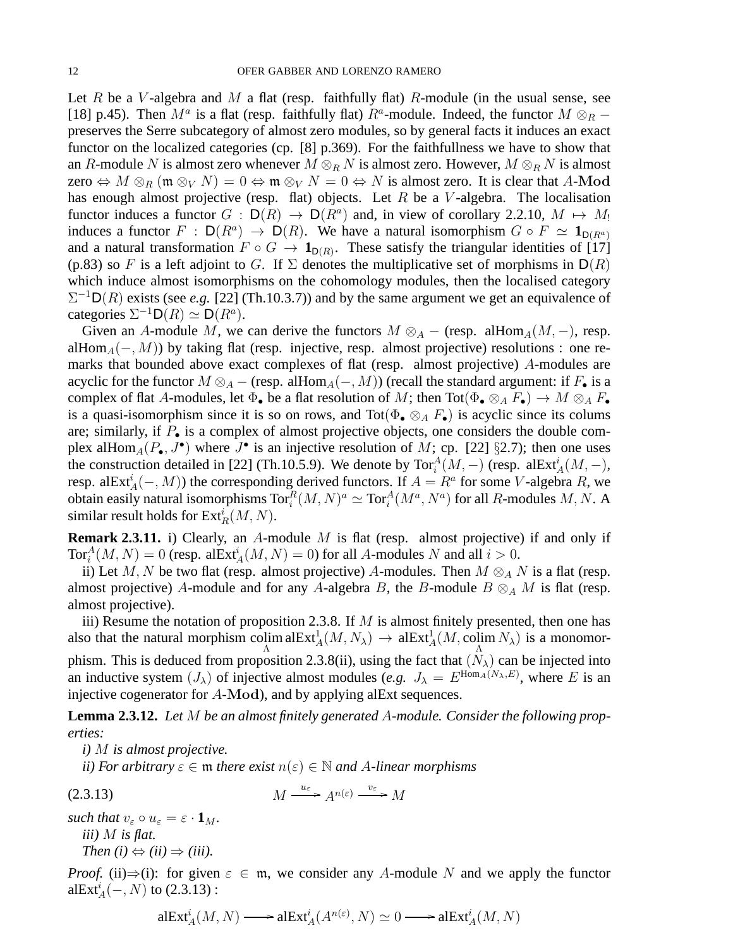Let R be a V-algebra and M a flat (resp. faithfully flat) R-module (in the usual sense, see [18] p.45). Then  $M^a$  is a flat (resp. faithfully flat)  $R^a$ -module. Indeed, the functor  $M \otimes_R$ preserves the Serre subcategory of almost zero modules, so by general facts it induces an exact functor on the localized categories (cp. [8] p.369). For the faithfullness we have to show that an R-module N is almost zero whenever  $M \otimes_R N$  is almost zero. However,  $M \otimes_R N$  is almost zero  $\Leftrightarrow M \otimes_R (\mathfrak{m} \otimes_V N) = 0 \Leftrightarrow \mathfrak{m} \otimes_V N = 0 \Leftrightarrow N$  is almost zero. It is clear that A-Mod has enough almost projective (resp. flat) objects. Let R be a V-algebra. The localisation functor induces a functor  $G : D(R) \to D(R^a)$  and, in view of corollary 2.2.10,  $M \mapsto M_1$ induces a functor  $F : D(R^a) \to D(R)$ . We have a natural isomorphism  $G \circ F \simeq \mathbf{1}_{D(R^a)}$ and a natural transformation  $F \circ G \to \mathbf{1}_{D(R)}$ . These satisfy the triangular identities of [17] (p.83) so F is a left adjoint to G. If  $\Sigma$  denotes the multiplicative set of morphisms in  $D(R)$ which induce almost isomorphisms on the cohomology modules, then the localised category  $\Sigma^{-1}$ **D**(*R*) exists (see *e.g.* [22] (Th.10.3.7)) and by the same argument we get an equivalence of categories  $\Sigma^{-1} \mathsf{D}(R) \simeq \mathsf{D}(R^a)$ .

Given an A-module M, we can derive the functors  $M \otimes_A -$  (resp. alHom $_A(M, -)$ , resp. alHom<sub>A</sub> $(-, M)$ ) by taking flat (resp. injective, resp. almost projective) resolutions : one remarks that bounded above exact complexes of flat (resp. almost projective) A-modules are acyclic for the functor  $M \otimes_A -$  (resp. alHom $_A(-, M)$ ) (recall the standard argument: if  $F_{\bullet}$  is a complex of flat A-modules, let  $\Phi_{\bullet}$  be a flat resolution of M; then Tot( $\Phi_{\bullet} \otimes_A F_{\bullet}$ )  $\to M \otimes_A F_{\bullet}$ is a quasi-isomorphism since it is so on rows, and Tot( $\Phi_{\bullet} \otimes_A F_{\bullet}$ ) is acyclic since its colums are; similarly, if  $P_{\bullet}$  is a complex of almost projective objects, one considers the double complex alHom<sub>A</sub> $(P_{\bullet}, J^{\bullet})$  where  $J^{\bullet}$  is an injective resolution of M; cp. [22] §2.7); then one uses the construction detailed in [22] (Th.10.5.9). We denote by  $\text{Tor}_i^A(M, -)$  (resp. al $\text{Ext}_A^i(M, -)$ , resp. al $Ext_A^i(-, M)$ ) the corresponding derived functors. If  $A = R^a$  for some V-algebra R, we obtain easily natural isomorphisms  $\text{Tor}_i^R(M,N)^a \simeq \text{Tor}_i^A(M^a,N^a)$  for all  $R\text{-modules }M,N.$  A similar result holds for  $\mathrm{Ext}^i_R(M,N).$ 

**Remark 2.3.11.** i) Clearly, an A-module M is flat (resp. almost projective) if and only if  $\operatorname{Tor}_i^A(M,N) = 0$  (resp. al $\operatorname{Ext}_A^i(M,N) = 0$ ) for all A-modules N and all  $i > 0$ .

ii) Let M, N be two flat (resp. almost projective) A-modules. Then  $M \otimes_A N$  is a flat (resp. almost projective) A-module and for any A-algebra B, the B-module  $B \otimes_A M$  is flat (resp. almost projective).

iii) Resume the notation of proposition 2.3.8. If  $M$  is almost finitely presented, then one has also that the natural morphism colim alExt<sup>1</sup> $_A(M, N_\lambda) \to \text{alExt}^1_A(M, \text{colim } N_\lambda)$  is a monomorphism. This is deduced from proposition 2.3.8(ii), using the fact that  $(N_{\lambda})$  can be injected into an inductive system  $(J_\lambda)$  of injective almost modules (*e.g.*  $J_\lambda = E^{\text{Hom}_A(N_\lambda, E)}$ , where E is an injective cogenerator for A-Mod), and by applying alExt sequences.

**Lemma 2.3.12.** *Let* M *be an almost finitely generated* A*-module. Consider the following properties:*

*i)* M *is almost projective.*

*ii)* For arbitrary  $\varepsilon \in \mathfrak{m}$  there exist  $n(\varepsilon) \in \mathbb{N}$  and A-linear morphisms

$$
(2.3.13) \t\t M \xrightarrow{u_{\varepsilon}} A^{n(\varepsilon)} \xrightarrow{v_{\varepsilon}} M
$$

*such that*  $v_{\varepsilon} \circ u_{\varepsilon} = \varepsilon \cdot \mathbf{1}_M$ *. iii)* M *is flat. Then*  $(i) \Leftrightarrow (ii) \Rightarrow (iii)$ .

*Proof.* (ii) $\Rightarrow$ (i): for given  $\varepsilon \in \mathfrak{m}$ , we consider any A-module N and we apply the functor al $\text{Ext}_{A}^{i}(-, N)$  to (2.3.13) :

$$
\mathrm{alExt}^i_A(M, N) \longrightarrow \mathrm{alExt}^i_A(A^{n(\varepsilon)}, N) \simeq 0 \longrightarrow \mathrm{alExt}^i_A(M, N)
$$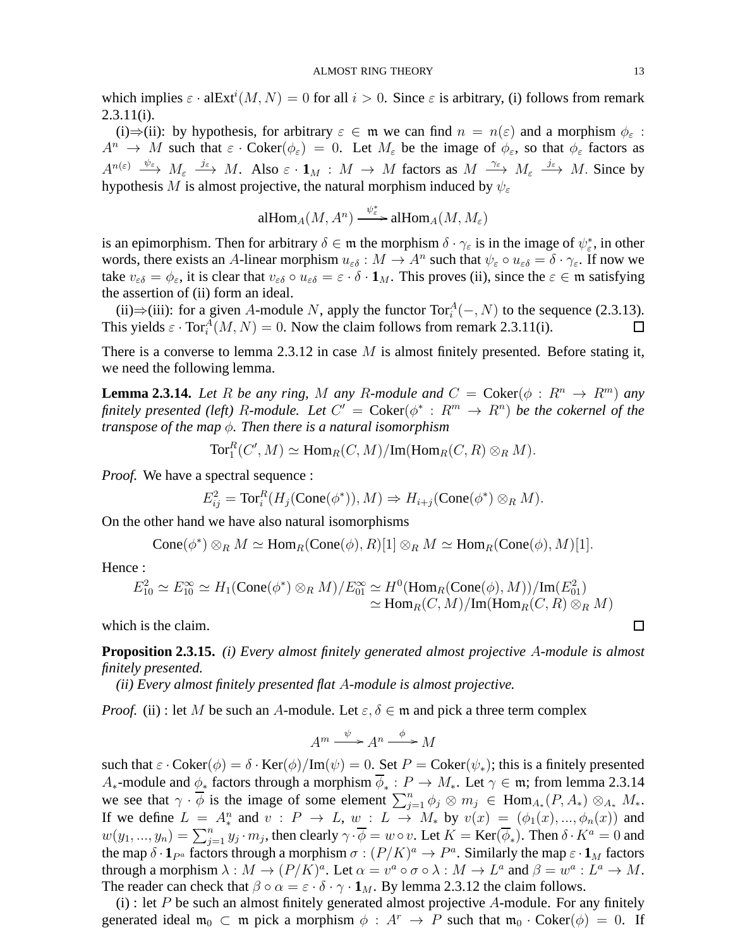which implies  $\varepsilon \cdot \text{alExt}^i(M, N) = 0$  for all  $i > 0$ . Since  $\varepsilon$  is arbitrary, (i) follows from remark  $2.3.11(i)$ .

(i)⇒(ii): by hypothesis, for arbitrary  $\varepsilon \in \mathfrak{m}$  we can find  $n = n(\varepsilon)$  and a morphism  $\phi_{\varepsilon}$ :  $A^n \to M$  such that  $\varepsilon \cdot \text{Coker}(\phi_{\varepsilon}) = 0$ . Let  $M_{\varepsilon}$  be the image of  $\phi_{\varepsilon}$ , so that  $\phi_{\varepsilon}$  factors as  $A^{n(\varepsilon)} \stackrel{\psi_{\varepsilon}}{\longrightarrow} M_{\varepsilon} \stackrel{j_{\varepsilon}}{\longrightarrow} M$ . Also  $\varepsilon \cdot \mathbf{1}_M : M \to M$  factors as  $M \stackrel{\gamma_{\varepsilon}}{\longrightarrow} M_{\varepsilon} \stackrel{j_{\varepsilon}}{\longrightarrow} M$ . Since by hypothesis M is almost projective, the natural morphism induced by  $\psi_{\varepsilon}$ 

$$
\mathrm{alHom}_A(M, A^n) \xrightarrow{\ \psi_{\varepsilon}^* \ } \mathrm{alHom}_A(M, M_{\varepsilon})
$$

is an epimorphism. Then for arbitrary  $\delta \in \mathfrak{m}$  the morphism  $\delta \cdot \gamma_{\varepsilon}$  is in the image of  $\psi_{\varepsilon}^*$ , in other words, there exists an A-linear morphism  $u_{\varepsilon\delta}: M \to A^n$  such that  $\psi_{\varepsilon} \circ u_{\varepsilon\delta} = \delta \cdot \gamma_{\varepsilon}$ . If now we take  $v_{\varepsilon\delta} = \phi_{\varepsilon}$ , it is clear that  $v_{\varepsilon\delta} \circ u_{\varepsilon\delta} = \varepsilon \cdot \delta \cdot \mathbf{1}_M$ . This proves (ii), since the  $\varepsilon \in \mathfrak{m}$  satisfying the assertion of (ii) form an ideal.

(ii)⇒(iii): for a given A-module N, apply the functor  $Tor_i^A(-, N)$  to the sequence (2.3.13). This yields  $\varepsilon \cdot \text{Tor}_i^A(M, N) = 0$ . Now the claim follows from remark 2.3.11(i).  $\Box$ 

There is a converse to lemma 2.3.12 in case  $M$  is almost finitely presented. Before stating it, we need the following lemma.

**Lemma 2.3.14.** *Let* R *be any ring,* M *any* R-module and  $C = \text{Coker}(\phi : R^n \to R^m)$  *any finitely presented (left)* R-module. Let  $C' = \text{Coker}(\phi^* : R^m \to R^n)$  be the cokernel of the *transpose of the map* φ*. Then there is a natural isomorphism*

$$
\operatorname{Tor}^R_1(C',M)\simeq \operatorname{Hom}_R(C,M)/\operatorname{Im}(\operatorname{Hom}_R(C,R)\otimes_R M).
$$

*Proof.* We have a spectral sequence :

$$
E_{ij}^2 = \text{Tor}_i^R(H_j(\text{Cone}(\phi^*)), M) \Rightarrow H_{i+j}(\text{Cone}(\phi^*) \otimes_R M).
$$

On the other hand we have also natural isomorphisms

$$
Cone(\phi^*) \otimes_R M \simeq \text{Hom}_R(\text{Cone}(\phi), R)[1] \otimes_R M \simeq \text{Hom}_R(\text{Cone}(\phi), M)[1].
$$

Hence :

$$
E_{10}^2 \simeq E_{10}^{\infty} \simeq H_1(\text{Cone}(\phi^*) \otimes_R M)/E_{01}^{\infty} \simeq H^0(\text{Hom}_R(\text{Cone}(\phi), M))/\text{Im}(E_{01}^2)
$$
  

$$
\simeq \text{Hom}_R(C, M)/\text{Im}(\text{Hom}_R(C, R) \otimes_R M)
$$

which is the claim.

**Proposition 2.3.15.** *(i) Every almost finitely generated almost projective* A*-module is almost finitely presented.*

*(ii) Every almost finitely presented flat* A*-module is almost projective.*

*Proof.* (ii) : let M be such an A-module. Let  $\varepsilon, \delta \in \mathfrak{m}$  and pick a three term complex

$$
A^m \xrightarrow{\psi} A^n \xrightarrow{\phi} M
$$

such that  $\varepsilon \cdot \text{Coker}(\phi) = \delta \cdot \text{Ker}(\phi)/\text{Im}(\psi) = 0$ . Set  $P = \text{Coker}(\psi_*)$ ; this is a finitely presented A<sub>\*</sub>-module and  $\phi_*$  factors through a morphism  $\phi_* : P \to M_*$ . Let  $\gamma \in \mathfrak{m}$ ; from lemma 2.3.14 we see that  $\gamma \cdot \overline{\phi}$  is the image of some element  $\sum_{j=1}^n \phi_j \otimes m_j \in \text{Hom}_{A_*}(P, A_*) \otimes_{A_*} M_*$ . If we define  $L = A_*^n$  and  $v : P \to L$ ,  $w : L \to M_*$  by  $v(x) = (\phi_1(x), ..., \phi_n(x))$  and  $w(y_1, ..., y_n) = \sum_{j=1}^n y_j \cdot m_j$ , then clearly  $\gamma \cdot \overline{\phi} = w \circ v$ . Let  $K = \text{Ker}(\overline{\phi}_*)$ . Then  $\delta \cdot K^a = 0$  and the map  $\delta \cdot \mathbf{1}_{P^a}$  factors through a morphism  $\sigma : (P/K)^a \to P^a$ . Similarly the map  $\varepsilon \cdot \mathbf{1}_M$  factors through a morphism  $\lambda: M \to (P/K)^a$ . Let  $\alpha = v^a \circ \sigma \circ \lambda: M \to L^a$  and  $\beta = w^a: L^a \to M$ . The reader can check that  $\beta \circ \alpha = \varepsilon \cdot \delta \cdot \gamma \cdot \mathbf{1}_M$ . By lemma 2.3.12 the claim follows.

(i) : let  $P$  be such an almost finitely generated almost projective  $A$ -module. For any finitely generated ideal  $\mathfrak{m}_0 \subset \mathfrak{m}$  pick a morphism  $\phi : A^r \to P$  such that  $\mathfrak{m}_0 \cdot \text{Coker}(\phi) = 0$ . If

 $\Box$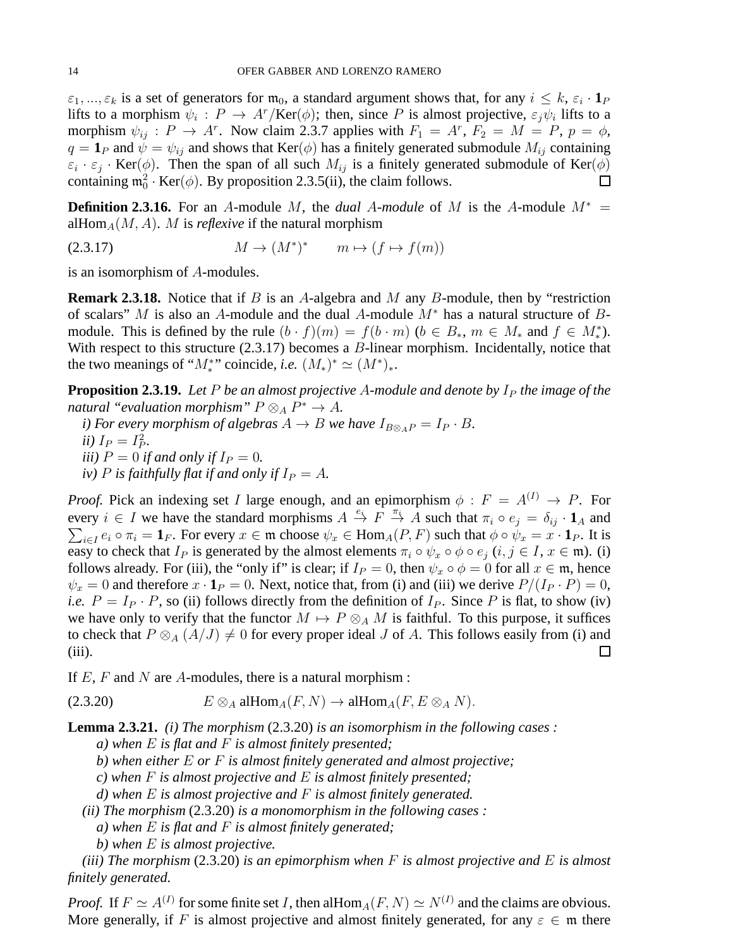$\varepsilon_1,...,\varepsilon_k$  is a set of generators for  $\mathfrak{m}_0$ , a standard argument shows that, for any  $i \leq k$ ,  $\varepsilon_i \cdot \mathbf{1}_P$ lifts to a morphism  $\psi_i: P \to A^r/\text{Ker}(\phi)$ ; then, since P is almost projective,  $\varepsilon_j \psi_i$  lifts to a morphism  $\psi_{ij} : P \to A^r$ . Now claim 2.3.7 applies with  $F_1 = A^r$ ,  $F_2 = M = P$ ,  $p = \phi$ ,  $q = \mathbf{1}_P$  and  $\psi = \psi_{ij}$  and shows that Ker( $\phi$ ) has a finitely generated submodule  $M_{ij}$  containing  $\varepsilon_i \cdot \varepsilon_j$  · Ker( $\phi$ ). Then the span of all such  $M_{ij}$  is a finitely generated submodule of Ker( $\phi$ ) containing  $\mathfrak{m}_0^2 \cdot \text{Ker}(\phi)$ . By proposition 2.3.5(ii), the claim follows.  $\Box$ 

**Definition 2.3.16.** For an A-module M, the *dual* A-module of M is the A-module  $M^*$  = alHom<sub>A</sub> $(M, A)$ . M is *reflexive* if the natural morphism

$$
(2.3.17) \t\t\t M \to (M^*)^* \t\t m \mapsto (f \mapsto f(m))
$$

is an isomorphism of A-modules.

**Remark 2.3.18.** Notice that if B is an A-algebra and M any B-module, then by "restriction" of scalars" M is also an A-module and the dual A-module  $M^*$  has a natural structure of Bmodule. This is defined by the rule  $(b \cdot f)(m) = f(b \cdot m)$   $(b \in B_*, m \in M_*$  and  $f \in M_*^*$ . With respect to this structure  $(2.3.17)$  becomes a  $B$ -linear morphism. Incidentally, notice that the two meanings of " $M_*^*$ " coincide, *i.e.*  $(M_*)^* \simeq (M^*)_*$ .

**Proposition 2.3.19.** Let P be an almost projective A-module and denote by  $I_P$  the image of the *natural "evaluation morphism"*  $P \otimes_A P^* \to A$ .

*i)* For every morphism of algebras  $A \rightarrow B$  we have  $I_{B\otimes_A P} = I_P \cdot B$ . *ii*)  $I_P = I_P^2$ . *iii*)  $P = 0$  *if and only if*  $I_P = 0$ *. iv*) P is faithfully flat if and only if  $I_P = A$ .

*Proof.* Pick an indexing set I large enough, and an epimorphism  $\phi$  :  $F = A^{(I)} \rightarrow P$ . For every  $i \in I$  we have the standard morphisms  $A \stackrel{e_i}{\to} F \stackrel{\pi_i}{\to} A$  such that  $\pi_i \circ e_j = \delta_{ij}$ every  $i \in I$  we have the standard morphisms  $A \stackrel{e_i}{\to} F \stackrel{n_i}{\to} A$  such that  $\pi_i \circ e_j = \delta_{ij} \cdot \mathbf{1}_A$  and  $\sum_{i \in I} e_i \circ \pi_i = \mathbf{1}_F$ . For every  $x \in \mathfrak{m}$  choose  $\psi_x \in \text{Hom}_A(P, F)$  such that  $\phi \circ \psi_x = x \cdot \mathbf{1}_P$ . It is easy to check that  $I_P$  is generated by the almost elements  $\pi_i \circ \psi_x \circ \phi \circ e_i$   $(i, j \in I, x \in \mathfrak{m})$ . (i) follows already. For (iii), the "only if" is clear; if  $I_P = 0$ , then  $\psi_x \circ \phi = 0$  for all  $x \in \mathfrak{m}$ , hence  $\psi_x = 0$  and therefore  $x \cdot \mathbf{1}_P = 0$ . Next, notice that, from (i) and (iii) we derive  $P/(I_P \cdot P) = 0$ , *i.e.*  $P = I_P \cdot P$ , so (ii) follows directly from the definition of  $I_P$ . Since P is flat, to show (iv) we have only to verify that the functor  $M \mapsto P \otimes_A M$  is faithful. To this purpose, it suffices to check that  $P \otimes_A (A/J) \neq 0$  for every proper ideal J of A. This follows easily from (i) and (iii).  $\Box$ 

If  $E$ ,  $F$  and  $N$  are  $A$ -modules, there is a natural morphism :

(2.3.20)  $E \otimes_A \text{alHom}_A(F, N) \to \text{alHom}_A(F, E \otimes_A N).$ 

**Lemma 2.3.21.** *(i) The morphism* (2.3.20) *is an isomorphism in the following cases :*

*a) when* E *is flat and* F *is almost finitely presented;*

- *b) when either* E *or* F *is almost finitely generated and almost projective;*
- *c) when* F *is almost projective and* E *is almost finitely presented;*
- *d) when* E *is almost projective and* F *is almost finitely generated.*
- *(ii) The morphism* (2.3.20) *is a monomorphism in the following cases :*
	- *a) when* E *is flat and* F *is almost finitely generated;*
	- *b) when* E *is almost projective.*

*(iii) The morphism* (2.3.20) *is an epimorphism when* F *is almost projective and* E *is almost finitely generated.*

*Proof.* If  $F \simeq A^{(I)}$  for some finite set I, then all  $\text{Hom}_A(F, N) \simeq N^{(I)}$  and the claims are obvious. More generally, if F is almost projective and almost finitely generated, for any  $\varepsilon \in \mathfrak{m}$  there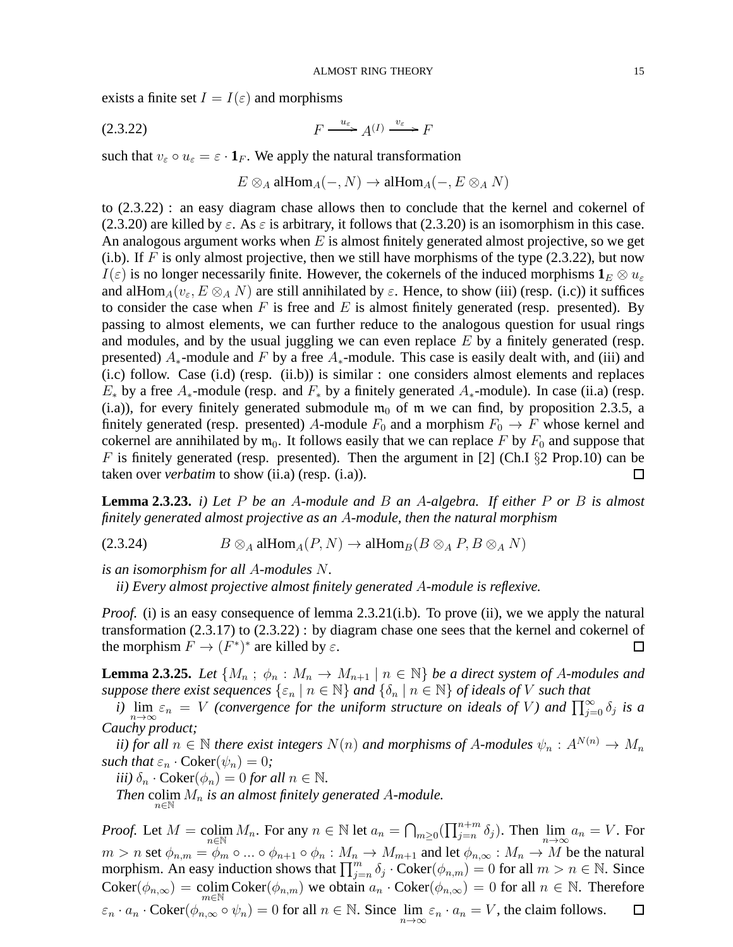exists a finite set  $I = I(\varepsilon)$  and morphisms

$$
(2.3.22) \t\t F \xrightarrow{u_{\varepsilon}} A^{(I)} \xrightarrow{v_{\varepsilon}} F
$$

such that  $v_{\varepsilon} \circ u_{\varepsilon} = \varepsilon \cdot \mathbf{1}_F$ . We apply the natural transformation

 $E \otimes_A \text{alHom}_A(-, N) \to \text{alHom}_A(-, E \otimes_A N)$ 

to (2.3.22) : an easy diagram chase allows then to conclude that the kernel and cokernel of (2.3.20) are killed by  $\varepsilon$ . As  $\varepsilon$  is arbitrary, it follows that (2.3.20) is an isomorphism in this case. An analogous argument works when  $E$  is almost finitely generated almost projective, so we get (i.b). If F is only almost projective, then we still have morphisms of the type  $(2.3.22)$ , but now  $I(\varepsilon)$  is no longer necessarily finite. However, the cokernels of the induced morphisms  $\mathbf{1}_{E} \otimes u_{\varepsilon}$ and alHom<sub>A</sub>( $v_{\varepsilon}$ ,  $E \otimes_A N$ ) are still annihilated by  $\varepsilon$ . Hence, to show (iii) (resp. (i.c)) it suffices to consider the case when F is free and E is almost finitely generated (resp. presented). By passing to almost elements, we can further reduce to the analogous question for usual rings and modules, and by the usual juggling we can even replace  $E$  by a finitely generated (resp. presented)  $A_*$ -module and F by a free  $A_*$ -module. This case is easily dealt with, and (iii) and (i.c) follow. Case (i.d) (resp. (ii.b)) is similar : one considers almost elements and replaces  $E_*$  by a free  $A_*$ -module (resp. and  $F_*$  by a finitely generated  $A_*$ -module). In case (ii.a) (resp. (i.a)), for every finitely generated submodule  $m_0$  of m we can find, by proposition 2.3.5, a finitely generated (resp. presented) A-module  $F_0$  and a morphism  $F_0 \to F$  whose kernel and cokernel are annihilated by  $m_0$ . It follows easily that we can replace F by  $F_0$  and suppose that F is finitely generated (resp. presented). Then the argument in [2] (Ch.I  $\S$ 2 Prop.10) can be taken over *verbatim* to show (ii.a) (resp. (i.a)).  $\Box$ 

**Lemma 2.3.23.** *i) Let* P *be an* A*-module and* B *an* A*-algebra. If either* P *or* B *is almost finitely generated almost projective as an* A*-module, then the natural morphism*

(2.3.24)  $B \otimes_A \mathrm{alHom}_A(P, N) \to \mathrm{alHom}_B(B \otimes_A P, B \otimes_A N)$ 

*is an isomorphism for all* A*-modules* N*.*

*ii) Every almost projective almost finitely generated* A*-module is reflexive.*

*Proof.* (i) is an easy consequence of lemma 2.3.21(i.b). To prove (ii), we we apply the natural transformation (2.3.17) to (2.3.22) : by diagram chase one sees that the kernel and cokernel of the morphism  $F \to (F^*)^*$  are killed by  $\varepsilon$ .  $\Box$ 

**Lemma 2.3.25.** Let  $\{M_n: \phi_n: M_n \to M_{n+1} \mid n \in \mathbb{N}\}\$  be a direct system of A-modules and *suppose there exist sequences*  $\{\varepsilon_n \mid n \in \mathbb{N}\}\$  and  $\{\delta_n \mid n \in \mathbb{N}\}\$  of ideals of V such that

*i*)  $\lim_{n\to\infty} \varepsilon_n = V$  *(convergence for the uniform structure on ideals of V*) and  $\prod_{j=0}^{\infty} \delta_j$  *is a Cauchy product;*

*ii) for all*  $n \in \mathbb{N}$  *there exist integers*  $N(n)$  *and morphisms of A-modules*  $\psi_n : A^{N(n)} \to M_n$ *such that*  $\varepsilon_n \cdot \text{Coker}(\psi_n) = 0$ ;

*iii*)  $\delta_n \cdot \text{Coker}(\phi_n) = 0$  *for all*  $n \in \mathbb{N}$ .

*Then* colim  $M_n$  *is an almost finitely generated A-module.* 

*Proof.* Let  $M = \operatornamewithlimits{colim}_{n \in \mathbb{N}} M_n$ . For any  $n \in \mathbb{N}$  let  $a_n = \bigcap_{m \geq 0} (\prod_{j=n}^{n+m} \delta_j)$ . Then  $\lim_{n \to \infty} a_n = V$ . For  $n \in \mathbb{N}$  n  $\infty$  is  $\infty$  if  $n \in \mathbb{N}$  if  $m \geq 0$  if  $1j=n$  if  $j$  if  $n \to \infty$  $m > n$  set  $\phi_{n,m} = \phi_m \circ ... \circ \phi_{n+1} \circ \phi_n : M_n \to M_{m+1}$  and let  $\phi_{n,\infty} : M_n \to M$  be the natural morphism. An easy induction shows that  $\prod_{j=n}^m \delta_j \cdot \text{Coker}(\phi_{n,m}) = 0$  for all  $m > n \in \mathbb{N}$ . Since  $\text{Coker}(\phi_{n,\infty}) = \text{colim}_{m \in \mathbb{N}} \text{Coker}(\phi_{n,m})$  we obtain  $a_n \cdot \text{Coker}(\phi_{n,\infty}) = 0$  for all  $n \in \mathbb{N}$ . Therefore  $\varepsilon_n \cdot a_n \cdot \text{Coker}(\phi_{n,\infty} \circ \psi_n) = 0$  for all  $n \in \mathbb{N}$ . Since  $\lim_{n \to \infty} \varepsilon_n \cdot a_n = V$ , the claim follows.  $\Box$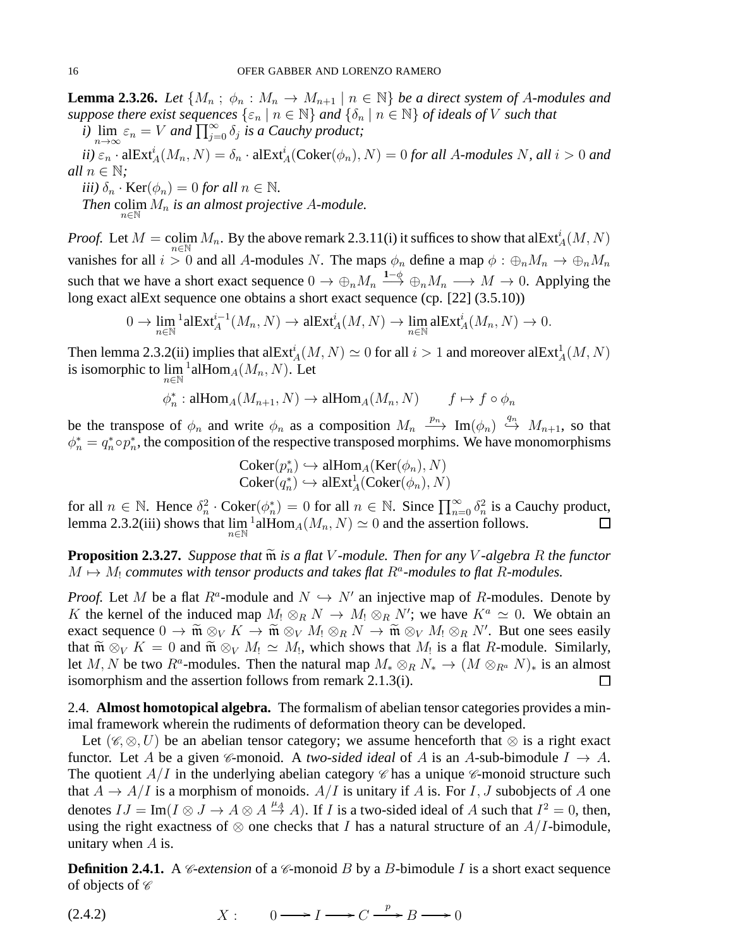**Lemma 2.3.26.** *Let*  $\{M_n : \phi_n : M_n \to M_{n+1} \mid n \in \mathbb{N}\}\$  *be a direct system of A-modules and suppose there exist sequences*  $\{\varepsilon_n \mid n \in \mathbb{N}\}\$  *and*  $\{\delta_n \mid n \in \mathbb{N}\}\$  *of ideals of* V *such that* 

*i*)  $\lim_{n \to \infty} \varepsilon_n = V$  *and*  $\prod_{j=0}^{\infty} \delta_j$  *is a Cauchy product*;  $\delta$ *ii*)  $\varepsilon_n$  · alExt<sup>i</sup><sub>A</sub>( $M_n$ ,  $N$ ) =  $\delta_n$  · alExt<sup>i</sup><sub>A</sub>(Coker( $\phi_n$ ),  $N$ ) = 0 *for all A*-modules N, all i > 0 and *all*  $n \in \mathbb{N}$ ;

 $\pi$ *iii*)  $\delta_n \cdot \text{Ker}(\phi_n) = 0$  *for all*  $n \in \mathbb{N}$ .

*Then* colim  $M_n$  *is an almost projective A-module.* 

*Proof.* Let  $M = \text{colim}_{n \in \mathbb{N}} M_n$ . By the above remark 2.3.11(i) it suffices to show that alExt<sup>i</sup><sub>4</sub> $(M, N)$  $n \in \mathbb{N}$ vanishes for all  $i > 0$  and all A-modules N. The maps  $\phi_n$  define a map  $\phi : \bigoplus_n M_n \to \bigoplus_n M_n$ such that we have a short exact sequence  $0 \to \bigoplus_n M_n \stackrel{1-\phi}{\longrightarrow} \bigoplus_n M_n \longrightarrow M \to 0$ . Applying the long exact alExt sequence one obtains a short exact sequence (cp. [22] (3.5.10))

$$
0 \to \lim_{n \in \mathbb{N}} {}^1 \text{alExt}^{i-1}_A(M_n, N) \to \text{alExt}^i_A(M, N) \to \lim_{n \in \mathbb{N}} \text{alExt}^i_A(M_n, N) \to 0.
$$

Then lemma 2.3.2(ii) implies that al $\mathrm{Ext}^i_A(M,N)\simeq 0$  for all  $i>1$  and moreover al $\mathrm{Ext}^1_A(M,N)$ is isomorphic to  $\lim_{n\in\mathbb{N}}$  $^1$ alHom $_A(M_n, N)$ . Let

 $\phi_n^* : \text{alHom}_A(M_{n+1}, N) \to \text{alHom}_A(M_n, N) \qquad f \mapsto f \circ \phi_n$ 

be the transpose of  $\phi_n$  and write  $\phi_n$  as a composition  $M_n \xrightarrow{p_n} \text{Im}(\phi_n) \stackrel{q_n}{\hookrightarrow} M_{n+1}$ , so that  $\phi_n^* = q_n^* \circ p_n^*$ , the composition of the respective transposed morphims. We have monomorphisms

$$
\text{Coker}(p_n^*) \hookrightarrow \text{alHom}_A(\text{Ker}(\phi_n), N)
$$
  

$$
\text{Coker}(q_n^*) \hookrightarrow \text{alExt}^1_A(\text{Coker}(\phi_n), N)
$$

for all  $n \in \mathbb{N}$ . Hence  $\delta_n^2 \cdot \text{Coker}(\phi_n^*) = 0$  for all  $n \in \mathbb{N}$ . Since  $\prod_{n=0}^{\infty} \delta_n^2$  is a Cauchy product, <sup>1</sup> alHom<sub>A</sub> $(M_n, N) \simeq 0$  and the assertion follows. lemma 2.3.2(iii) shows that  $\lim_{n \in \mathbb{N}}$  $\Box$ 

**Proposition 2.3.27.** *Suppose that*  $\widetilde{m}$  *is a flat V*-module. Then for any *V*-algebra *R* the functor  $M \mapsto M_1$  *commutes with tensor products and takes flat*  $R^a$ *-modules to flat*  $R$ *-modules.* 

*Proof.* Let M be a flat  $R^a$ -module and  $N \hookrightarrow N'$  an injective map of R-modules. Denote by K the kernel of the induced map  $M_1 \otimes_R N \to M_1 \otimes_R N'$ ; we have  $K^a \simeq 0$ . We obtain an exact sequence  $0 \to \widetilde{\mathfrak{m}} \otimes_V K \to \widetilde{\mathfrak{m}} \otimes_V M_! \otimes_R N \to \widetilde{\mathfrak{m}} \otimes_V M_! \otimes_R N'$ . But one sees easily that  $\widetilde{\mathfrak{m}} \otimes_V K = 0$  and  $\widetilde{\mathfrak{m}} \otimes_V M_! \simeq M_!,$  which shows that  $M_!$  is a flat R-module. Similarly, let  $M, N$  be two  $R^a$ -modules. Then the natural map  $M_* \otimes_R N_* \to (M \otimes_{R^a} N)_*$  is an almost isomorphism and the assertion follows from remark 2.1.3(i).  $\Box$ 

2.4. **Almost homotopical algebra.** The formalism of abelian tensor categories provides a minimal framework wherein the rudiments of deformation theory can be developed.

Let  $(\mathscr{C}, \otimes, U)$  be an abelian tensor category; we assume henceforth that  $\otimes$  is a right exact functor. Let A be a given *C*-monoid. A *two-sided ideal* of A is an A-sub-bimodule  $I \rightarrow A$ . The quotient  $A/I$  in the underlying abelian category  $\mathscr C$  has a unique  $\mathscr C$ -monoid structure such that  $A \to A/I$  is a morphism of monoids.  $A/I$  is unitary if A is. For I, J subobjects of A one denotes  $IJ = \text{Im}(I \otimes J \to A \otimes A \stackrel{\mu_A}{\to} A)$ . If *I* is a two-sided ideal of *A* such that  $I^2 = 0$ , then, using the right exactness of  $\otimes$  one checks that I has a natural structure of an A/I-bimodule, unitary when  $A$  is.

**Definition 2.4.1.** A *C*-extension of a *C*-monoid *B* by a *B*-bimodule *I* is a short exact sequence of objects of  $\mathscr C$ 

(2.4.2)  $X: 0 \longrightarrow I \longrightarrow C \stackrel{p}{\longrightarrow} B \longrightarrow 0$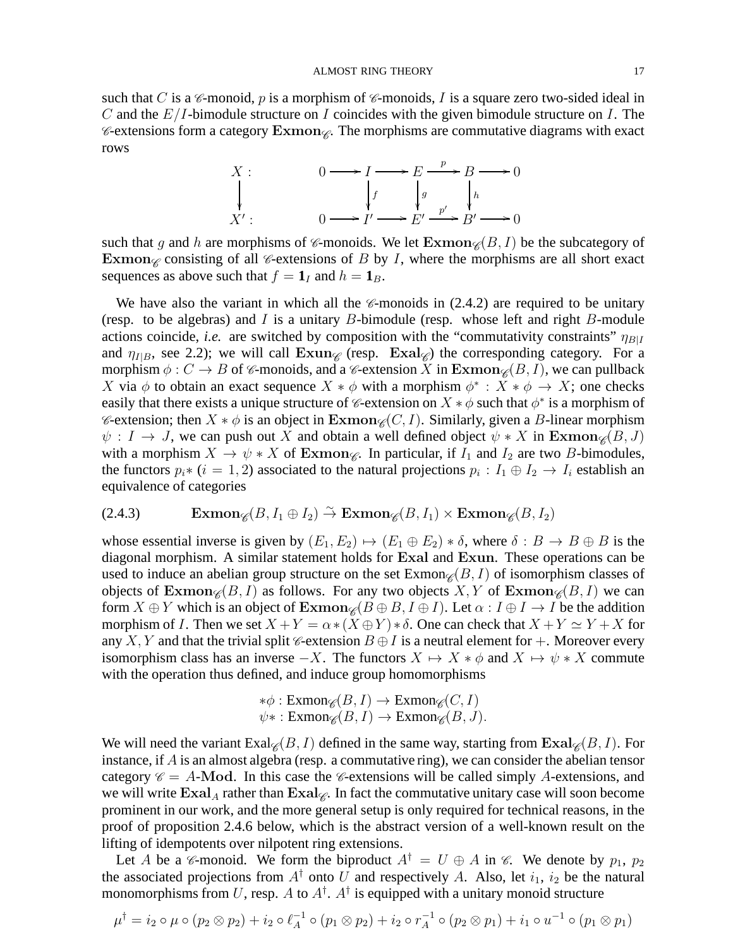such that C is a  $\mathcal C$ -monoid, p is a morphism of  $\mathcal C$ -monoids, I is a square zero two-sided ideal in C and the  $E/I$ -bimodule structure on I coincides with the given bimodule structure on I. The  $\mathscr C$ -extensions form a category  $\mathrm{Exmon}_{\mathscr C}$ . The morphisms are commutative diagrams with exact rows



such that g and h are morphisms of  $\mathscr C$ -monoids. We let  $\textbf{Exmon}_{\mathscr C}(B, I)$  be the subcategory of Exmon<sub> $\mathscr C$ </sub> consisting of all  $\mathscr C$ -extensions of B by I, where the morphisms are all short exact sequences as above such that  $f = \mathbf{1}_I$  and  $h = \mathbf{1}_B$ .

We have also the variant in which all the  $\mathscr C$ -monoids in (2.4.2) are required to be unitary (resp. to be algebras) and  $I$  is a unitary  $B$ -bimodule (resp. whose left and right  $B$ -module actions coincide, *i.e.* are switched by composition with the "commutativity constraints"  $\eta_{B|I}$ and  $\eta_{I|B}$ , see 2.2); we will call  $\text{Exun}_{\mathscr{C}}$  (resp.  $\text{Exal}_{\mathscr{C}}$ ) the corresponding category. For a morphism  $\phi: C \to B$  of *C*-monoids, and a *C*-extension X in  $\mathbf{Exmon}_{\mathscr{C}}(B, I)$ , we can pullback X via  $\phi$  to obtain an exact sequence  $X * \phi$  with a morphism  $\phi^* : X * \phi \to X$ ; one checks easily that there exists a unique structure of  $\mathscr C$ -extension on  $X * \phi$  such that  $\phi^*$  is a morphism of  $\mathscr$  extension; then  $X \ast \phi$  is an object in Exmon $\mathscr{C}(C, I)$ . Similarly, given a B-linear morphism  $\psi : I \to J$ , we can push out X and obtain a well defined object  $\psi * X$  in  $\text{Exmon}_{\mathscr{C}}(B, J)$ with a morphism  $X \to \psi * X$  of Exmon<sub>C</sub>. In particular, if  $I_1$  and  $I_2$  are two B-bimodules, the functors  $p_i * (i = 1, 2)$  associated to the natural projections  $p_i : I_1 \oplus I_2 \to I_i$  establish an equivalence of categories

(2.4.3) 
$$
\mathbf{Exmon}_{\mathscr{C}}(B, I_1 \oplus I_2) \stackrel{\sim}{\to} \mathbf{Exmon}_{\mathscr{C}}(B, I_1) \times \mathbf{Exmon}_{\mathscr{C}}(B, I_2)
$$

whose essential inverse is given by  $(E_1, E_2) \mapsto (E_1 \oplus E_2) * \delta$ , where  $\delta : B \to B \oplus B$  is the diagonal morphism. A similar statement holds for Exal and Exun. These operations can be used to induce an abelian group structure on the set  $\text{Exmon}_{\mathscr{C}}(B, I)$  of isomorphism classes of objects of  $\text{Exmon}_{\mathscr{C}}(B, I)$  as follows. For any two objects  $X, Y$  of  $\text{Exmon}_{\mathscr{C}}(B, I)$  we can form  $X \oplus Y$  which is an object of  $\textbf{Exmon}_{\mathscr{C}}(B \oplus B, I \oplus I)$ . Let  $\alpha : I \oplus I \to I$  be the addition morphism of I. Then we set  $X + Y = \alpha * (X \oplus Y) * \delta$ . One can check that  $X + Y \simeq Y + X$  for any X, Y and that the trivial split C-extension  $B \oplus I$  is a neutral element for  $+$ . Moreover every isomorphism class has an inverse  $-X$ . The functors  $X \mapsto X * \phi$  and  $X \mapsto \psi * X$  commute with the operation thus defined, and induce group homomorphisms

$$
\ast \phi : \mathrm{Exmon}_{\mathscr{C}}(B, I) \to \mathrm{Exmon}_{\mathscr{C}}(C, I)
$$
  

$$
\psi * : \mathrm{Exmon}_{\mathscr{C}}(B, I) \to \mathrm{Exmon}_{\mathscr{C}}(B, J).
$$

We will need the variant  $\text{Exal}_{\mathscr{C}}(B, I)$  defined in the same way, starting from  $\text{Exal}_{\mathscr{C}}(B, I)$ . For instance, if A is an almost algebra (resp. a commutative ring), we can consider the abelian tensor category  $\mathscr{C} = A$ -Mod. In this case the *C*-extensions will be called simply A-extensions, and we will write  $\text{Exal}_A$  rather than  $\text{Exal}_{\mathscr{C}}$ . In fact the commutative unitary case will soon become prominent in our work, and the more general setup is only required for technical reasons, in the proof of proposition 2.4.6 below, which is the abstract version of a well-known result on the lifting of idempotents over nilpotent ring extensions.

Let A be a  $\mathscr C$ -monoid. We form the biproduct  $A^{\dagger} = U \oplus A$  in  $\mathscr C$ . We denote by  $p_1, p_2$ the associated projections from  $A^{\dagger}$  onto U and respectively A. Also, let  $i_1$ ,  $i_2$  be the natural monomorphisms from U, resp. A to  $A^{\dagger}$ .  $A^{\dagger}$  is equipped with a unitary monoid structure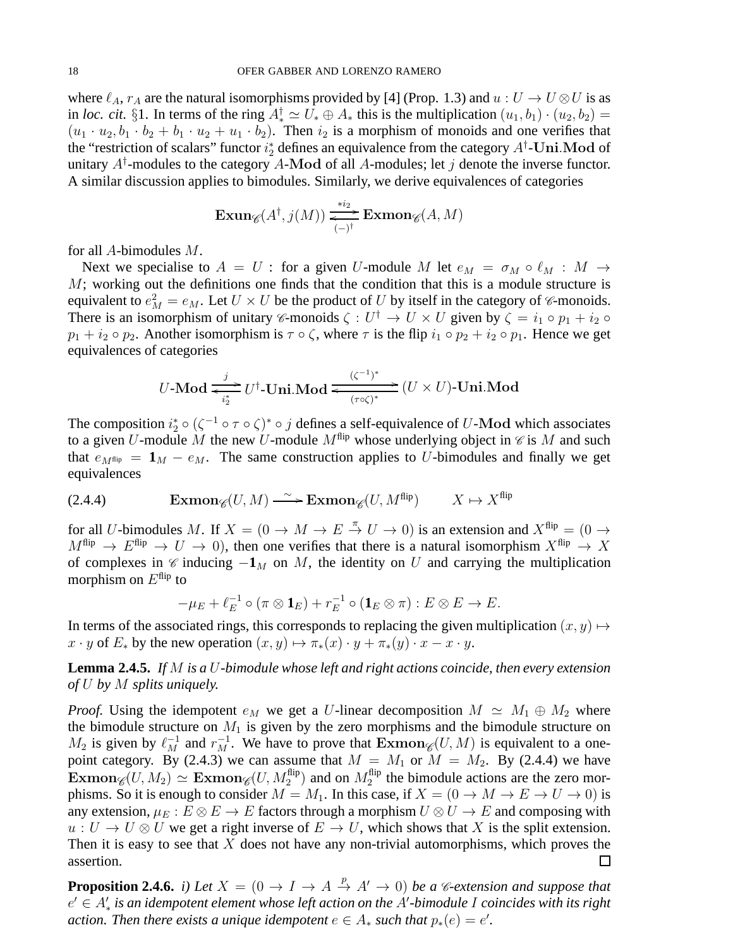where  $\ell_A$ ,  $r_A$  are the natural isomorphisms provided by [4] (Prop. 1.3) and  $u: U \to U \otimes U$  is as in *loc. cit.* §1. In terms of the ring  $A_*^{\dagger} \simeq U_* \oplus A_*$  this is the multiplication  $(u_1, b_1) \cdot (u_2, b_2) =$  $(u_1 \cdot u_2, b_1 \cdot b_2 + b_1 \cdot u_2 + u_1 \cdot b_2)$ . Then  $i_2$  is a morphism of monoids and one verifies that the "restriction of scalars" functor  $i_2^*$  defines an equivalence from the category  $A^\dagger\text{-}\mathbf{Uni}.\mathbf{Mod}$  of unitary  $A^{\dagger}$ -modules to the category A-Mod of all A-modules; let j denote the inverse functor. A similar discussion applies to bimodules. Similarly, we derive equivalences of categories

$$
\operatorname{Exun}_{\mathscr{C}}(A^{\dagger},j(M))\xrightarrow[(-)^{\dagger}]{\ast i_{2}}\operatorname{Exmon}_{\mathscr{C}}(A,M)
$$

for all A-bimodules M.

Next we specialise to  $A = U$ : for a given U-module M let  $e_M = \sigma_M \circ \ell_M : M \to$  $M$ ; working out the definitions one finds that the condition that this is a module structure is equivalent to  $e_M^2 = e_M$ . Let  $U \times U$  be the product of U by itself in the category of  $\mathscr{C}$ -monoids. There is an isomorphism of unitary *C*-monoids  $\zeta: U^{\dagger} \to U \times U$  given by  $\zeta = i_1 \circ p_1 + i_2 \circ$  $p_1 + i_2 \circ p_2$ . Another isomorphism is  $\tau \circ \zeta$ , where  $\tau$  is the flip  $i_1 \circ p_2 + i_2 \circ p_1$ . Hence we get equivalences of categories

$$
U\text{-}\mathbf{Mod} \xrightarrow[0.5]{j} U^{\dagger}\text{-}\mathbf{Uni}.\mathbf{Mod} \xrightarrow[(\tau\circ\zeta)^{*}]{(\zeta^{-1})^{*}} (U \times U)\text{-}\mathbf{Uni}.\mathbf{Mod}
$$

The composition  $i_2^* \circ (\zeta^{-1} \circ \tau \circ \zeta)^* \circ j$  defines a self-equivalence of U-Mod which associates to a given U-module M the new U-module  $M^{flip}$  whose underlying object in  $\mathcal C$  is M and such that  $e_M$ <sub>flip</sub> =  $\mathbf{1}_M - e_M$ . The same construction applies to U-bimodules and finally we get equivalences

(2.4.4) 
$$
\mathbf{Exmon}_{\mathscr{C}}(U,M) \xrightarrow{\sim} \mathbf{Exmon}_{\mathscr{C}}(U,M^{\text{flip}}) \qquad X \mapsto X^{\text{flip}}
$$

for all U-bimodules M. If  $X = (0 \to M \to E \stackrel{\pi}{\to} U \to 0)$  is an extension and  $X^{\text{flip}} = (0 \to E \stackrel{\pi}{\to} U \to 0)$  $M^{flip} \rightarrow E^{flip} \rightarrow U \rightarrow 0$ , then one verifies that there is a natural isomorphism  $X^{flip} \rightarrow X$ of complexes in  $\mathscr C$  inducing  $-\mathbf{1}_M$  on M, the identity on U and carrying the multiplication morphism on  $E^{flip}$  to

$$
-\mu_E + \ell_E^{-1} \circ (\pi \otimes \mathbf{1}_E) + r_E^{-1} \circ (\mathbf{1}_E \otimes \pi) : E \otimes E \to E.
$$

In terms of the associated rings, this corresponds to replacing the given multiplication  $(x, y) \mapsto$  $x \cdot y$  of  $E_*$  by the new operation  $(x, y) \mapsto \pi_*(x) \cdot y + \pi_*(y) \cdot x - x \cdot y$ .

**Lemma 2.4.5.** *If* M *is a* U*-bimodule whose left and right actions coincide, then every extension of* U *by* M *splits uniquely.*

*Proof.* Using the idempotent  $e_M$  we get a U-linear decomposition  $M \simeq M_1 \oplus M_2$  where the bimodule structure on  $M_1$  is given by the zero morphisms and the bimodule structure on  $M_2$  is given by  $\ell_M^{-1}$  and  $r_M^{-1}$ . We have to prove that  $\text{Exmon}_{\mathscr{C}}(U, M)$  is equivalent to a onepoint category. By (2.4.3) we can assume that  $M = M_1$  or  $M = M_2$ . By (2.4.4) we have  $\text{Exmon}_{\mathscr{C}}(U, M_2) \simeq \text{Exmon}_{\mathscr{C}}(U, M_2^{\text{flip}})$  and on  $M_2^{\text{flip}}$  $t_2^{\text{mp}}$  the bimodule actions are the zero morphisms. So it is enough to consider  $M = M_1$ . In this case, if  $X = (0 \to M \to E \to U \to 0)$  is any extension,  $\mu_E : E \otimes E \to E$  factors through a morphism  $U \otimes U \to E$  and composing with  $u: U \to U \otimes U$  we get a right inverse of  $E \to U$ , which shows that X is the split extension. Then it is easy to see that  $X$  does not have any non-trivial automorphisms, which proves the assertion.  $\Box$ 

**Proposition 2.4.6.** *i)* Let  $X = (0 \to I \to A \stackrel{p}{\to} A' \to 0)$  be a *C*-extension and suppose that e ′ ∈ A′ ∗ *is an idempotent element whose left action on the* A′ *-bimodule* I *coincides with its right action. Then there exists a unique idempotent*  $e \in A_*$  *such that*  $p_*(e) = e'$ .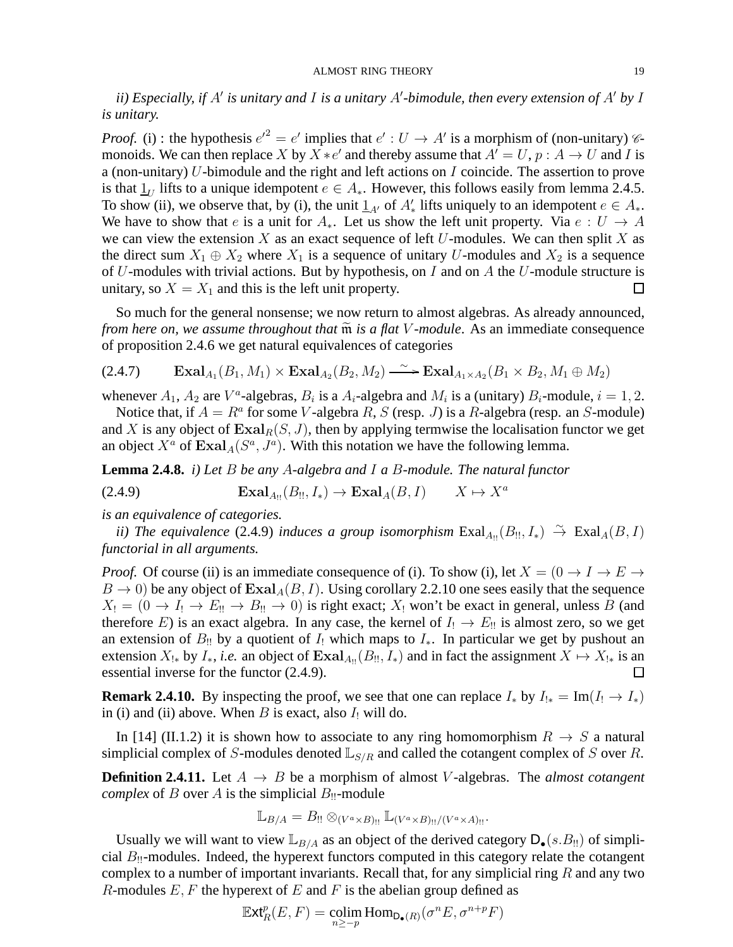*ii) Especially, if* A′ *is unitary and* I *is a unitary* A′ *-bimodule, then every extension of* A′ *by* I *is unitary.*

*Proof.* (i) : the hypothesis  $e^{i^2} = e^i$  implies that  $e^i : U \to A^i$  is a morphism of (non-unitary)  $\mathscr{C}$ monoids. We can then replace X by  $X * e'$  and thereby assume that  $A' = U$ ,  $p : A \to U$  and I is a (non-unitary) U-bimodule and the right and left actions on I coincide. The assertion to prove is that  $\underline{1}_U$  lifts to a unique idempotent  $e \in A_*$ . However, this follows easily from lemma 2.4.5. To show (ii), we observe that, by (i), the unit  $\underline{1}_{A'}$  of  $A'_{*}$  lifts uniquely to an idempotent  $e \in A_{*}$ . We have to show that e is a unit for  $A_{*}$ . Let us show the left unit property. Via  $e: U \rightarrow A$ we can view the extension X as an exact sequence of left U-modules. We can then split X as the direct sum  $X_1 \oplus X_2$  where  $X_1$  is a sequence of unitary U-modules and  $X_2$  is a sequence of U-modules with trivial actions. But by hypothesis, on I and on A the U-module structure is unitary, so  $X = X_1$  and this is the left unit property.  $\Box$ 

So much for the general nonsense; we now return to almost algebras. As already announced, *from here on, we assume throughout that*  $\tilde{m}$  *is a flat V-module*. As an immediate consequence of proposition 2.4.6 we get natural equivalences of categories

$$
(2.4.7) \quad \mathbf{Exal}_{A_1}(B_1, M_1) \times \mathbf{Exal}_{A_2}(B_2, M_2) \xrightarrow{\sim} \mathbf{Exal}_{A_1 \times A_2}(B_1 \times B_2, M_1 \oplus M_2)
$$

whenever  $A_1$ ,  $A_2$  are  $V^a$ -algebras,  $B_i$  is a  $A_i$ -algebra and  $M_i$  is a (unitary)  $B_i$ -module,  $i = 1, 2$ .

Notice that, if  $A = R^a$  for some V-algebra R, S (resp. J) is a R-algebra (resp. an S-module) and X is any object of  $\text{Exal}_R(S, J)$ , then by applying termwise the localisation functor we get an object  $X^a$  of  $\mathbf{Exal}_A(S^a, J^a)$ . With this notation we have the following lemma.

**Lemma 2.4.8.** *i) Let* B *be any* A*-algebra and* I *a* B*-module. The natural functor*

 $\mathbf{Exal}_{A_{!!}}(B_{!!}, I_*) \to \mathbf{Exal}_A(B, I) \qquad X \mapsto X^a$ (2.4.9)

*is an equivalence of categories.*

*ii*) The equivalence (2.4.9) *induces a group isomorphism*  $Exal_{A_{11}}(B_{11}, I_*) \rightarrow Exal_A(B, I)$ *functorial in all arguments.*

*Proof.* Of course (ii) is an immediate consequence of (i). To show (i), let  $X = (0 \rightarrow I \rightarrow E \rightarrow$  $B \to 0$ ) be any object of  $\text{Exal}_A(B, I)$ . Using corollary 2.2.10 one sees easily that the sequence  $X_1 = (0 \to I_1 \to E_{II} \to B_{II} \to 0)$  is right exact;  $X_1$  won't be exact in general, unless B (and therefore E) is an exact algebra. In any case, the kernel of  $I_1 \rightarrow E_{II}$  is almost zero, so we get an extension of B<sub>!!</sub> by a quotient of I<sub>!</sub> which maps to  $I_*,$  In particular we get by pushout an extension  $X_{!*}$  by  $I_*, i.e.$  an object of  $\text{Exal}_{A_{!!}}(B_{!!}, I_*)$  and in fact the assignment  $X \mapsto X_{!*}$  is an essential inverse for the functor (2.4.9).

**Remark 2.4.10.** By inspecting the proof, we see that one can replace  $I_*$  by  $I_{!*} = \text{Im}(I_! \rightarrow I_*)$ in (i) and (ii) above. When  $B$  is exact, also  $I_1$  will do.

In [14] (II.1.2) it is shown how to associate to any ring homomorphism  $R \to S$  a natural simplicial complex of S-modules denoted  $\mathbb{L}_{S/R}$  and called the cotangent complex of S over R.

**Definition 2.4.11.** Let  $A \rightarrow B$  be a morphism of almost V-algebras. The *almost cotangent complex* of B over A is the simplicial  $B_{\text{II}}$ -module

$$
\mathbb{L}_{B/A} = B_{!!} \otimes_{(V^a \times B)_{!!}} \mathbb{L}_{(V^a \times B)_{!!}/(V^a \times A)_{!!}}.
$$

Usually we will want to view  $\mathbb{L}_{B/A}$  as an object of the derived category  $\mathsf{D}_{\bullet}(s.B_{!!})$  of simplicial  $B_{\parallel}$ -modules. Indeed, the hyperext functors computed in this category relate the cotangent complex to a number of important invariants. Recall that, for any simplicial ring  $R$  and any two R-modules  $E, F$  the hyperext of  $E$  and  $F$  is the abelian group defined as

$$
\mathbb{E}\text{xt}^p_R(E,F)=\operatornamewithlimits{colim}_{n\geq -p} \operatorname{Hom}_{\textbf{D}_\bullet(R)}(\sigma^n E,\sigma^{n+p}F)
$$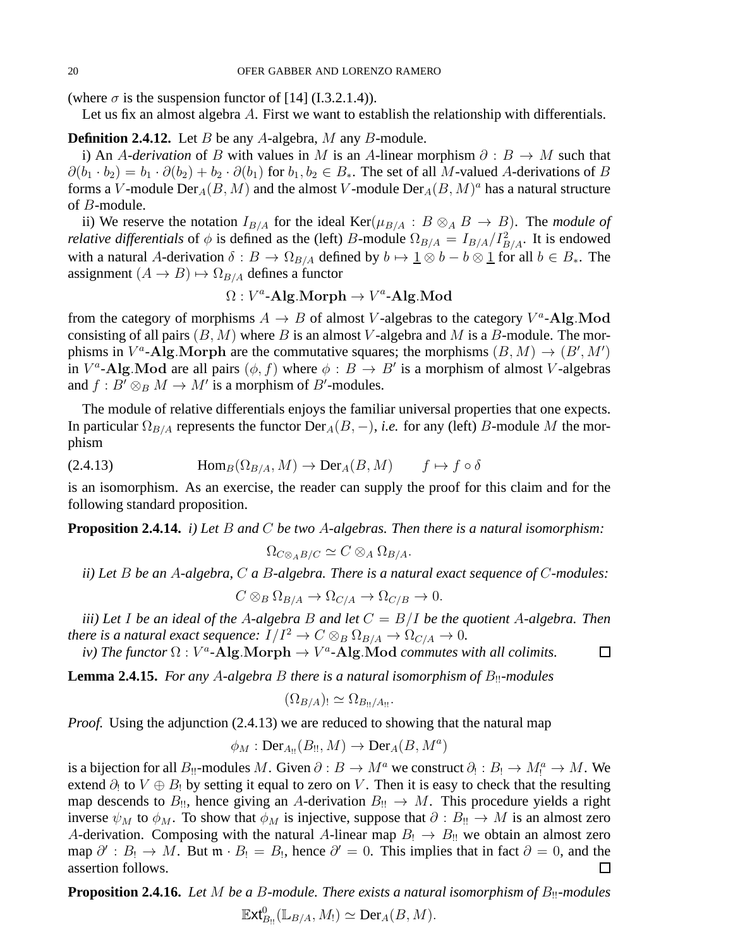(where  $\sigma$  is the suspension functor of [14] (I.3.2.1.4)).

Let us fix an almost algebra A. First we want to establish the relationship with differentials.

### **Definition 2.4.12.** Let B be any A-algebra, M any B-module.

i) An A-derivation of B with values in M is an A-linear morphism  $\partial : B \to M$  such that  $\partial (b_1 \cdot b_2) = b_1 \cdot \partial (b_2) + b_2 \cdot \partial (b_1)$  for  $b_1, b_2 \in B_*$ . The set of all M-valued A-derivations of B forms a V-module  $\operatorname{Der}_A(B,M)$  and the almost  $V\text{-module } \operatorname{Der}_A(B,M)^a$  has a natural structure of B-module.

ii) We reserve the notation  $I_{B/A}$  for the ideal Ker( $\mu_{B/A}$  :  $B \otimes_A B \to B$ ). The *module of relative differentials* of  $\phi$  is defined as the (left) *B*-module  $\Omega_{B/A} = I_{B/A}/I_{B/A}^2$ . It is endowed with a natural A-derivation  $\delta : B \to \Omega_{B/A}$  defined by  $b \mapsto \underline{1} \otimes b - b \otimes \underline{1}$  for all  $b \in B_*$ . The assignment  $(A \to B) \mapsto \Omega_{B/A}$  defines a functor

 $\Omega: V^a$ -Alg.Morph  $\rightarrow V^a$ -Alg.Mod

from the category of morphisms  $A \to B$  of almost V-algebras to the category  $V^a$ -Alg.Mod consisting of all pairs  $(B, M)$  where B is an almost V-algebra and M is a B-module. The morphisms in  $V^a$ -Alg.Morph are the commutative squares; the morphisms  $(B, M) \to (B', M')$ in  $V^a$ -Alg.Mod are all pairs  $(\phi, f)$  where  $\phi : B \to B'$  is a morphism of almost V-algebras and  $f : B' \otimes_B M \to M'$  is a morphism of B'-modules.

The module of relative differentials enjoys the familiar universal properties that one expects. In particular  $\Omega_{B/A}$  represents the functor  $Der_A(B, -)$ , *i.e.* for any (left) B-module M the morphism

(2.4.13)  $\text{Hom}_B(\Omega_{B/A}, M) \to \text{Der}_A(B, M) \quad f \mapsto f \circ \delta$ 

is an isomorphism. As an exercise, the reader can supply the proof for this claim and for the following standard proposition.

**Proposition 2.4.14.** *i) Let* B *and* C *be two* A*-algebras. Then there is a natural isomorphism:*

$$
\Omega_{C\otimes_A B/C} \simeq C\otimes_A \Omega_{B/A}.
$$

*ii) Let* B *be an* A*-algebra,* C *a* B*-algebra. There is a natural exact sequence of* C*-modules:*

$$
C \otimes_B \Omega_{B/A} \to \Omega_{C/A} \to \Omega_{C/B} \to 0.
$$

*iii) Let* I *be an ideal of the* A*-algebra* B *and let* C = B/I *be the quotient* A*-algebra. Then there is a natural exact sequence:*  $I/I^2 \to C \otimes_B \Omega_{B/A} \to \Omega_{C/A} \to 0$ .  $\Box$ 

*iv*) The functor  $\Omega : V^a$ -Alg.Morph  $\rightarrow V^a$ -Alg.Mod *commutes with all colimits.* 

**Lemma 2.4.15.** *For any A-algebra B there is a natural isomorphism of B*<sub>!!</sub>*-modules* 

$$
(\Omega_{B/A})_! \simeq \Omega_{B_{!!}/A_{!!}}.
$$

*Proof.* Using the adjunction (2.4.13) we are reduced to showing that the natural map

$$
\phi_M : \text{Der}_{A_{!!}}(B_{!!}, M) \to \text{Der}_A(B, M^a)
$$

is a bijection for all  $B_{!!}$ -modules M. Given  $\partial : B \to M^a$  we construct  $\partial_! : B_! \to M^a \to M$ . We extend  $\partial_!$  to  $V \oplus B_!$  by setting it equal to zero on  $V$ . Then it is easy to check that the resulting map descends to  $B_{\parallel}$ , hence giving an A-derivation  $B_{\parallel} \to M$ . This procedure yields a right inverse  $\psi_M$  to  $\phi_M$ . To show that  $\phi_M$  is injective, suppose that  $\partial : B_{!!} \to M$  is an almost zero A-derivation. Composing with the natural A-linear map  $B_1 \rightarrow B_1$  we obtain an almost zero map  $\partial' : B_1 \to M$ . But  $\mathfrak{m} \cdot B_1 = B_1$ , hence  $\partial' = 0$ . This implies that in fact  $\partial = 0$ , and the assertion follows. □

**Proposition 2.4.16.** Let M be a B-module. There exists a natural isomorphism of B<sub>!!</sub>-modules

 $\mathbb{E}xt_{B_{!!}}^0(\mathbb{L}_{B/A}, M_!) \simeq \mathrm{Der}_A(B, M).$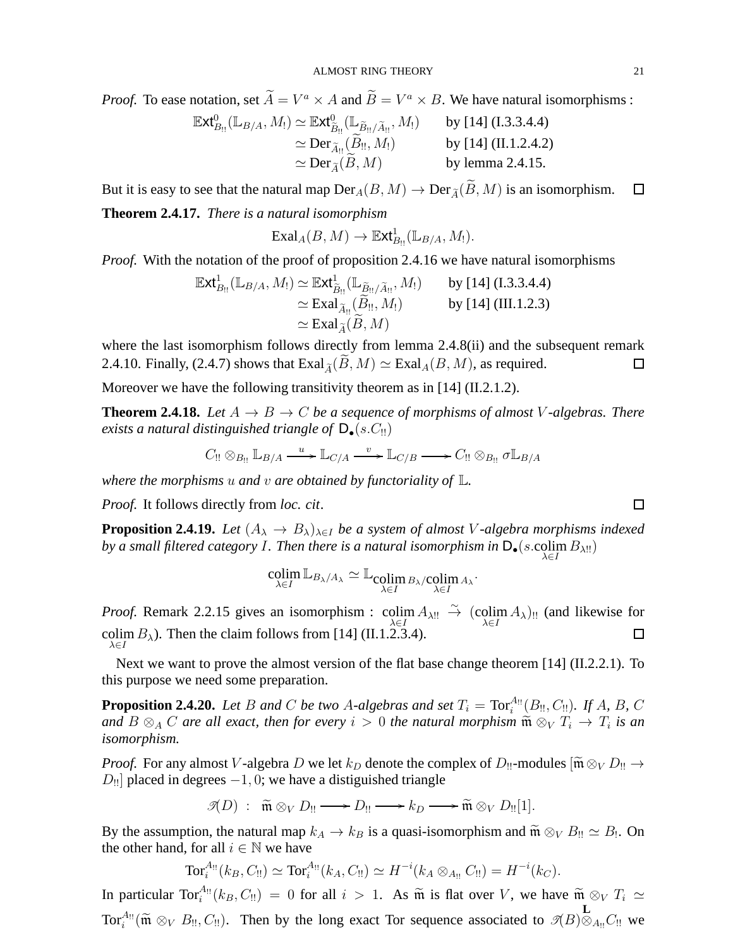*Proof.* To ease notation, set  $\overline{A} = V^a \times A$  and  $\overline{B} = V^a \times B$ . We have natural isomorphisms :

$$
\mathbb{E} \mathbf{xt}_{B_{1!}}^{0}(\mathbb{L}_{B/A}, M_{!}) \simeq \mathbb{E} \mathbf{xt}_{\widetilde{B}_{1!}}^{0}(\mathbb{L}_{\widetilde{B}_{1!}/\widetilde{A}_{1!}}, M_{!}) \qquad \text{by [14] (I.3.3.4.4)}
$$
  
\simeq Der <sub>$\widetilde{A}_{1!}$</sub> ( $\widetilde{B}_{1!}, M_{!}$ ) \tby [14] (II.1.2.4.2)  
\t $\simeq$  Der <sub>$\widetilde{A}$</sub> ( $\widetilde{B}, M$ ) \tby lemma 2.4.15.

But it is easy to see that the natural map  $Der_A(B, M) \to Der_{\widetilde{A}}(\widetilde{B}, M)$  is an isomorphism.  $\Box$ **Theorem 2.4.17.** *There is a natural isomorphism*

$$
\text{Exal}_A(B, M) \to \mathbb{E} \mathsf{xt}^1_{B_{!!}}(\mathbb{L}_{B/A}, M_!).
$$

*Proof.* With the notation of the proof of proposition 2.4.16 we have natural isomorphisms

$$
\mathbb{E} \mathbf{xt}_{B_{1!}}^1(\mathbb{L}_{B/A}, M_!) \simeq \mathbb{E} \mathbf{xt}_{\widetilde{B}_{1!}}^1(\mathbb{L}_{\widetilde{B}_{1!}/\widetilde{A}_{1!}}, M_!) \qquad \text{by [14] (I.3.3.4.4)}
$$
  
\simeq \mathbb{E} \mathbf{xd}\_{\widetilde{A}\_{1!}}(\widetilde{B}\_{1!}, M\_!) \qquad \text{by [14] (III.1.2.3)}  
\simeq \mathbb{E} \mathbf{xd}\_{\widetilde{A}}(\widetilde{B}, M)

where the last isomorphism follows directly from lemma 2.4.8(ii) and the subsequent remark 2.4.10. Finally, (2.4.7) shows that  $\text{Exal}_{\tilde{A}}(\tilde{B}, M) \simeq \text{Exal}_{A}(B, M)$ , as required. 口

Moreover we have the following transitivity theorem as in [14] (II.2.1.2).

**Theorem 2.4.18.** Let  $A \rightarrow B \rightarrow C$  be a sequence of morphisms of almost V-algebras. There *exists a natural distinguished triangle of*  $\mathsf{D}_{\bullet}(s.C_{!!})$ 

$$
C_{!!} \otimes_{B_{!!}} \mathbb{L}_{B/A} \xrightarrow{u} \mathbb{L}_{C/A} \xrightarrow{v} \mathbb{L}_{C/B} \longrightarrow C_{!!} \otimes_{B_{!!}} \sigma \mathbb{L}_{B/A}
$$

*where the morphisms* u *and* v *are obtained by functoriality of* L*.*

*Proof.* It follows directly from *loc. cit*.

**Proposition 2.4.19.** *Let*  $(A_{\lambda} \to B_{\lambda})_{\lambda \in I}$  *be a system of almost V*-algebra morphisms indexed by a small filtered category I. Then there is a natural isomorphism in  $\mathsf{D}_\bullet(s.\operatorname{colim}_{{\lambda}\in I}B_{{\lambda}!!})$ 

$$
\operatornamewithlimits{colim}_{\lambda \in I} \mathbb L_{B_{\lambda}/A_{\lambda}} \simeq \mathbb L_{\operatornamewithlimits{colim}_{\lambda \in I} B_{\lambda}/\operatornamewithlimits{colim}_{\lambda \in I} A_{\lambda}}.
$$

*Proof.* Remark 2.2.15 gives an isomorphism : colim  $A_{\lambda}$ !!  $\stackrel{\sim}{\to}$   $(\text{colim } A_{\lambda})$ !! (and likewise for colim  $B_\lambda$ ). Then the claim follows from [14] (II.1.2.3.4).  $\Box$  $\lambda \in I$ 

Next we want to prove the almost version of the flat base change theorem [14] (II.2.2.1). To this purpose we need some preparation.

**Proposition 2.4.20.** Let B and C be two A-algebras and set  $T_i = \text{Tor}_i^{A_{i!}}(B_{i!}, C_{i!})$ . If A, B, C and  $B \otimes_A C$  are all exact, then for every  $i > 0$  the natural morphism  $\widetilde{\mathfrak{m}} \otimes_V T_i \to T_i$  is an *isomorphism.*

*Proof.* For any almost V-algebra D we let  $k_D$  denote the complex of  $D_{!!}$ -modules  $[\widetilde{\mathfrak{m}} \otimes_V D_{!!} \to$  $D_{\text{II}}$  placed in degrees  $-1, 0$ ; we have a distiguished triangle

 $\mathscr{T}(D)$  :  $\widetilde{\mathfrak{m}} \otimes_V D_{!!} \longrightarrow D_{!!} \longrightarrow k_D \longrightarrow \widetilde{\mathfrak{m}} \otimes_V D_{!!}[1].$ 

By the assumption, the natural map  $k_A \to k_B$  is a quasi-isomorphism and  $\tilde{m} \otimes_V B_{!!} \simeq B_{!}$ . On the other hand, for all  $i \in \mathbb{N}$  we have the other hand, for all  $i \in \mathbb{N}$  we have

$$
\text{Tor}_{i}^{A_{11}}(k_B, C_{11}) \simeq \text{Tor}_{i}^{A_{11}}(k_A, C_{11}) \simeq H^{-i}(k_A \otimes_{A_{11}} C_{11}) = H^{-i}(k_C).
$$

In particular  $\text{Tor}_{i}^{A_{!!}}(k_B, C_{!!}) = 0$  for all  $i > 1$ . As  $\widetilde{m}$  is flat over V, we have  $\widetilde{m} \otimes_V T_i \simeq$ Tor<sup> $A_{!!}$ </sup>( $\widetilde{m} \otimes_V B_{!!}, C_{!!}$ ). Then by the long exact Tor sequence associated to  $\mathscr{T}(B) \otimes_{A_{!!}} C_{!!}$  we

$$
\Box
$$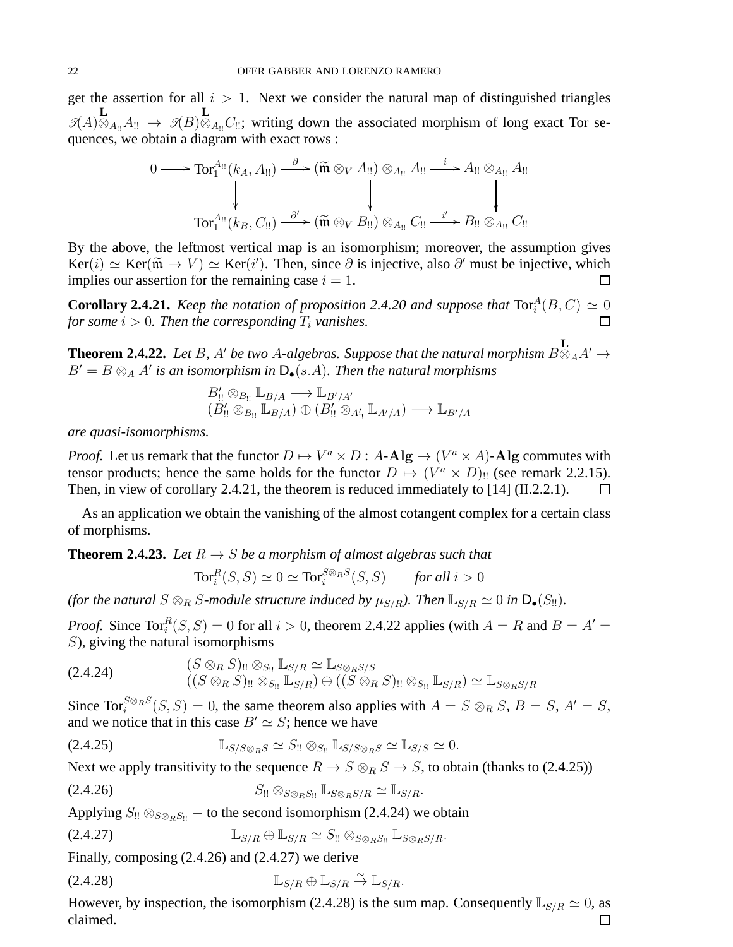get the assertion for all  $i > 1$ . Next we consider the natural map of distinguished triangles  $\mathcal{A}(A) \otimes_{A_{1!}} A_{1!} \to \mathcal{A}(B) \otimes_{A_{1!}} C_{1!}$ ; writing down the associated morphism of long exact Tor sequences, we obtain a diagram with exact rows :

$$
0 \longrightarrow \text{Tor}_{1}^{A_{!!}}(k_{A}, A_{!!}) \xrightarrow{\partial} (\widetilde{\mathfrak{m}} \otimes_{V} A_{!!}) \otimes_{A_{!!}} A_{!!} \xrightarrow{i} A_{!!} \otimes_{A_{!!}} A_{!!}
$$
\n
$$
\downarrow \qquad \qquad \downarrow \qquad \qquad \downarrow
$$
\n
$$
\text{Tor}_{1}^{A_{!!}}(k_{B}, C_{!!}) \xrightarrow{\partial'} (\widetilde{\mathfrak{m}} \otimes_{V} B_{!!}) \otimes_{A_{!!}} C_{!!} \xrightarrow{i'} B_{!!} \otimes_{A_{!!}} C_{!!}
$$

By the above, the leftmost vertical map is an isomorphism; moreover, the assumption gives Ker(i)  $\simeq$  Ker( $\widetilde{m}$  →  $V$ )  $\simeq$  Ker(i'). Then, since  $\partial$  is injective, also  $\partial'$  must be injective, which implies our assertion for the approximation association. implies our assertion for the remaining case  $i = 1$ .  $\Box$ 

**Corollary 2.4.21.** *Keep the notation of proposition 2.4.20 and suppose that*  $\text{Tor}_{i}^{A}(B, C) \simeq 0$ *for some*  $i > 0$ *. Then the corresponding*  $T_i$  *vanishes.*  $\Box$ 

**Theorem 2.4.22.** *Let* B*,* A ′ *be two* A*-algebras. Suppose that the natural morphism* B **L**  $\stackrel{\sim}{\otimes}_A A' \to$  $B' = B \otimes_A A'$  is an isomorphism in  $\mathsf{D}_\bullet(s.A)$ . Then the natural morphisms

$$
B'_{!!} \otimes_{B_{!!}} \mathbb{L}_{B/A} \longrightarrow \mathbb{L}_{B'/A'}
$$
  

$$
(B'_{!!} \otimes_{B_{!!}} \mathbb{L}_{B/A}) \oplus (B'_{!!} \otimes_{A'_{!!}} \mathbb{L}_{A'/A}) \longrightarrow \mathbb{L}_{B'/A}
$$

*are quasi-isomorphisms.*

*Proof.* Let us remark that the functor  $D \mapsto V^a \times D$  :  $A$ -Alg  $\rightarrow (V^a \times A)$ -Alg commutes with tensor products; hence the same holds for the functor  $D \mapsto (V^a \times D)$ !! (see remark 2.2.15). Then, in view of corollary 2.4.21, the theorem is reduced immediately to [14] (II.2.2.1).  $\Box$ 

As an application we obtain the vanishing of the almost cotangent complex for a certain class of morphisms.

**Theorem 2.4.23.** Let  $R \to S$  be a morphism of almost algebras such that

$$
\operatorname{Tor}_i^R(S, S) \simeq 0 \simeq \operatorname{Tor}_i^{S \otimes_R S}(S, S) \qquad \text{for all } i > 0
$$

*(for the natural*  $S \otimes_R S$ *-module structure induced by*  $\mu_{S/R}$ *). Then*  $\mathbb{L}_{S/R} \simeq 0$  *in*  $\mathsf{D}_\bullet(S_{!!})$ *.* 

*Proof.* Since  $\text{Tor}_{i}^{R}(S, S) = 0$  for all  $i > 0$ , theorem 2.4.22 applies (with  $A = R$  and  $B = A' =$ S), giving the natural isomorphisms

$$
(2.4.24) \qquad (S \otimes_R S)_{!!} \otimes_{S_{!!}} \mathbb{L}_{S/R} \simeq \mathbb{L}_{S \otimes_R S/S} ((S \otimes_R S)_{!!} \otimes_{S_{!!}} \mathbb{L}_{S/R}) \oplus ((S \otimes_R S)_{!!} \otimes_{S_{!!}} \mathbb{L}_{S/R}) \simeq \mathbb{L}_{S \otimes_R S/R}
$$

Since Tor<sup>S⊗<sub>R</sub>S</sub>(S, S) = 0, the same theorem also applies with  $A = S \otimes_R S$ ,  $B = S$ ,  $A' = S$ ,</sup> and we notice that in this case  $B' \simeq S$ ; hence we have

$$
\mathbb{L}_{S/S\otimes_R S} \simeq S_{!!} \otimes_{S_{!!}} \mathbb{L}_{S/S\otimes_R S} \simeq \mathbb{L}_{S/S} \simeq 0.
$$

Next we apply transitivity to the sequence  $R \to S \otimes_R S \to S$ , to obtain (thanks to (2.4.25))

$$
(2.4.26) \t S_{!!} \otimes_{S \otimes_R S_{!!}} \mathbb{L}_{S \otimes_R S/R} \simeq \mathbb{L}_{S/R}.
$$

Applying  $S_{!!} \otimes_{S \otimes_R S_{!!}} -$  to the second isomorphism (2.4.24) we obtain

$$
\mathbb{L}_{S/R} \oplus \mathbb{L}_{S/R} \simeq S_{!!} \otimes_{S \otimes_R S_{!!}} \mathbb{L}_{S \otimes_R S/R}.
$$

Finally, composing (2.4.26) and (2.4.27) we derive

$$
\mathbb{L}_{S/R} \oplus \mathbb{L}_{S/R} \stackrel{\sim}{\to} \mathbb{L}_{S/R}.
$$

However, by inspection, the isomorphism (2.4.28) is the sum map. Consequently  $\mathbb{L}_{S/R} \simeq 0$ , as claimed. $\Box$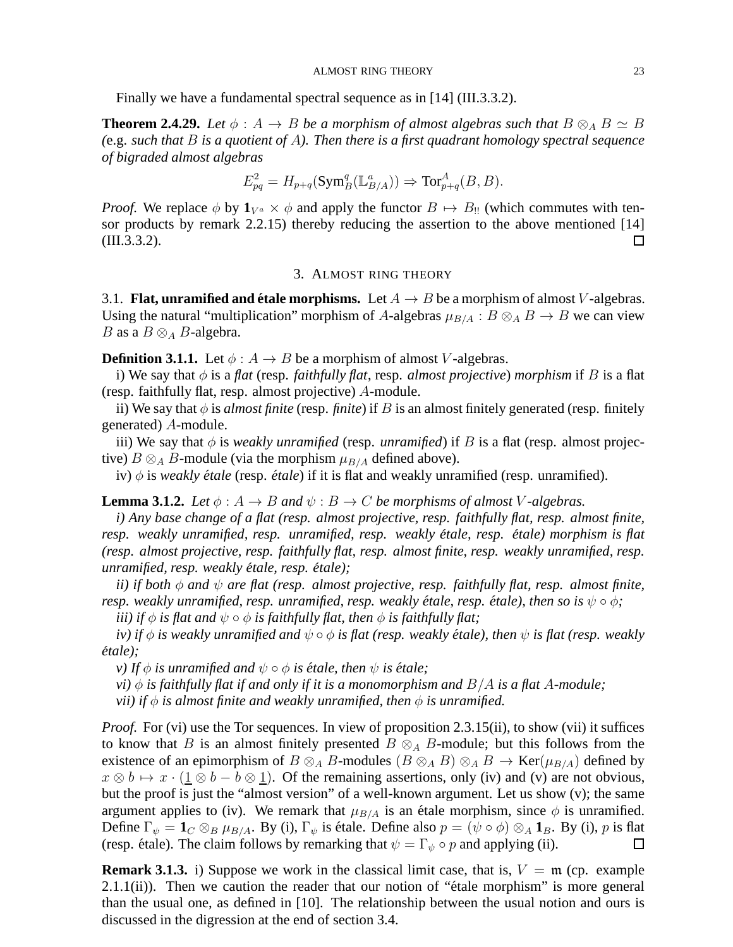Finally we have a fundamental spectral sequence as in [14] (III.3.3.2).

**Theorem 2.4.29.** *Let*  $\phi : A \rightarrow B$  *be a morphism of almost algebras such that*  $B \otimes_A B \simeq B$ *(*e.g. *such that* B *is a quotient of* A*). Then there is a first quadrant homology spectral sequence of bigraded almost algebras*

$$
E_{pq}^2 = H_{p+q}(\mathrm{Sym}_B^q(\mathbb{L}_{B/A}^a)) \Rightarrow \mathrm{Tor}_{p+q}^A(B, B).
$$

*Proof.* We replace  $\phi$  by  $\mathbf{1}_{V^a} \times \phi$  and apply the functor  $B \mapsto B_{\text{II}}$  (which commutes with tensor products by remark 2.2.15) thereby reducing the assertion to the above mentioned [14] (III.3.3.2).  $\Box$ 

# 3. ALMOST RING THEORY

3.1. **Flat, unramified and étale morphisms.** Let  $A \rightarrow B$  be a morphism of almost V-algebras. Using the natural "multiplication" morphism of A-algebras  $\mu_{B/A} : B \otimes_A B \to B$  we can view B as a  $B \otimes_A B$ -algebra.

**Definition 3.1.1.** Let  $\phi: A \rightarrow B$  be a morphism of almost V-algebras.

i) We say that  $\phi$  is a *flat* (resp. *faithfully flat*, resp. *almost projective*) *morphism* if B is a flat (resp. faithfully flat, resp. almost projective) A-module.

ii) We say that  $\phi$  is *almost finite* (resp. *finite*) if B is an almost finitely generated (resp. finitely generated) A-module.

iii) We say that  $\phi$  is *weakly unramified* (resp. *unramified*) if B is a flat (resp. almost projective)  $B \otimes_A B$ -module (via the morphism  $\mu_{B/A}$  defined above).

 $\dot{v}$  *iv*)  $\phi$  is *weakly étale* (resp. *étale*) if it is flat and weakly unramified (resp. unramified).

**Lemma 3.1.2.** *Let*  $\phi : A \to B$  *and*  $\psi : B \to C$  *be morphisms of almost V*-*algebras.* 

*i) Any base change of a flat (resp. almost projective, resp. faithfully flat, resp. almost finite, resp. weakly unramified, resp. unramified, resp. weakly etale, resp. ´ etale) morphism is flat ´ (resp. almost projective, resp. faithfully flat, resp. almost finite, resp. weakly unramified, resp. unramified, resp. weakly étale, resp. étale);* 

*ii) if both* φ *and* ψ *are flat (resp. almost projective, resp. faithfully flat, resp. almost finite, resp. weakly unramified, resp. unramified, resp. weakly étale, resp. étale), then so is*  $\psi \circ \phi$ ;

*iii) if*  $\phi$  *is flat and*  $\psi \circ \phi$  *is faithfully flat, then*  $\phi$  *is faithfully flat;* 

*iv) if*  $\phi$  *is weakly unramified and*  $\psi \circ \phi$  *is flat (resp. weakly étale), then*  $\psi$  *is flat (resp. weakly etale); ´*

*v)* If  $\phi$  *is unramified and*  $\psi \circ \phi$  *is étale, then*  $\psi$  *is étale;* 

*vi*)  $\phi$  *is faithfully flat if and only if it is a monomorphism and*  $B/A$  *<i>is a flat* A-module;

*vii) if*  $\phi$  *is almost finite and weakly unramified, then*  $\phi$  *is unramified.* 

*Proof.* For (vi) use the Tor sequences. In view of proposition 2.3.15(ii), to show (vii) it suffices to know that B is an almost finitely presented  $B \otimes_A B$ -module; but this follows from the existence of an epimorphism of  $B \otimes_A B$ -modules  $(B \otimes_A B) \otimes_A B \to \text{Ker}(\mu_{B/A})$  defined by  $x \otimes b \mapsto x \cdot (1 \otimes b - b \otimes 1)$ . Of the remaining assertions, only (iv) and (v) are not obvious, but the proof is just the "almost version" of a well-known argument. Let us show (v); the same argument applies to (iv). We remark that  $\mu_{B/A}$  is an étale morphism, since  $\phi$  is unramified. Define  $\Gamma_{\psi} = \mathbf{1}_C \otimes_B \mu_{B/A}$ . By (i),  $\Gamma_{\psi}$  is étale. Define also  $p = (\psi \circ \phi) \otimes_A \mathbf{1}_B$ . By (i), p is flat (resp. étale). The claim follows by remarking that  $\psi = \Gamma_{\psi} \circ p$  and applying (ii).  $\Box$ 

**Remark 3.1.3.** i) Suppose we work in the classical limit case, that is,  $V = m$  (cp. example  $2.1.1(ii)$ ). Then we caution the reader that our notion of "étale morphism" is more general than the usual one, as defined in [10]. The relationship between the usual notion and ours is discussed in the digression at the end of section 3.4.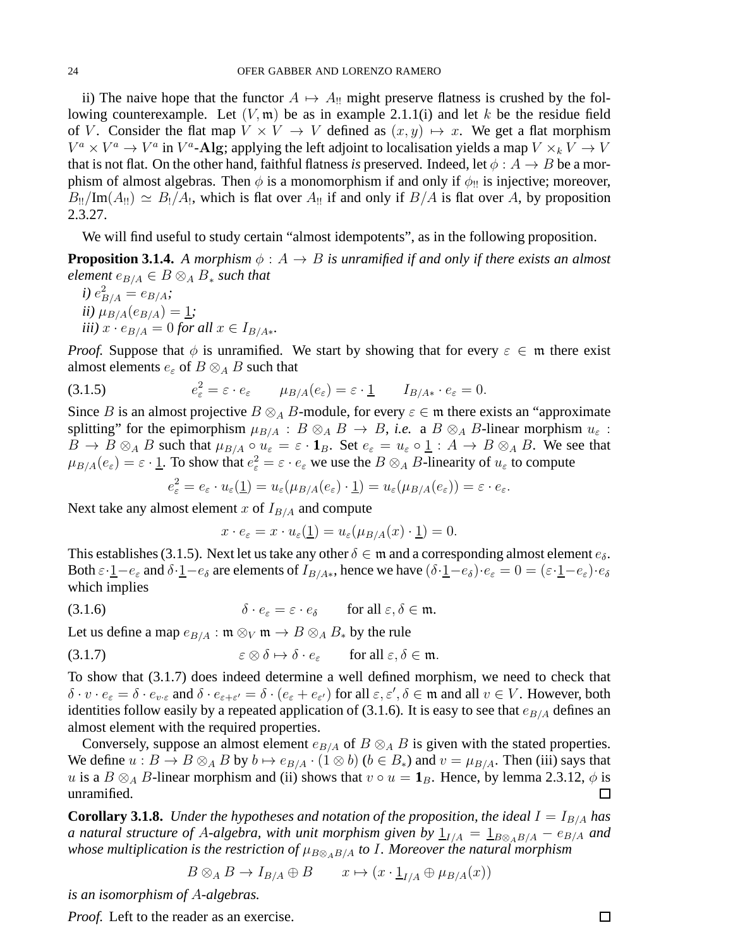ii) The naive hope that the functor  $A \mapsto A_{\text{II}}$  might preserve flatness is crushed by the following counterexample. Let  $(V, \mathfrak{m})$  be as in example 2.1.1(i) and let k be the residue field of V. Consider the flat map  $V \times V \to V$  defined as  $(x, y) \mapsto x$ . We get a flat morphism  $V^a \times V^a \to V^a$  in  $V^a$ -Alg; applying the left adjoint to localisation yields a map  $V \times_k V \to V$ that is not flat. On the other hand, faithful flatness *is* preserved. Indeed, let  $\phi : A \rightarrow B$  be a morphism of almost algebras. Then  $\phi$  is a monomorphism if and only if  $\phi_{\parallel}$  is injective; moreover,  $B_{!!}/\text{Im}(A_{!!}) \simeq B_{!}/A_{!}$ , which is flat over  $A_{!!}$  if and only if  $B/A$  is flat over A, by proposition 2.3.27.

We will find useful to study certain "almost idempotents", as in the following proposition.

**Proposition 3.1.4.** *A morphism*  $\phi: A \rightarrow B$  *is unramified if and only if there exists an almost element*  $e_{B/A} \in B \otimes_A B_*$  *such that* 

*i*)  $e_{B/A}^2 = e_{B/A}$ ; *ii*)  $\mu_{B/A}(e_{B/A}) = 1$ ; *iii*)  $x \cdot e_{B/A} = 0$  *for all*  $x \in I_{B/A*}$ .

*Proof.* Suppose that  $\phi$  is unramified. We start by showing that for every  $\varepsilon \in \mathfrak{m}$  there exist almost elements  $e_{\varepsilon}$  of  $B \otimes_A B$  such that

(3.1.5) 
$$
e_{\varepsilon}^{2} = \varepsilon \cdot e_{\varepsilon} \qquad \mu_{B/A}(e_{\varepsilon}) = \varepsilon \cdot \underline{1} \qquad I_{B/A*} \cdot e_{\varepsilon} = 0.
$$

Since B is an almost projective  $B \otimes_A B$ -module, for every  $\varepsilon \in \mathfrak{m}$  there exists an "approximate" splitting" for the epimorphism  $\mu_{B/A}$  :  $B \otimes_A B \to B$ , *i.e.* a  $B \otimes_A B$ -linear morphism  $u_{\varepsilon}$  :  $B \to B \otimes_A B$  such that  $\mu_{B/A} \circ u_{\varepsilon} = \varepsilon \cdot \mathbf{1}_B$ . Set  $e_{\varepsilon} = u_{\varepsilon} \circ \underline{1} : A \to B \otimes_A B$ . We see that  $\mu_{B/A}(e_{\varepsilon}) = \varepsilon \cdot \underline{1}$ . To show that  $e_{\varepsilon}^2 = \varepsilon \cdot e_{\varepsilon}$  we use the  $B \otimes_A B$ -linearity of  $u_{\varepsilon}$  to compute

$$
e_{\varepsilon}^{2} = e_{\varepsilon} \cdot u_{\varepsilon}(\underline{1}) = u_{\varepsilon}(\mu_{B/A}(e_{\varepsilon}) \cdot \underline{1}) = u_{\varepsilon}(\mu_{B/A}(e_{\varepsilon})) = \varepsilon \cdot e_{\varepsilon}.
$$

Next take any almost element x of  $I_{B/A}$  and compute

$$
x \cdot e_{\varepsilon} = x \cdot u_{\varepsilon}(\underline{1}) = u_{\varepsilon}(\mu_{B/A}(x) \cdot \underline{1}) = 0.
$$

This establishes (3.1.5). Next let us take any other  $\delta \in \mathfrak{m}$  and a corresponding almost element  $e_{\delta}$ . Both  $\varepsilon \cdot 1 - e_{\varepsilon}$  and  $\delta \cdot 1 - e_{\delta}$  are elements of  $I_{B/A*}$ , hence we have  $(\delta \cdot 1 - e_{\delta}) \cdot e_{\varepsilon} = 0 = (\varepsilon \cdot 1 - e_{\varepsilon}) \cdot e_{\delta}$ which implies

(3.1.6)  $\delta \cdot e_{\varepsilon} = \varepsilon \cdot e_{\delta}$  for all  $\varepsilon, \delta \in \mathfrak{m}$ .

Let us define a map  $e_{B/A}$ : m  $\otimes_V$  m  $\rightarrow$   $B \otimes_A B_*$  by the rule

(3.1.7) 
$$
\varepsilon \otimes \delta \mapsto \delta \cdot e_{\varepsilon} \quad \text{for all } \varepsilon, \delta \in \mathfrak{m}.
$$

To show that (3.1.7) does indeed determine a well defined morphism, we need to check that  $\delta \cdot v \cdot e_{\varepsilon} = \delta \cdot e_{v \cdot \varepsilon}$  and  $\delta \cdot e_{\varepsilon + \varepsilon'} = \delta \cdot (e_{\varepsilon} + e_{\varepsilon'})$  for all  $\varepsilon, \varepsilon', \delta \in \mathfrak{m}$  and all  $v \in V$ . However, both identities follow easily by a repeated application of (3.1.6). It is easy to see that  $e_{B/A}$  defines an almost element with the required properties.

Conversely, suppose an almost element  $e_{B/A}$  of  $B \otimes_A B$  is given with the stated properties. We define  $u : B \to B \otimes_A B$  by  $b \mapsto e_{B/A} \cdot (1 \otimes b)$  ( $b \in B_*$ ) and  $v = \mu_{B/A}$ . Then (iii) says that u is a  $B \otimes_A B$ -linear morphism and (ii) shows that  $v \circ u = \mathbf{1}_B$ . Hence, by lemma 2.3.12,  $\phi$  is unramified.  $\Box$ 

**Corollary 3.1.8.** *Under the hypotheses and notation of the proposition, the ideal*  $I = I_{B/A}$  *has a* natural structure of A-algebra, with unit morphism given by  $\frac{1}{1/A} = \frac{1}{1/B} \sum_{A} A - e_{B/A}$  and *whose multiplication is the restriction of*  $\mu_{B\otimes_A B/A}$  *to I. Moreover the natural morphism* 

 $B \otimes_A B \to I_{B/A} \oplus B$   $x \mapsto (x \cdot \underline{1}_{I/A} \oplus \mu_{B/A}(x))$ 

*is an isomorphism of* A*-algebras.*

*Proof.* Left to the reader as an exercise.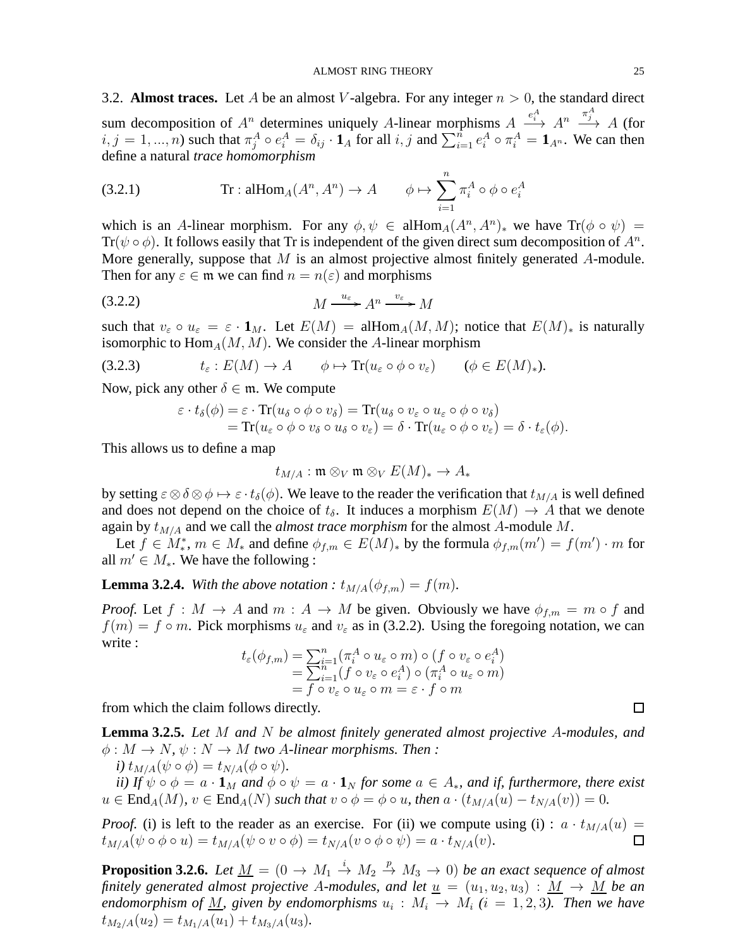3.2. **Almost traces.** Let A be an almost V-algebra. For any integer  $n > 0$ , the standard direct sum decomposition of  $A^n$  determines uniquely A-linear morphisms  $A \xrightarrow{e_i^A} A^n \xrightarrow{\pi_i^A} A$  (for  $i, j = 1, ..., n$ ) such that  $\pi_j^A \circ e_i^A = \delta_{ij} \cdot \mathbf{1}_A$  for all  $i, j$  and  $\sum_{i=1}^n e_i^A \circ \pi_i^A = \mathbf{1}_{A^n}$ . We can then define a natural *trace homomorphism*

(3.2.1) 
$$
\text{Tr}: \text{alHom}_{A}(A^{n}, A^{n}) \to A \qquad \phi \mapsto \sum_{i=1}^{n} \pi_{i}^{A} \circ \phi \circ e_{i}^{A}
$$

which is an A-linear morphism. For any  $\phi, \psi \in \text{alHom}_A(A^n, A^n)_*$  we have  $\text{Tr}(\phi \circ \psi) =$ Tr( $\psi \circ \phi$ ). It follows easily that Tr is independent of the given direct sum decomposition of  $A^n$ . More generally, suppose that  $M$  is an almost projective almost finitely generated  $A$ -module. Then for any  $\varepsilon \in \mathfrak{m}$  we can find  $n = n(\varepsilon)$  and morphisms

$$
(3.2.2) \t\t\t M \xrightarrow{u_{\varepsilon}} A^n \xrightarrow{v_{\varepsilon}} M
$$

such that  $v_{\varepsilon} \circ u_{\varepsilon} = \varepsilon \cdot \mathbf{1}_M$ . Let  $E(M) = \text{alHom}_A(M, M)$ ; notice that  $E(M)_*$  is naturally isomorphic to  $\text{Hom}_A(M, M)$ . We consider the A-linear morphism

$$
(3.2.3) \t t_{\varepsilon}: E(M) \to A \t \phi \mapsto \text{Tr}(u_{\varepsilon} \circ \phi \circ v_{\varepsilon}) \t (\phi \in E(M))_{*}.
$$

Now, pick any other  $\delta \in \mathfrak{m}$ . We compute

$$
\varepsilon \cdot t_{\delta}(\phi) = \varepsilon \cdot \text{Tr}(u_{\delta} \circ \phi \circ v_{\delta}) = \text{Tr}(u_{\delta} \circ v_{\varepsilon} \circ u_{\varepsilon} \circ \phi \circ v_{\delta}) \n= \text{Tr}(u_{\varepsilon} \circ \phi \circ v_{\delta} \circ u_{\delta} \circ v_{\varepsilon}) = \delta \cdot \text{Tr}(u_{\varepsilon} \circ \phi \circ v_{\varepsilon}) = \delta \cdot t_{\varepsilon}(\phi).
$$

This allows us to define a map

$$
t_{M/A}:\frak{m}\otimes_{V}\frak{m}\otimes_{V}E(M)_{*}\to A_{*}
$$

by setting  $\varepsilon \otimes \delta \otimes \phi \mapsto \varepsilon \cdot t_{\delta}(\phi)$ . We leave to the reader the verification that  $t_{M/A}$  is well defined and does not depend on the choice of  $t_{\delta}$ . It induces a morphism  $E(M) \rightarrow A$  that we denote again by  $t_{M/A}$  and we call the *almost trace morphism* for the almost A-module M.

Let  $f \in M^*_*, m \in M_*$  and define  $\phi_{f,m} \in E(M)_*$  by the formula  $\phi_{f,m}(m') = f(m') \cdot m$  for all  $m' \in M_*$ . We have the following :

**Lemma 3.2.4.** *With the above notation :*  $t_{M/A}(\phi_{f,m}) = f(m)$ *.* 

*Proof.* Let  $f : M \to A$  and  $m : A \to M$  be given. Obviously we have  $\phi_{f,m} = m \circ f$  and  $f(m) = f \circ m$ . Pick morphisms  $u_{\varepsilon}$  and  $v_{\varepsilon}$  as in (3.2.2). Using the foregoing notation, we can write :

$$
t_{\varepsilon}(\phi_{f,m}) = \sum_{i=1}^{n} (\pi_i^A \circ u_{\varepsilon} \circ m) \circ (f \circ v_{\varepsilon} \circ e_i^A)
$$
  
= 
$$
\sum_{i=1}^{n} (f \circ v_{\varepsilon} \circ e_i^A) \circ (\pi_i^A \circ u_{\varepsilon} \circ m)
$$
  
= 
$$
f \circ v_{\varepsilon} \circ u_{\varepsilon} \circ m = \varepsilon \cdot f \circ m
$$

from which the claim follows directly.

**Lemma 3.2.5.** *Let* M *and* N *be almost finitely generated almost projective* A*-modules, and*  $\phi: M \to N$ ,  $\psi: N \to M$  *two A-linear morphisms. Then* :

 $i)$   $t_{M/A}(\psi \circ \phi) = t_{N/A}(\phi \circ \psi).$ 

*ii)* If  $\psi \circ \phi = a \cdot \mathbf{1}_M$  and  $\phi \circ \psi = a \cdot \mathbf{1}_N$  for some  $a \in A_*$ , and if, furthermore, there exist  $u \in \text{End}_{A}(M), v \in \text{End}_{A}(N)$  *such that*  $v \circ \phi = \phi \circ u$ *, then*  $a \cdot (t_{M/A}(u) - t_{N/A}(v)) = 0$ *.* 

*Proof.* (i) is left to the reader as an exercise. For (ii) we compute using (i) :  $a \cdot t_{M/A}(u) =$  $t_{M/A}(\psi \circ \phi \circ u) = t_{M/A}(\psi \circ v \circ \phi) = t_{N/A}(v \circ \phi \circ \psi) = a \cdot t_{N/A}(v).$  $\Box$ 

**Proposition 3.2.6.** Let  $\underline{M} = (0 \to M_1 \stackrel{i}{\to} M_2 \stackrel{p}{\to} M_3 \to 0)$  be an exact sequence of almost *finitely generated almost projective A-modules, and let*  $u = (u_1, u_2, u_3) : M \rightarrow M$  *be an endomorphism of* <u>M</u>, given by endomorphisms  $u_i : M_i \to M_i$  ( $i = 1, 2, 3$ ). Then we have  $t_{M_2/A}(u_2) = t_{M_1/A}(u_1) + t_{M_3/A}(u_3)$ .

 $\Box$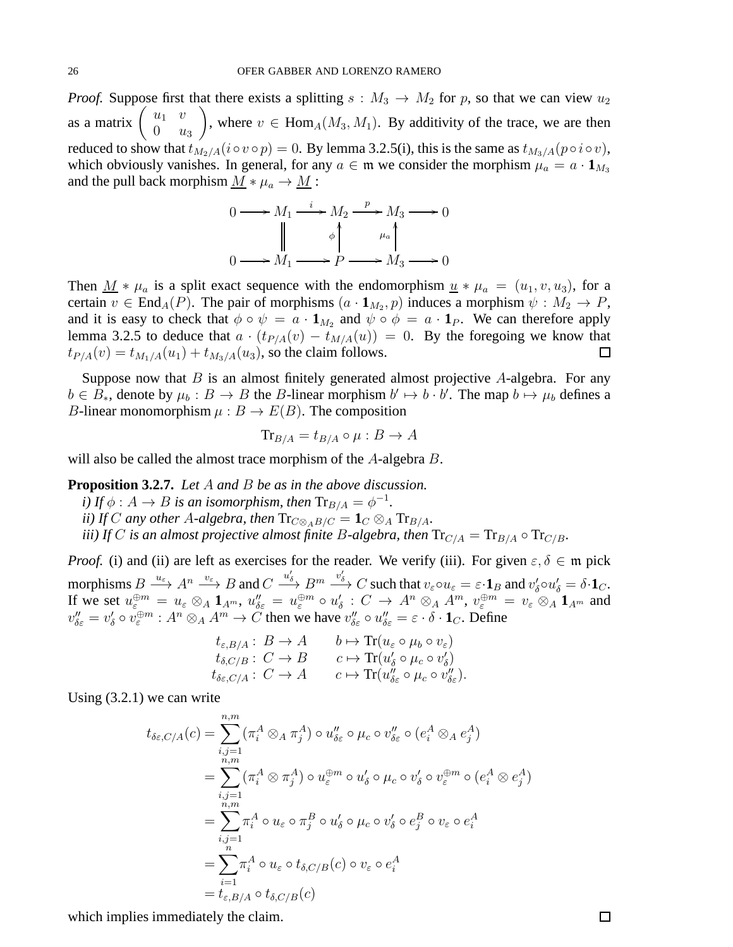*Proof.* Suppose first that there exists a splitting  $s : M_3 \to M_2$  for p, so that we can view  $u_2$ as a matrix  $\begin{pmatrix} u_1 & v \\ 0 & v_1 \end{pmatrix}$  $0 \quad u_3$  $\overline{ }$ , where  $v \in \text{Hom}_{A}(M_3, M_1)$ . By additivity of the trace, we are then reduced to show that  $t_{M_2/A}(i \circ v \circ p) = 0$ . By lemma 3.2.5(i), this is the same as  $t_{M_3/A}(p \circ i \circ v)$ , which obviously vanishes. In general, for any  $a \in \mathfrak{m}$  we consider the morphism  $\mu_a = a \cdot \mathbf{1}_{M_3}$ and the pull back morphism  $\underline{M} * \mu_a \to \underline{M}$ :

$$
0 \longrightarrow M_1 \xrightarrow{i} M_2 \xrightarrow{p} M_3 \longrightarrow 0
$$
  

$$
\downarrow \qquad \qquad \downarrow \qquad \qquad \downarrow \qquad \qquad \downarrow
$$
  

$$
0 \longrightarrow M_1 \longrightarrow P \longrightarrow M_3 \longrightarrow 0
$$

Then  $\underline{M} * \mu_a$  is a split exact sequence with the endomorphism  $\underline{u} * \mu_a = (u_1, v, u_3)$ , for a certain  $v \in \text{End}_A(P)$ . The pair of morphisms  $(a \cdot \mathbf{1}_{M_2}, p)$  induces a morphism  $\psi : M_2 \to P$ , and it is easy to check that  $\phi \circ \psi = a \cdot \mathbf{1}_{M_2}$  and  $\psi \circ \phi = a \cdot \mathbf{1}_P$ . We can therefore apply lemma 3.2.5 to deduce that  $a \cdot (t_{P/A}(v) - t_{M/A}(u)) = 0$ . By the foregoing we know that  $t_{P/A}(v) = t_{M_1/A}(u_1) + t_{M_3/A}(u_3)$ , so the claim follows.  $\Box$ 

Suppose now that  $B$  is an almost finitely generated almost projective  $A$ -algebra. For any  $b \in B_*$ , denote by  $\mu_b : B \to B$  the B-linear morphism  $b' \mapsto b \cdot b'$ . The map  $b \mapsto \mu_b$  defines a *B*-linear monomorphism  $\mu : B \to E(B)$ . The composition

$$
\text{Tr}_{B/A} = t_{B/A} \circ \mu : B \to A
$$

will also be called the almost trace morphism of the A-algebra B.

**Proposition 3.2.7.** *Let* A *and* B *be as in the above discussion.*

*i)* If  $\phi: A \to B$  is an isomorphism, then  $\text{Tr}_{B/A} = \phi^{-1}$ .

*ii)* If C any other A-algebra, then  $\text{Tr}_{C\otimes_A B/C} = \mathbf{1}_C \otimes_A \text{Tr}_{B/A}$ .

*iii) If* C *is an almost projective almost finite* B-algebra, then  $\text{Tr}_{C/A} = \text{Tr}_{B/A} \circ \text{Tr}_{C/B}$ .

*Proof.* (i) and (ii) are left as exercises for the reader. We verify (iii). For given  $\varepsilon, \delta \in \mathfrak{m}$  pick morphisms  $B \xrightarrow{u_{\varepsilon}} A^n \xrightarrow{v_{\varepsilon}} B$  and  $C \xrightarrow{u'_{\delta}} B^m \xrightarrow{v'_{\delta}} C$  such that  $v_{\varepsilon} \circ u_{\varepsilon} = \varepsilon \cdot \mathbf{1}_B$  and  $v'_{\delta} \circ u'_{\delta} = \delta \cdot \mathbf{1}_C$ . If we set  $u_{\varepsilon}^{\oplus m} = u_{\varepsilon} \otimes_A \mathbf{1}_{A^m}$ ,  $u_{\delta \varepsilon}'' = u_{\varepsilon}^{\oplus m} \circ u_{\delta}': C \to A^n \otimes_A A^m$ ,  $v_{\varepsilon}^{\oplus m} = v_{\varepsilon} \otimes_A \mathbf{1}_{A^m}$  and  $v''_{\delta \varepsilon} = v'_{\delta} \circ v_{\varepsilon}^{\oplus m} : A^n \otimes_A A^m \to C$  then we have  $v''_{\delta \varepsilon} \circ u''_{\delta \varepsilon} = \varepsilon \cdot \delta \cdot \mathbf{1}_C$ . Define

$$
t_{\varepsilon,B/A}: B \to A \t b \mapsto \text{Tr}(u_{\varepsilon} \circ \mu_b \circ v_{\varepsilon})
$$
  
\n
$$
t_{\delta,C/B}: C \to B \t c \mapsto \text{Tr}(u'_{\delta} \circ \mu_c \circ v'_{\delta})
$$
  
\n
$$
t_{\delta\varepsilon,C/A}: C \to A \t c \mapsto \text{Tr}(u''_{\delta\varepsilon} \circ \mu_c \circ v''_{\delta\varepsilon}).
$$

Using (3.2.1) we can write

$$
t_{\delta \varepsilon, C/A}(c) = \sum_{i,j=1}^{n,m} (\pi_i^A \otimes_A \pi_j^A) \circ u_{\delta \varepsilon}'' \circ \mu_c \circ v_{\delta \varepsilon}'' \circ (e_i^A \otimes_A e_j^A)
$$
  
\n
$$
= \sum_{i,j=1}^{n,m} (\pi_i^A \otimes \pi_j^A) \circ u_{\varepsilon}^{\oplus m} \circ u_{\delta}' \circ \mu_c \circ v_{\delta}' \circ v_{\varepsilon}^{\oplus m} \circ (e_i^A \otimes e_j^A)
$$
  
\n
$$
= \sum_{i,j=1}^{n,m} \pi_i^A \circ u_{\varepsilon} \circ \pi_j^B \circ u_{\delta}' \circ \mu_c \circ v_{\delta}' \circ e_j^B \circ v_{\varepsilon} \circ e_i^A
$$
  
\n
$$
= \sum_{i=1}^{n} \pi_i^A \circ u_{\varepsilon} \circ t_{\delta, C/B}(c) \circ v_{\varepsilon} \circ e_i^A
$$
  
\n
$$
= t_{\varepsilon, B/A} \circ t_{\delta, C/B}(c)
$$

which implies immediately the claim.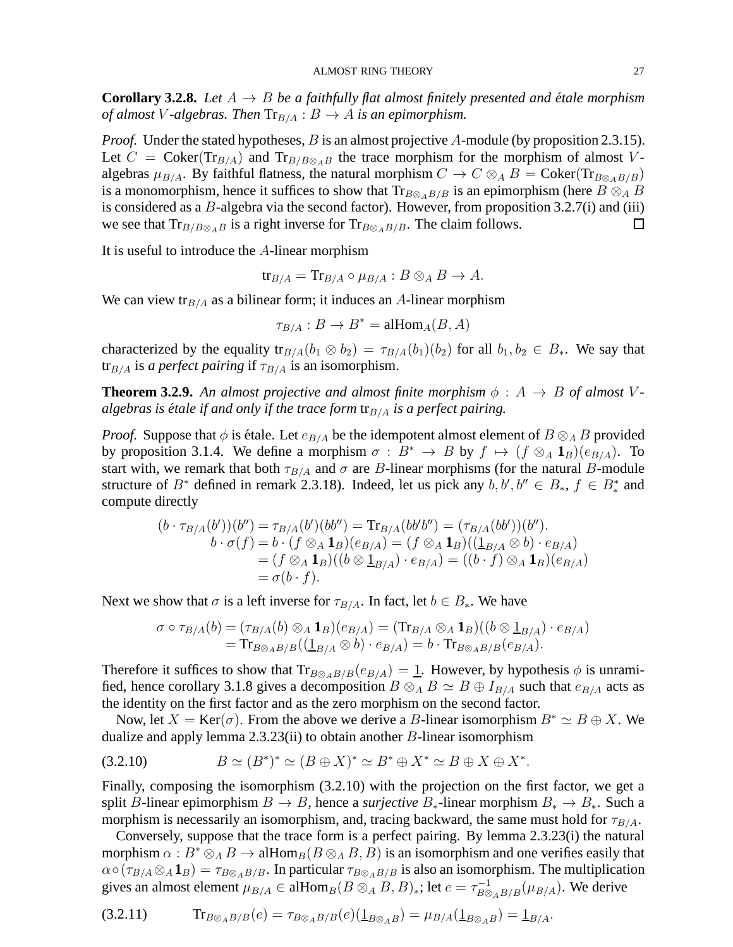**Corollary 3.2.8.** Let  $A \rightarrow B$  be a faithfully flat almost finitely presented and étale morphism *of almost* V-algebras. Then  $\text{Tr}_{B/A} : B \to A$  *is an epimorphism.* 

*Proof.* Under the stated hypotheses, B is an almost projective A-module (by proposition 2.3.15). Let  $C = \text{Coker}(\text{Tr}_{B/A})$  and  $\text{Tr}_{B/B\otimes_A B}$  the trace morphism for the morphism of almost Valgebras  $\mu_{B/A}$ . By faithful flatness, the natural morphism  $C \to C \otimes_A B = \text{Coker}(\text{Tr}_{B \otimes_A B/B})$ is a monomorphism, hence it suffices to show that  $\text{Tr}_{B\otimes_A B/B}$  is an epimorphism (here  $B\otimes_A B$ is considered as a B-algebra via the second factor). However, from proposition 3.2.7(i) and (iii) we see that  $Tr_{B/B\otimes_A B}$  is a right inverse for  $Tr_{B\otimes_A B/B}$ . The claim follows. □

It is useful to introduce the A-linear morphism

$$
\operatorname{tr}_{B/A} = \operatorname{Tr}_{B/A} \circ \mu_{B/A} : B \otimes_A B \to A.
$$

We can view  $tr_{B/A}$  as a bilinear form; it induces an A-linear morphism

$$
\tau_{B/A}: B \to B^* = \text{alHom}_A(B, A)
$$

characterized by the equality  ${\rm tr}_{B/A}(b_1 \otimes b_2) = \tau_{B/A}(b_1)(b_2)$  for all  $b_1, b_2 \in B_*$ . We say that  ${\rm tr}_{B/A}$  is *a perfect pairing* if  $\tau_{B/A}$  is an isomorphism.

**Theorem 3.2.9.** An almost projective and almost finite morphism  $\phi : A \rightarrow B$  of almost V *algebras is étale if and only if the trace form*  $\text{tr}_{B/A}$  *is a perfect pairing.* 

*Proof.* Suppose that  $\phi$  is étale. Let  $e_{B/A}$  be the idempotent almost element of  $B \otimes_A B$  provided by proposition 3.1.4. We define a morphism  $\sigma : B^* \to B$  by  $f \mapsto (f \otimes_A \mathbf{1}_B)(e_{B/A})$ . To start with, we remark that both  $\tau_{B/A}$  and  $\sigma$  are B-linear morphisms (for the natural B-module structure of  $B^*$  defined in remark 2.3.18). Indeed, let us pick any  $b, b', b'' \in B_*, f \in B_*^*$  and compute directly

$$
(b \cdot \tau_{B/A}(b'))(b'') = \tau_{B/A}(b')(bb'') = \text{Tr}_{B/A}(bb'') = (\tau_{B/A}(bb'))(b'').
$$
  
\n
$$
b \cdot \sigma(f) = b \cdot (f \otimes_A \mathbf{1}_B)(e_{B/A}) = (f \otimes_A \mathbf{1}_B)((\underline{1}_{B/A} \otimes b) \cdot e_{B/A})
$$
  
\n
$$
= (f \otimes_A \mathbf{1}_B)((b \otimes \underline{1}_{B/A}) \cdot e_{B/A}) = ((b \cdot f) \otimes_A \mathbf{1}_B)(e_{B/A})
$$
  
\n
$$
= \sigma(b \cdot f).
$$

Next we show that  $\sigma$  is a left inverse for  $\tau_{B/A}$ . In fact, let  $b \in B_*$ . We have

$$
\sigma \circ \tau_{B/A}(b) = (\tau_{B/A}(b) \otimes_A \mathbf{1}_B)(e_{B/A}) = (\text{Tr}_{B/A} \otimes_A \mathbf{1}_B)((b \otimes \underline{1}_{B/A}) \cdot e_{B/A})
$$
  
= 
$$
\text{Tr}_{B \otimes_A B/B}((\underline{1}_{B/A} \otimes b) \cdot e_{B/A}) = b \cdot \text{Tr}_{B \otimes_A B/B}(e_{B/A}).
$$

Therefore it suffices to show that  $\text{Tr}_{B\otimes_A B/B}(e_{B/A}) = 1$ . However, by hypothesis  $\phi$  is unramified, hence corollary 3.1.8 gives a decomposition  $B \otimes_A B \simeq B \oplus I_{B/A}$  such that  $e_{B/A}$  acts as the identity on the first factor and as the zero morphism on the second factor.

Now, let  $X = \text{Ker}(\sigma)$ . From the above we derive a B-linear isomorphism  $B^* \simeq B \oplus X$ . We dualize and apply lemma 2.3.23(ii) to obtain another B-linear isomorphism

$$
(3.2.10) \t\t B \simeq (B^*)^* \simeq (B \oplus X)^* \simeq B^* \oplus X^* \simeq B \oplus X \oplus X^*.
$$

Finally, composing the isomorphism (3.2.10) with the projection on the first factor, we get a split B-linear epimorphism  $B \to B$ , hence a *surjective*  $B_*$ -linear morphism  $B_* \to B_*$ . Such a morphism is necessarily an isomorphism, and, tracing backward, the same must hold for  $\tau_{B/A}$ .

Conversely, suppose that the trace form is a perfect pairing. By lemma 2.3.23(i) the natural morphism  $\alpha : B^* \otimes_A B \to \text{alHom}_B(B \otimes_A B, B)$  is an isomorphism and one verifies easily that  $\alpha \circ (\tau_{B/A} \otimes_A \mathbf{1}_B) = \tau_{B \otimes_A B/B}$ . In particular  $\tau_{B \otimes_A B/B}$  is also an isomorphism. The multiplication gives an almost element  $\mu_{B/A} \in \text{alHom}_B(B \otimes_A B, B)_*$ ; let  $e = \tau_{B \otimes_A B/B}^{-1}(\mu_{B/A})$ . We derive

$$
(3.2.11) \tTr_{B\otimes_A B/B}(e) = \tau_{B\otimes_A B/B}(e) (\underline{1}_{B\otimes_A B}) = \mu_{B/A} (\underline{1}_{B\otimes_A B}) = \underline{1}_{B/A}.
$$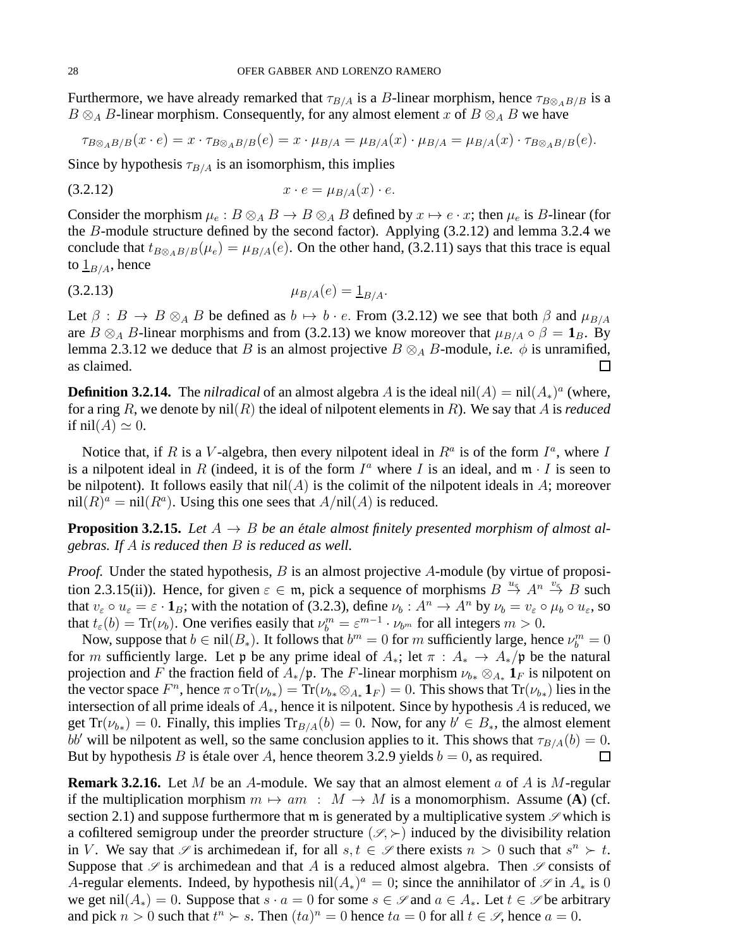Furthermore, we have already remarked that  $\tau_{B/A}$  is a B-linear morphism, hence  $\tau_{B\otimes_A B/B}$  is a  $B \otimes_A B$ -linear morphism. Consequently, for any almost element x of  $B \otimes_A B$  we have

$$
\tau_{B\otimes_A B/B}(x \cdot e) = x \cdot \tau_{B\otimes_A B/B}(e) = x \cdot \mu_{B/A} = \mu_{B/A}(x) \cdot \mu_{B/A} = \mu_{B/A}(x) \cdot \tau_{B\otimes_A B/B}(e).
$$

Since by hypothesis  $\tau_{B/A}$  is an isomorphism, this implies

$$
(3.2.12) \t\t x \cdot e = \mu_{B/A}(x) \cdot e.
$$

Consider the morphism  $\mu_e : B \otimes_A B \to B \otimes_A B$  defined by  $x \mapsto e \cdot x$ ; then  $\mu_e$  is B-linear (for the B-module structure defined by the second factor). Applying (3.2.12) and lemma 3.2.4 we conclude that  $t_{B\otimes_A B/B}(\mu_e) = \mu_{B/A}(e)$ . On the other hand, (3.2.11) says that this trace is equal to  $\underline{1}_{B/A}$ , hence

$$
\mu_{B/A}(e) = \underline{1}_{B/A}.
$$

Let  $\beta : B \to B \otimes_A B$  be defined as  $b \mapsto b \cdot e$ . From (3.2.12) we see that both  $\beta$  and  $\mu_{B/A}$ are  $B \otimes_A B$ -linear morphisms and from (3.2.13) we know moreover that  $\mu_{B/A} \circ \beta = \mathbf{1}_B$ . By lemma 2.3.12 we deduce that B is an almost projective  $B \otimes_A B$ -module, *i.e.*  $\phi$  is unramified, as claimed.

**Definition 3.2.14.** The *nilradical* of an almost algebra A is the ideal nil $(A) = \text{nil}(A_*)^a$  (where, for a ring R, we denote by  $nil(R)$  the ideal of nilpotent elements in R). We say that A is *reduced* if  $nil(A) \simeq 0$ .

Notice that, if R is a V-algebra, then every nilpotent ideal in  $R^a$  is of the form  $I^a$ , where I is a nilpotent ideal in R (indeed, it is of the form  $I^a$  where I is an ideal, and  $\mathfrak{m} \cdot I$  is seen to be nilpotent). It follows easily that  $nil(A)$  is the colimit of the nilpotent ideals in A; moreover  $\text{nil}(R)^a = \text{nil}(R^a)$ . Using this one sees that  $A/\text{nil}(A)$  is reduced.

**Proposition 3.2.15.** Let  $A \rightarrow B$  be an étale almost finitely presented morphism of almost al*gebras. If* A *is reduced then* B *is reduced as well.*

*Proof.* Under the stated hypothesis, B is an almost projective A-module (by virtue of proposition 2.3.15(ii)). Hence, for given  $\varepsilon \in \mathfrak{m}$ , pick a sequence of morphisms  $B \stackrel{u_{\varepsilon}}{\to} A^n \stackrel{v_{\varepsilon}}{\to} B$  such that  $v_{\varepsilon} \circ u_{\varepsilon} = \varepsilon \cdot \mathbf{1}_B$ ; with the notation of (3.2.3), define  $\nu_b : A^n \to A^n$  by  $\nu_b = v_{\varepsilon} \circ \mu_b \circ u_{\varepsilon}$ , so that  $t_{\varepsilon}(b) = \text{Tr}(\nu_b)$ . One verifies easily that  $\nu_b^m = \varepsilon^{m-1} \cdot \nu_{b^m}$  for all integers  $m > 0$ .

Now, suppose that  $b \in \text{nil}(B_*)$ . It follows that  $b^m = 0$  for m sufficiently large, hence  $\nu_b^m = 0$ for m sufficiently large. Let p be any prime ideal of  $A_*$ ; let  $\pi : A_* \to A_*/p$  be the natural projection and F the fraction field of  $A_*/\mathfrak{p}$ . The F-linear morphism  $\nu_{b_*} \otimes_{A_*} \mathbf{1}_F$  is nilpotent on the vector space  $F^n$ , hence  $\pi \circ \text{Tr}(\nu_{b*}) = \text{Tr}(\nu_{b*} \otimes_{A_*} \mathbf{1}_F) = 0$ . This shows that  $\text{Tr}(\nu_{b*})$  lies in the intersection of all prime ideals of  $A_{*}$ , hence it is nilpotent. Since by hypothesis A is reduced, we get Tr( $\nu_{b*}$ ) = 0. Finally, this implies Tr<sub>B/A</sub>(b) = 0. Now, for any  $b' \in B_*$ , the almost element bb' will be nilpotent as well, so the same conclusion applies to it. This shows that  $\tau_{B/A}(b) = 0$ . But by hypothesis B is étale over A, hence theorem 3.2.9 yields  $b = 0$ , as required.  $\Box$ 

**Remark 3.2.16.** Let M be an A-module. We say that an almost element a of A is M-regular if the multiplication morphism  $m \mapsto am : M \to M$  is a monomorphism. Assume (A) (cf. section 2.1) and suppose furthermore that m is generated by a multiplicative system  $\mathscr S$  which is a cofiltered semigroup under the preorder structure ( $\mathcal{S}$ ,  $\succ$ ) induced by the divisibility relation in V. We say that  $\mathscr S$  is archimedean if, for all  $s, t \in \mathscr S$  there exists  $n > 0$  such that  $s^n \succ t$ . Suppose that  $\mathscr S$  is archimedean and that A is a reduced almost algebra. Then  $\mathscr S$  consists of A-regular elements. Indeed, by hypothesis nil $(A_*)^a = 0$ ; since the annihilator of  $\mathscr{S}$  in  $A_*$  is 0 we get nil $(A_*) = 0$ . Suppose that  $s \cdot a = 0$  for some  $s \in \mathcal{S}$  and  $a \in A_*$ . Let  $t \in \mathcal{S}$  be arbitrary and pick  $n > 0$  such that  $t^n > s$ . Then  $(ta)^n = 0$  hence  $ta = 0$  for all  $t \in \mathscr{S}$ , hence  $a = 0$ .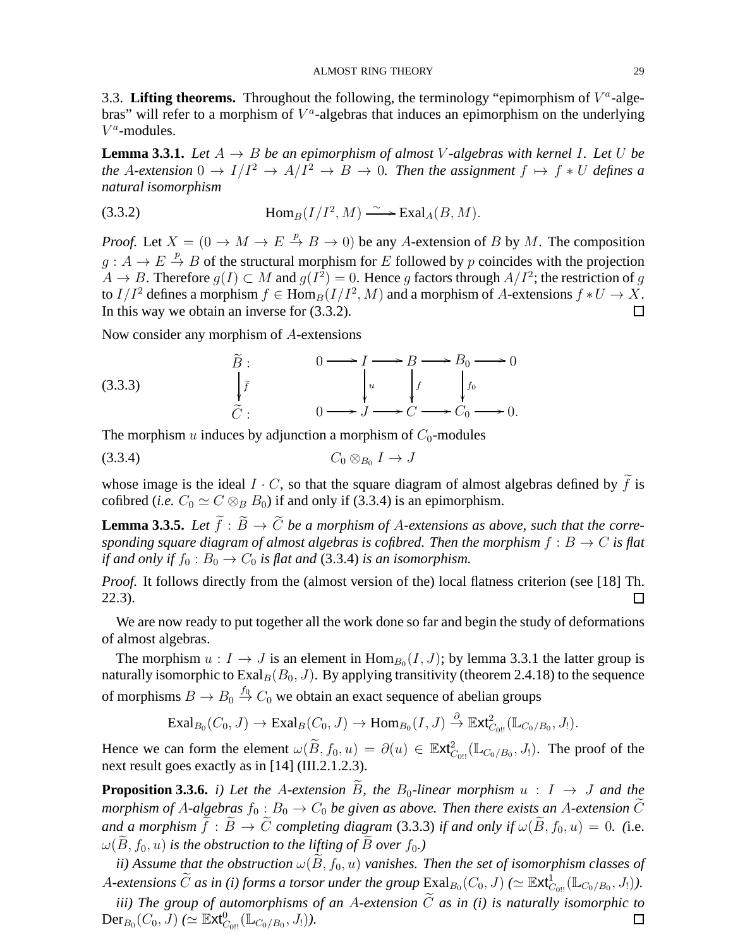3.3. Lifting theorems. Throughout the following, the terminology "epimorphism of  $V^a$ -algebras" will refer to a morphism of  $V^a$ -algebras that induces an epimorphism on the underlying  $V^a$ -modules.

**Lemma 3.3.1.** *Let*  $A \rightarrow B$  *be an epimorphism of almost V*-algebras with kernel *I*. Let *U be the* A-extension  $0 \to I/I^2 \to A/I^2 \to B \to 0$ . Then the assignment  $f \mapsto f * U$  defines a *natural isomorphism*

(3.3.2) 
$$
\text{Hom}_B(I/I^2, M) \xrightarrow{\sim} \text{Exal}_A(B, M).
$$

*Proof.* Let  $X = (0 \to M \to E \stackrel{p}{\to} B \to 0)$  be any A-extension of B by M. The composition  $g: A \to E \stackrel{p}{\to} B$  of the structural morphism for E followed by p coincides with the projection  $A \to B$ . Therefore  $g(I) \subset M$  and  $g(I^2) = 0$ . Hence g factors through  $A/I^2$ ; the restriction of g to  $I/I^2$  defines a morphism  $f \in \text{Hom}_B(I/I^2, M)$  and a morphism of A-extensions  $f * U \to X$ . In this way we obtain an inverse for (3.3.2).  $\Box$ 

Now consider any morphism of A-extensions

(3.3.3) 
$$
\begin{array}{ccc}\n\widetilde{B} : & 0 \longrightarrow I \longrightarrow B \longrightarrow B_0 \longrightarrow 0 \\
\int_{\widetilde{C}} & \int_{u}^{u} & \int_{f}^{f} & \int_{f_0}^{f_0} \\
\widetilde{C} : & 0 \longrightarrow J \longrightarrow C \longrightarrow C_0 \longrightarrow 0.\n\end{array}
$$

The morphism u induces by adjunction a morphism of  $C_0$ -modules

$$
(3.3.4) \tC_0 \otimes_{B_0} I \to J
$$

whose image is the ideal  $I \cdot C$ , so that the square diagram of almost algebras defined by  $\tilde{f}$  is cofibred (*i.e.*  $C_0 \simeq C \otimes_B B_0$ ) if and only if (3.3.4) is an epimorphism.

**Lemma 3.3.5.** Let  $\tilde{f}$  :  $\tilde{B} \to \tilde{C}$  be a morphism of A-extensions as above, such that the corre*sponding square diagram of almost algebras is cofibred. Then the morphism*  $f : B \to C$  *is flat if and only if*  $f_0$  :  $B_0 \rightarrow C_0$  *is flat and* (3.3.4) *is an isomorphism.* 

*Proof.* It follows directly from the (almost version of the) local flatness criterion (see [18] Th. 22.3).  $\Box$ 

We are now ready to put together all the work done so far and begin the study of deformations of almost algebras.

The morphism  $u: I \to J$  is an element in  $\text{Hom}_{B_0}(I, J)$ ; by lemma 3.3.1 the latter group is naturally isomorphic to  $\text{Exal}_B(B_0, J)$ . By applying transitivity (theorem 2.4.18) to the sequence of morphisms  $B \to B_0 \stackrel{f_0}{\to} C_0$  we obtain an exact sequence of abelian groups

$$
\text{Exal}_{B_0}(C_0, J) \to \text{Exal}_B(C_0, J) \to \text{Hom}_{B_0}(I, J) \stackrel{\partial}{\to} \text{Ext}^2_{C_{0!!}}(\mathbb{L}_{C_0/B_0}, J_1).
$$

Hence we can form the element  $\omega(\tilde{B}, f_0, u) = \partial(u) \in \mathbb{E}xt^2_{C_{0!!}}(\mathbb{L}_{C_0/B_0}, J_1)$ . The proof of the next result goes exactly as in [14] (III.2.1.2.3).

**Proposition 3.3.6.** *i) Let the A-extension*  $\widetilde{B}$ *, the*  $B_0$ -linear morphism  $u : I \rightarrow J$  and the *morphism of A-algebras*  $f_0 : B_0 \to C_0$  *be given as above. Then there exists an A-extension*  $\widetilde{C}$ *and a morphism*  $\widetilde{f}: \widetilde{B} \to \widetilde{C}$  *completing diagram* (3.3.3) *if and only if*  $\omega(\widetilde{B}, f_0, u) = 0$ . (i.e.  $\omega(\widetilde{B}, f_0, u)$  *is the obstruction to the lifting of*  $\widetilde{B}$  *over*  $f_0$ *.*)

*ii)* Assume that the obstruction  $\omega(\widetilde{B}, f_0, u)$  vanishes. Then the set of isomorphism classes of A-extensions  $\widetilde{C}$  as in (i) forms a torsor under the group  $\text{Exal}_{B_0}(C_0, J)$  ( $\simeq \text{Ext}^1_{C_{0!!}}(\mathbb{L}_{C_0/B_0}, J_!)$ ).

*iii)* The group of automorphisms of an A-extension  $\tilde{C}$  as in (i) is naturally isomorphic to  $\text{er}_{B_2}(C_0, J)$  ( $\simeq \mathbb{E} \text{xt}_{C_2}^0([{\mathbb{L}}_{C_2/B_2}, J_1])$ ).  $Der_{B_0}(C_0, J) \; (\simeq \mathbb{E}{\mathbf{xt}}^0_{C_{0!!}}(\mathbb{L}_{C_0/B_0}, J_1)).$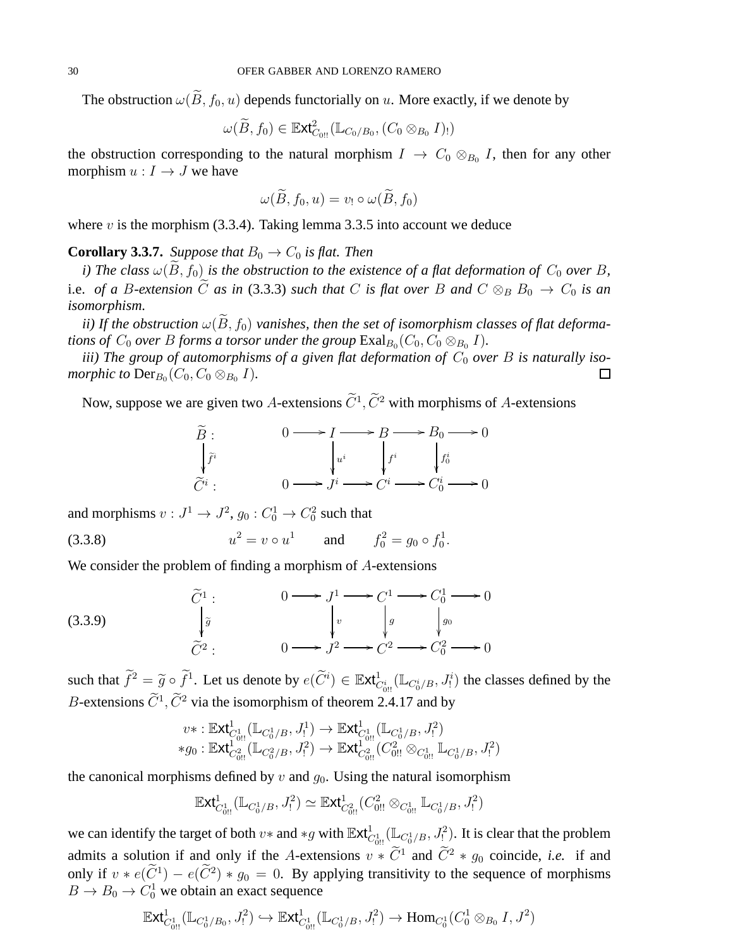The obstruction  $\omega(\widetilde{B}, f_0, u)$  depends functorially on u. More exactly, if we denote by

$$
\omega(\widetilde{B},f_0) \in \mathbb{E}\mathbf{xt}_{C_{0!!}}^2(\mathbb{L}_{C_0/B_0}, (C_0 \otimes_{B_0} I)_!)
$$

the obstruction corresponding to the natural morphism  $I \rightarrow C_0 \otimes_{B_0} I$ , then for any other morphism  $u: I \to J$  we have

$$
\omega(\widetilde{B},f_0,u)=v_!\circ\omega(\widetilde{B},f_0)
$$

where  $v$  is the morphism (3.3.4). Taking lemma 3.3.5 into account we deduce

**Corollary 3.3.7.** *Suppose that*  $B_0 \to C_0$  *is flat. Then* 

*i)* The class  $\omega(\tilde{B}, f_0)$  *is the obstruction to the existence of a flat deformation of*  $C_0$  *over* B, i.e. *of a B-extension*  $\widetilde{C}$  *as in* (3.3.3) *such that* C *is flat over* B *and*  $C \otimes_B B_0 \to C_0$  *is an isomorphism.*

*ii)* If the obstruction  $\omega(\tilde{B}, f_0)$  vanishes, then the set of isomorphism classes of flat deformations of  $C_0$  over  $B$  forms a torsor under the group  $\text{Exal}_{B_0}(C_0, C_0 \otimes_{B_0} I)$ .

*iii*) The group of automorphisms of a given flat deformation of  $C_0$  over B is naturally iso*morphic to*  $\operatorname{Der}_{B_0}(C_0, C_0 \otimes_{B_0} I)$ *.* 口

Now, suppose we are given two A-extensions  $C^1$ ,  $C^2$  with morphisms of A-extensions

$$
\widetilde{B} : \qquad \qquad 0 \longrightarrow I \longrightarrow B \longrightarrow B_0 \longrightarrow 0
$$
\n
$$
\widetilde{f}^i
$$
\n
$$
\widetilde{C}^i : \qquad \qquad 0 \longrightarrow J^i \longrightarrow C^i \longrightarrow C_0^i \longrightarrow 0
$$

and morphisms  $v: J^1 \to J^2$ ,  $g_0: C_0^1 \to C_0^2$  such that

(3.3.8)  $u^2 = v \circ u^1$  and  $f_0^2 = g_0 \circ f_0^1$ .

We consider the problem of finding a morphism of A-extensions

(3.3.9) 
$$
\begin{array}{ccc}\n\widetilde{C}^1: & 0 \longrightarrow J^1 \longrightarrow C^1 \longrightarrow C_0^1 \longrightarrow 0 \\
\downarrow \widetilde{g} & \downarrow \upsilon & \downarrow g \\
\widetilde{C}^2: & 0 \longrightarrow J^2 \longrightarrow C^2 \longrightarrow C_0^2 \longrightarrow 0\n\end{array}
$$

such that  $\widetilde{f}^2 = \widetilde{g} \circ \widetilde{f}^1$ . Let us denote by  $e(\widetilde{C}^i) \in \mathbb{E}xt_{C_{0}^i}^1(\mathbb{L}_{C_0^i/B}, J_1^i)$  the classes defined by the B-extensions  $\widetilde{C}^1$ ,  $\widetilde{C}^2$  via the isomorphism of theorem 2.4.17 and by

$$
\begin{array}{l} v*:\mathbb{E} \mathsf{xt}^1_{C^1_{0!!}}(\mathbb{L}_{C^1_0/B},J^1_!) \rightarrow \mathbb{E} \mathsf{xt}^1_{C^1_{0!!}}(\mathbb{L}_{C^1_0/B},J^2_!)\\ *g_0:\mathbb{E} \mathsf{xt}^1_{C^2_{0!!}}(\mathbb{L}_{C^2_0/B},J^2_!) \rightarrow \mathbb{E} \mathsf{xt}^1_{C^2_{0!!}}(C^2_{0!!}\otimes_{C^1_{0!!}}\mathbb{L}_{C^1_0/B},J^2_!) \end{array}
$$

the canonical morphisms defined by  $v$  and  $g<sub>0</sub>$ . Using the natural isomorphism

$$
\mathbb{E} \mathbf{xt}^1_{C^1_{0!!}}(\mathbb{L}_{C^1_0/B}, J^2_!) \simeq \mathbb{E} \mathbf{xt}^1_{C^2_{0!!}}(C^2_{0!!} \otimes_{C^1_{0!!}} \mathbb{L}_{C^1_0/B}, J^2_!)
$$

we can identify the target of both  $v*$  and  $*g$  with  $\mathbb{E}xt^1_{C^1_{0!1}}(\mathbb{L}_{C^1_0/B}, J^2_1)$ . It is clear that the problem admits a solution if and only if the A-extensions  $v * C^1$  and  $C^2 * g_0$  coincide, *i.e.* if and only if  $v * e(\hat{C}^1) - e(\hat{C}^2) * g_0 = 0$ . By applying transitivity to the sequence of morphisms  $B \to B_0 \to C_0^1$  we obtain an exact sequence

$$
\mathbb{E} \mathbf{xt}^1_{C^1_{0!!}}(\mathbb{L}_{C^1_0/B_0}, J^2_!) \hookrightarrow \mathbb{E} \mathbf{xt}^1_{C^1_{0!!}}(\mathbb{L}_{C^1_0/B}, J^2_!) \to \text{Hom}_{C^1_0}(C^1_0 \otimes_{B_0} I, J^2)
$$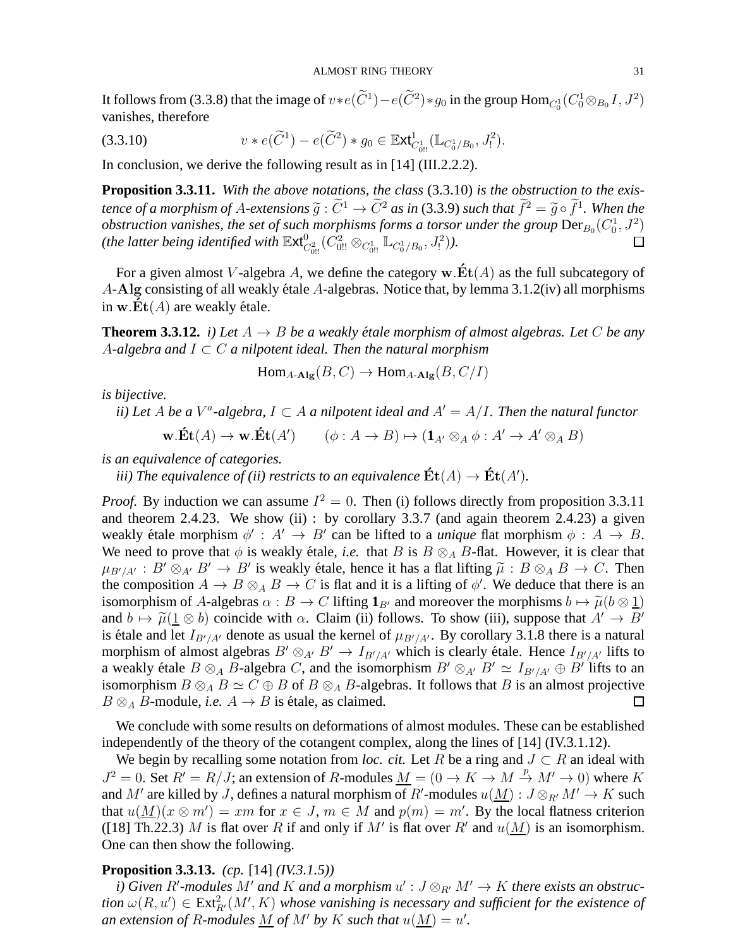It follows from (3.3.8) that the image of  $v*e(\overline{C}^1)-e(\overline{C}^2)*g_0$  in the group  $\text{Hom}_{C_0^1}(C_0^1\otimes_{B_0}I, J^2)$ vanishes, therefore

(3.3.10) 
$$
v * e(\widetilde{C}^1) - e(\widetilde{C}^2) * g_0 \in \mathbb{E} \mathbf{xt}_{C_{0!}^1}^1(\mathbb{L}_{C_0^1/B_0}, J_1^2).
$$

In conclusion, we derive the following result as in [14] (III.2.2.2).

**Proposition 3.3.11.** *With the above notations, the class* (3.3.10) *is the obstruction to the existence of a morphism of A-extensions*  $\widetilde{g}: \widetilde{C}^1 \to \widetilde{C}^2$  *as in* (3.3.9) *such that*  $f^2 = \widetilde{g} \circ f^1$ *. When the*<br>*electrical* is variables the set of such meantisms forms a tensor under the spayn Dan  $(G^1, I^$ *obstruction vanishes, the set of such morphisms forms a torsor under the group*  $Der_{B_0}(C_0^1, J^2)$ (the latter being identified with  $\mathbb{E}xt^0_{C^2_{0!!}}(C^2_{0!!}\otimes_{C^1_{0!!}}\mathbb{L}_{C^1_0/B_0}, J^2_!)$ ).

For a given almost V-algebra A, we define the category w.  $\text{Et}(A)$  as the full subcategory of A-Alg consisting of all weakly étale A-algebras. Notice that, by lemma  $3.1.2(iv)$  all morphisms in w.Et( $A$ ) are weakly étale.

**Theorem 3.3.12.** *i)* Let  $A \rightarrow B$  be a weakly étale morphism of almost algebras. Let C be any A*-algebra and* I ⊂ C *a nilpotent ideal. Then the natural morphism*

$$
Hom_{A\text{-}\mathbf{Alg}}(B, C) \to Hom_{A\text{-}\mathbf{Alg}}(B, C/I)
$$

*is bijective.*

*ii)* Let A be a  $V^a$ -algebra,  $I \subset A$  a nilpotent ideal and  $A' = A/I$ . Then the natural functor

 $\mathbf{w}.\mathbf{Ét}(A) \to \mathbf{w}.\mathbf{Ét}(A') \qquad (\phi: A \to B) \mapsto (\mathbf{1}_{A'} \otimes_A \phi: A' \to A' \otimes_A B)$ 

*is an equivalence of categories.*

*iii)* The equivalence of (ii) restricts to an equivalence  $\mathbf{\acute{E}t}(A) \rightarrow \mathbf{\acute{E}t}(A').$ 

*Proof.* By induction we can assume  $I^2 = 0$ . Then (i) follows directly from proposition 3.3.11 and theorem 2.4.23. We show (ii) : by corollary  $3.3.7$  (and again theorem 2.4.23) a given weakly étale morphism  $\phi' : A' \to B'$  can be lifted to a *unique* flat morphism  $\phi : A \to B$ . We need to prove that  $\phi$  is weakly étale, *i.e.* that B is  $B \otimes_A B$ -flat. However, it is clear that  $\mu_{B'/A'} : B' \otimes_{A'} B' \to B'$  is weakly étale, hence it has a flat lifting  $\tilde{\mu} : B \otimes_A B \to C$ . Then<br>the composition  $A \to B \otimes_B B \to C$  is flat and it is a lifting of  $A'$ . We deduce that there is an the composition  $A \to B \otimes_A B \to C$  is flat and it is a lifting of  $\phi'$ . We deduce that there is an isomorphism of A-algebras  $\alpha : B \to C$  lifting  $\mathbf{1}_{B'}$  and moreover the morphisms  $b \mapsto \widetilde{\mu}(b \otimes 1)$ and  $b \mapsto \tilde{\mu}(\underline{1} \otimes b)$  coincide with  $\alpha$ . Claim (ii) follows. To show (iii), suppose that  $A' \to B'$ is étale and let  $I_{B'/A'}$  denote as usual the kernel of  $\mu_{B'/A'}$ . By corollary 3.1.8 there is a natural morphism of almost algebras  $B' \otimes_{A'} B' \to I_{B'/A'}$  which is clearly étale. Hence  $I_{B'/A'}$  lifts to a weakly étale  $B \otimes_A B$ -algebra C, and the isomorphism  $B' \otimes_{A'} B' \simeq I_{B'/A'} \oplus B'$  lifts to an isomorphism  $B \otimes_A B \simeq C \oplus B$  of  $B \otimes_A B$ -algebras. It follows that B is an almost projective  $B \otimes_A B$ -module, *i.e.*  $A \rightarrow B$  is étale, as claimed.  $\Box$ 

We conclude with some results on deformations of almost modules. These can be established independently of the theory of the cotangent complex, along the lines of [14] (IV.3.1.12).

We begin by recalling some notation from *loc. cit.* Let R be a ring and  $J \subset R$  an ideal with  $J^2 = 0$ . Set  $R' = R/J$ ; an extension of R-modules  $M = (0 \to K \to M \stackrel{p}{\to} M' \to 0)$  where K and M' are killed by J, defines a natural morphism of R'-modules  $u(\underline{M}) : J \otimes_{R'} M' \to K$  such that  $u(\underline{M})(x \otimes m') = xm$  for  $x \in J$ ,  $m \in M$  and  $p(m) = m'$ . By the local flatness criterion ([18] Th.22.3) M is flat over R if and only if M' is flat over R' and  $u(\underline{M})$  is an isomorphism. One can then show the following.

# **Proposition 3.3.13.** *(cp.* [14] *(IV.3.1.5))*

*i*) Given R'-modules M' and K and a morphism  $u' : J \otimes_{R'} M' \to K$  there exists an obstruction  $\omega(R, u') \in \text{Ext}^2_{R'}(M', K)$  whose vanishing is necessary and sufficient for the existence of an extension of R-modules <u>M</u> of M' by K such that  $u(\underline{M}) = u'$ .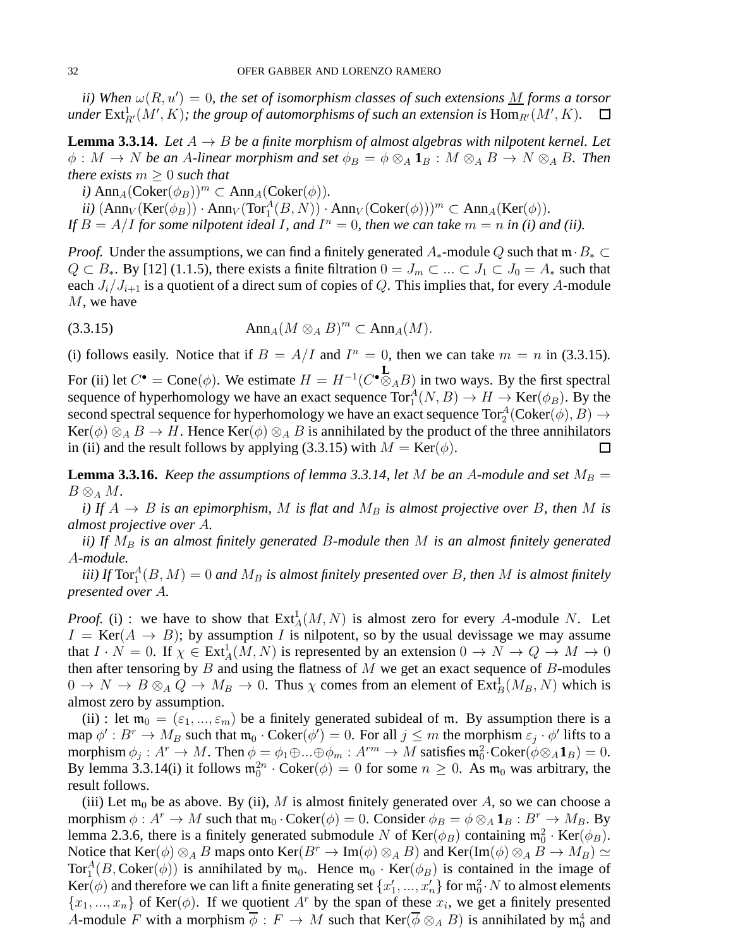$\tilde{u}$ ) When  $\omega(R, u') = 0$ , the set of isomorphism classes of such extensions <u>M</u> forms a torsor under  $\mathrm{Ext}^1_{R'}(M',K)$ ; the group of automorphisms of such an extension is  $\mathrm{Hom}_{R'}(M',K)$ .  $\Box$ 

**Lemma 3.3.14.** *Let*  $A \rightarrow B$  *be a finite morphism of almost algebras with nilpotent kernel. Let*  $\phi: M \to N$  be an A-linear morphism and set  $\phi_B = \phi \otimes_A \mathbf{1}_B : M \otimes_A B \to N \otimes_A B$ . Then *there exists*  $m \geq 0$  *such that* 

*i*) Ann<sub>A</sub>(Coker( $\phi_B$ ))<sup>m</sup> ⊂ Ann<sub>A</sub>(Coker( $\phi$ )).

*ii*)  $(Ann_V(Ker(\phi_B)) \cdot Ann_V(Tor_1^A(B, N)) \cdot Ann_V(Coker(\phi)))^m \subset Ann_A(Ker(\phi)).$ 

If  $B = A/I$  for some nilpotent ideal I, and  $I<sup>n</sup> = 0$ , then we can take  $m = n$  in (i) and (ii).

*Proof.* Under the assumptions, we can find a finitely generated  $A_*$ -module Q such that  $\mathfrak{m} \cdot B_* \subset$  $Q \subset B_*$ . By [12] (1.1.5), there exists a finite filtration  $0 = J_m \subset ... \subset J_1 \subset J_0 = A_*$  such that each  $J_i/J_{i+1}$  is a quotient of a direct sum of copies of Q. This implies that, for every A-module M, we have

$$
\operatorname{Ann}_A(M \otimes_A B)^m \subset \operatorname{Ann}_A(M).
$$

(i) follows easily. Notice that if  $B = A/I$  and  $I^n = 0$ , then we can take  $m = n$  in (3.3.15). For (ii) let  $C^{\bullet} = \text{Cone}(\phi)$ . We estimate  $H = H^{-1}(C^{\bullet} \otimes_A B)$  in two ways. By the first spectral sequence of hyperhomology we have an exact sequence  $\text{Tor}_{1}^{A}(N,B)\to H\to \text{Ker}(\phi_{B}).$  By the second spectral sequence for hyperhomology we have an exact sequence  $\mathrm{Tor}_2^A(\mathrm{Coker}(\phi),B) \to$  $Ker(\phi) \otimes_A B \to H$ . Hence  $Ker(\phi) \otimes_A B$  is annihilated by the product of the three annihilators in (ii) and the result follows by applying (3.3.15) with  $M = \text{Ker}(\phi)$ .  $\Box$ 

**Lemma 3.3.16.** *Keep the assumptions of lemma 3.3.14, let* M *be an A-module and set*  $M_B =$  $B \otimes_A M$ .

*i)* If  $A \rightarrow B$  *is an epimorphism,* M *is flat and*  $M_B$  *is almost projective over* B, then M *is almost projective over* A*.*

*ii)* If  $M_B$  *is an almost finitely generated* B-module then M *is an almost finitely generated* A*-module.*

 $\tilde{f}$  iii) If  $\text{Tor}^A_1(B,M) = 0$  and  $M_B$  is almost finitely presented over  $B$ , then  $M$  is almost finitely *presented over* A*.*

*Proof.* (i) : we have to show that  $Ext_A^1(M, N)$  is almost zero for every A-module N. Let  $I = \text{Ker}(A \rightarrow B)$ ; by assumption I is nilpotent, so by the usual devissage we may assume that  $I \cdot N = 0$ . If  $\chi \in \text{Ext}^1_A(M, N)$  is represented by an extension  $0 \to N \to Q \to M \to 0$ then after tensoring by  $B$  and using the flatness of  $M$  we get an exact sequence of  $B$ -modules  $0 \to N \to B \otimes_A Q \to M_B \to 0$ . Thus  $\chi$  comes from an element of  $\text{Ext}^1_B(M_B, N)$  which is almost zero by assumption.

(ii) : let  $\mathfrak{m}_0 = (\varepsilon_1, ..., \varepsilon_m)$  be a finitely generated subideal of m. By assumption there is a map  $\phi': B^r \to M_B$  such that  $\mathfrak{m}_0 \cdot \text{Coker}(\phi') = 0$ . For all  $j \leq m$  the morphism  $\varepsilon_j \cdot \phi'$  lifts to a morphism  $\phi_j: A^r \to M$ . Then  $\phi = \phi_1 \oplus ... \oplus \phi_m: A^{rm} \to M$  satisfies  $\mathfrak{m}_0^2$  Coker $(\phi \otimes_A \mathbf{1}_B) = 0$ . By lemma 3.3.14(i) it follows  $\mathfrak{m}_0^{2n} \cdot \text{Coker}(\phi) = 0$  for some  $n \geq 0$ . As  $\mathfrak{m}_0$  was arbitrary, the result follows.

(iii) Let  $m_0$  be as above. By (ii), M is almost finitely generated over A, so we can choose a morphism  $\phi: A^r \to M$  such that  $\mathfrak{m}_0 \cdot \text{Coker}(\phi) = 0$ . Consider  $\phi_B = \phi \otimes_A \mathbf{1}_B : B^r \to M_B$ . By lemma 2.3.6, there is a finitely generated submodule N of  $Ker(\phi_B)$  containing  $\mathfrak{m}_0^2 \cdot Ker(\phi_B)$ . Notice that Ker( $\phi$ )  $\otimes_A B$  maps onto Ker( $B^r \to \text{Im}(\phi) \otimes_A B$ ) and Ker(Im( $\phi$ )  $\otimes_A B \to M_B$ )  $\simeq$ Tor ${}^A_1(B, \text{Coker}(\phi))$  is annihilated by  $\mathfrak{m}_0$ . Hence  $\mathfrak{m}_0 \cdot \text{Ker}(\phi_B)$  is contained in the image of Ker $(\phi)$  and therefore we can lift a finite generating set  $\{x'_1,...,x'_n\}$  for  $\mathfrak{m}_0^2\cdot N$  to almost elements  $\{x_1, ..., x_n\}$  of Ker( $\phi$ ). If we quotient  $A^r$  by the span of these  $x_i$ , we get a finitely presented A-module F with a morphism  $\overline{\phi}: F \to M$  such that  $\text{Ker}(\overline{\phi} \otimes_A B)$  is annihilated by  $\mathfrak{m}_0^4$  and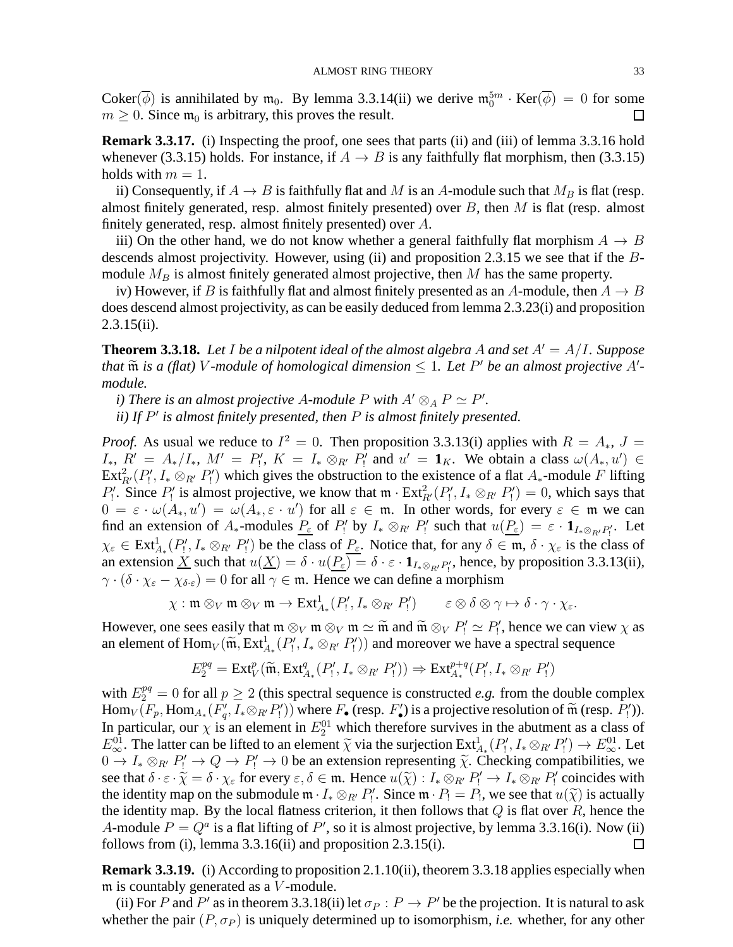Coker( $\overline{\phi}$ ) is annihilated by m<sub>0</sub>. By lemma 3.3.14(ii) we derive  $\mathfrak{m}_0^{5m} \cdot \text{Ker}(\overline{\phi}) = 0$  for some  $m > 0$ . Since  $m_0$  is arbitrary, this proves the result.  $\Box$ 

**Remark 3.3.17.** (i) Inspecting the proof, one sees that parts (ii) and (iii) of lemma 3.3.16 hold whenever (3.3.15) holds. For instance, if  $A \rightarrow B$  is any faithfully flat morphism, then (3.3.15) holds with  $m = 1$ .

ii) Consequently, if  $A \to B$  is faithfully flat and M is an A-module such that  $M_B$  is flat (resp. almost finitely generated, resp. almost finitely presented) over  $B$ , then  $M$  is flat (resp. almost finitely generated, resp. almost finitely presented) over A.

iii) On the other hand, we do not know whether a general faithfully flat morphism  $A \rightarrow B$ descends almost projectivity. However, using (ii) and proposition 2.3.15 we see that if the Bmodule  $M_B$  is almost finitely generated almost projective, then M has the same property.

iv) However, if B is faithfully flat and almost finitely presented as an A-module, then  $A \rightarrow B$ does descend almost projectivity, as can be easily deduced from lemma 2.3.23(i) and proposition 2.3.15(ii).

**Theorem 3.3.18.** Let I be a nilpotent ideal of the almost algebra A and set  $A' = A/I$ . Suppose *that*  $\widetilde{m}$  *is a (flat) V*-module of homological dimension  $\leq 1$ . Let P' be an almost projective A'*module.*

*i*) There is an almost projective A-module P with  $A' \otimes_A P \simeq P'$ .

*ii) If* P ′ *is almost finitely presented, then* P *is almost finitely presented.*

*Proof.* As usual we reduce to  $I^2 = 0$ . Then proposition 3.3.13(i) applies with  $R = A_*, J =$  $I_*, R' = A_*/I_*, M' = P'_!, K = I_* \otimes_{R'} P'_!$  and  $u' = \mathbf{1}_K$ . We obtain a class  $\omega(A_*, u') \in$  $Ext_{R'}^2(P_1', I_* \otimes_{R'} P_1')$  which gives the obstruction to the existence of a flat  $A_*$ -module F lifting  $P'_1$ . Since  $P'_1$  is almost projective, we know that  $\mathfrak{m} \cdot \text{Ext}_{R'}^2(P'_1, I_* \otimes_{R'} P'_1) = 0$ , which says that  $0 = \varepsilon \cdot \omega(A_*, u') = \omega(A_*, \varepsilon \cdot u')$  for all  $\varepsilon \in \mathfrak{m}$ . In other words, for every  $\varepsilon \in \mathfrak{m}$  we can find an extension of  $A_*$ -modules  $\underline{P_{\varepsilon}}$  of  $P'_!$  by  $I_* \otimes_{R'} P'_!$  such that  $u(\underline{P_{\varepsilon}}) = \varepsilon \cdot \mathbf{1}_{I_* \otimes_{R'} P'_!}$ . Let  $\chi_{\varepsilon} \in \text{Ext}^1_{A_*}(P'_!, I_* \otimes_{R'} P'_!)$  be the class of  $P_{\varepsilon}$ . Notice that, for any  $\delta \in \mathfrak{m}, \delta \cdot \chi_{\varepsilon}$  is the class of an extension <u>X</u> such that  $u(\underline{X}) = \delta \cdot u(\underline{P_{\varepsilon}}) = \delta \cdot \varepsilon \cdot \mathbf{1}_{I_* \otimes_{R'} P'_1}$ , hence, by proposition 3.3.13(ii),  $\gamma \cdot (\delta \cdot \chi_{\varepsilon} - \chi_{\delta \cdot \varepsilon}) = 0$  for all  $\gamma \in \mathfrak{m}$ . Hence we can define a morphism

$$
\chi: \mathfrak{m} \otimes_V \mathfrak{m} \otimes_V \mathfrak{m} \to \text{Ext}^1_{A_*}(P'_!, I_* \otimes_{R'} P'_!) \qquad \varepsilon \otimes \delta \otimes \gamma \mapsto \delta \cdot \gamma \cdot \chi_{\varepsilon}.
$$

However, one sees easily that  $\mathfrak{m} \otimes_V \mathfrak{m} \simeq \widetilde{\mathfrak{m}}$  and  $\widetilde{\mathfrak{m}} \otimes_V P'_! \simeq P'_!$ , hence we can view  $\chi$  as an element of  $\text{Hom}_V(\widetilde{\mathfrak{m}}, \text{Ext}^1_{A_*}(P'_!, I_* \otimes_{R'} P'_!))$  and moreover we have a spectral sequence

$$
E_2^{pq} = \mathrm{Ext}^p_V(\widetilde{\mathfrak{m}}, \mathrm{Ext}^q_{A_*}(P'_!, I_* \otimes_{R'} P'_!)) \Rightarrow \mathrm{Ext}^{p+q}_{A_*}(P'_!, I_* \otimes_{R'} P'_!)
$$

with  $E_2^{pq} = 0$  for all  $p \ge 2$  (this spectral sequence is constructed *e.g.* from the double complex Hom<sub>V</sub>  $(F_p, \text{Hom}_{A_*}(F'_q, I_* \otimes_{R'} P'_1))$  where  $F_{\bullet}$  (resp.  $F'_{\bullet}$ ) is a projective resolution of  $\widetilde{\mathfrak{m}}$  (resp.  $P'_1$ )). In particular, our  $\chi$  is an element in  $E_2^{01}$  which therefore survives in the abutment as a class of  $E_{\infty}^{01}$ . The latter can be lifted to an element  $\tilde{\chi}$  via the surjection  $\text{Ext}^{1}_{A*}(P'_{1}, I_{*} \otimes_{R'} P'_{1}) \to E_{\infty}^{01}$ . Let  $0 \to I_* \otimes_{R'} P'_! \to Q \to P'_! \to 0$  be an extension representing  $\tilde{\chi}$ . Checking compatibilities, we see that  $\delta \cdot \varepsilon \cdot \widetilde{\chi} = \delta \cdot \chi_{\varepsilon}$  for every  $\varepsilon, \delta \in \mathfrak{m}$ . Hence  $u(\widetilde{\chi}) : I_* \otimes_{R'} P'_! \to I_* \otimes_{R'} P'_!$  coincides with the identity map on the submodule  $\mathfrak{m} \cdot I_* \otimes_{R'} P'_!$ . Since  $\mathfrak{m} \cdot P_! = P_!$ , we see that  $u(\tilde{\chi})$  is actually the identity map. By the local flatness exitation, it than follows that  $\tilde{Q}$  is flat over  $\tilde{P}$  the identity map. By the local flatness criterion, it then follows that  $Q$  is flat over  $R$ , hence the A-module  $P = Q^a$  is a flat lifting of P', so it is almost projective, by lemma 3.3.16(i). Now (ii) follows from (i), lemma 3.3.16(ii) and proposition 2.3.15(i).  $\Box$ 

**Remark 3.3.19.** (i) According to proposition 2.1.10(ii), theorem 3.3.18 applies especially when m is countably generated as a  $V$ -module.

(ii) For P and P' as in theorem 3.3.18(ii) let  $\sigma_P$  :  $P \to P'$  be the projection. It is natural to ask whether the pair  $(P, \sigma_P)$  is uniquely determined up to isomorphism, *i.e.* whether, for any other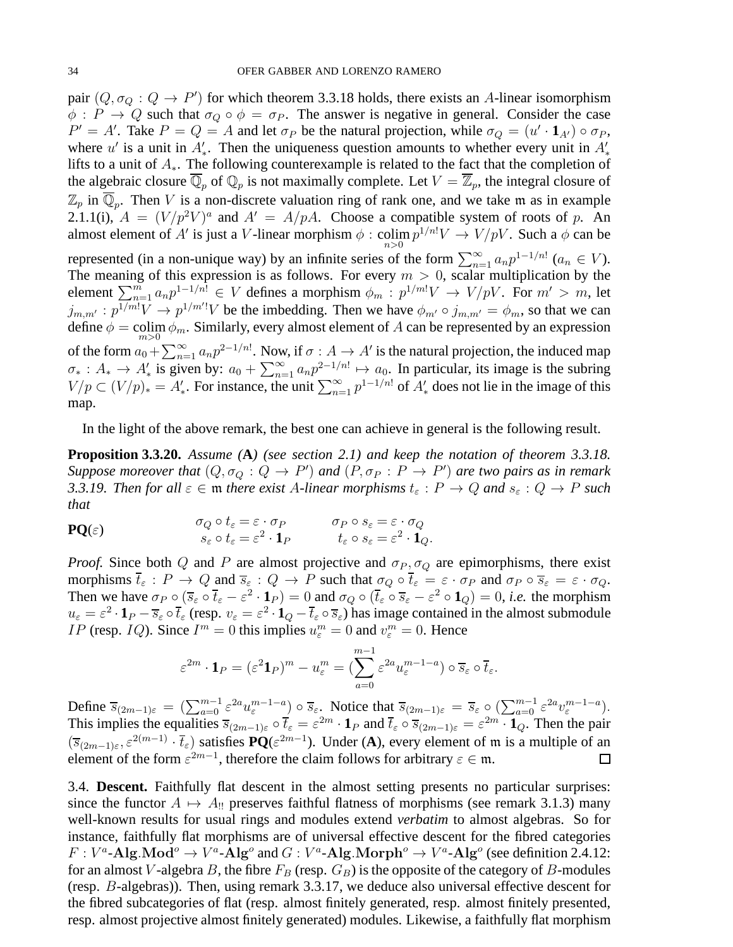pair  $(Q, \sigma_Q : Q \to P')$  for which theorem 3.3.18 holds, there exists an A-linear isomorphism  $\phi : P \to Q$  such that  $\sigma_Q \circ \phi = \sigma_P$ . The answer is negative in general. Consider the case  $P' = A'$ . Take  $P = Q = A$  and let  $\sigma_P$  be the natural projection, while  $\sigma_Q = (u' \cdot \mathbf{1}_{A'}) \circ \sigma_P$ , where u' is a unit in  $A'_*$ . Then the uniqueness question amounts to whether every unit in  $A'_*$ lifts to a unit of A∗. The following counterexample is related to the fact that the completion of the algebraic closure  $\overline{\mathbb{Q}}_p$  of  $\mathbb{Q}_p$  is not maximally complete. Let  $V = \overline{\mathbb{Z}}_p$ , the integral closure of  $\mathbb{Z}_p$  in  $\mathbb{Q}_p$ . Then V is a non-discrete valuation ring of rank one, and we take m as in example 2.1.1(i),  $A = (V/p^2V)^a$  and  $A' = A/pA$ . Choose a compatible system of roots of p. An almost element of A' is just a V-linear morphism  $\phi : \text{colim } p^{1/n!}V \to V/pV$ . Such a  $\phi$  can be represented (in a non-unique way) by an infinite series of the form  $\sum_{n=1}^{\infty} a_n p^{1-1/n!}$  ( $a_n \in V$ ). The meaning of this expression is as follows. For every  $m > 0$ , scalar multiplication by the element  $\sum_{n=1}^{m} a_n p^{1-1/n} \in V$  defines a morphism  $\phi_m : p^{1/m}V \to V/pV$ . For  $m' > m$ , let  $j_{m,m'}: p^{1/m!}V \to p^{1/m'!}V$  be the imbedding. Then we have  $\phi_{m'} \circ j_{m,m'} = \phi_m$ , so that we can define  $\phi = \text{colim}_{n} \phi_m$ . Similarly, every almost element of A can be represented by an expression  $m>0$ of the form  $a_0 + \sum_{n=1}^{\infty} a_n p^{2-1/n!}$ . Now, if  $\sigma : A \to A'$  is the natural projection, the induced map

 $\sigma_*$ :  $A_* \to A'_*$  is given by:  $a_0 + \sum_{n=1}^{\infty} a_n p^{2-1/n!} \mapsto a_0$ . In particular, its image is the subring  $V/p \subset (V/p)_* = A'_*$ . For instance, the unit  $\sum_{n=1}^{\infty} p^{1-1/n!}$  of  $A'_*$  does not lie in the image of this map.

In the light of the above remark, the best one can achieve in general is the following result.

**Proposition 3.3.20.** *Assume (***A***) (see section 2.1) and keep the notation of theorem 3.3.18. Suppose moreover that*  $(Q, \sigma_Q : Q \to P')$  and  $(P, \sigma_P : P \to P')$  are two pairs as in remark *3.3.19. Then for all*  $\varepsilon \in \mathfrak{m}$  *there exist A-linear morphisms*  $t_{\varepsilon}: P \to Q$  *and*  $s_{\varepsilon}: Q \to P$  *such that*

$$
\mathbf{PQ}(\varepsilon) \qquad \sigma_Q \circ t_{\varepsilon} = \varepsilon \cdot \sigma_P \qquad \sigma_P \circ s_{\varepsilon} = \varepsilon \cdot \sigma_Q s_{\varepsilon} \circ t_{\varepsilon} = \varepsilon^2 \cdot \mathbf{1}_P \qquad \qquad t_{\varepsilon} \circ s_{\varepsilon} = \varepsilon^2 \cdot \mathbf{1}_Q.
$$

*Proof.* Since both Q and P are almost projective and  $\sigma_P$ ,  $\sigma_Q$  are epimorphisms, there exist morphisms  $\overline{t}_{\varepsilon}$ :  $P \to Q$  and  $\overline{s}_{\varepsilon}$ :  $Q \to P$  such that  $\sigma_Q \circ \overline{t}_{\varepsilon} = \varepsilon \cdot \sigma_P$  and  $\sigma_P \circ \overline{s}_{\varepsilon} = \varepsilon \cdot \sigma_Q$ . Then we have  $\sigma_P \circ (\overline{s}_{\varepsilon} \circ \overline{t}_{\varepsilon} - \varepsilon^2 \cdot \mathbf{1}_P) = 0$  and  $\sigma_Q \circ (\overline{t}_{\varepsilon} \circ \overline{s}_{\varepsilon} - \varepsilon^2 \circ \mathbf{1}_Q) = 0$ , *i.e.* the morphism  $u_{\varepsilon} = \varepsilon^2 \cdot 1_P - \overline{s}_{\varepsilon} \circ \overline{t}_{\varepsilon}$  (resp.  $v_{\varepsilon} = \varepsilon^2 \cdot 1_Q - \overline{t}_{\varepsilon} \circ \overline{s}_{\varepsilon}$ ) has image contained in the almost submodule *IP* (resp. *IQ*). Since  $I^m = 0$  this implies  $u_{\varepsilon}^m = 0$  and  $v_{\varepsilon}^m = 0$ . Hence

$$
\varepsilon^{2m} \cdot \mathbf{1}_P = (\varepsilon^2 \mathbf{1}_P)^m - u_\varepsilon^m = \left( \sum_{a=0}^{m-1} \varepsilon^{2a} u_\varepsilon^{m-1-a} \right) \circ \overline{s}_{\varepsilon} \circ \overline{t}_{\varepsilon}.
$$

Define  $\overline{s}_{(2m-1)\varepsilon} = (\sum_{a=0}^{m-1} \varepsilon^{2a} u_{\varepsilon}^{m-1-a}) \circ \overline{s}_{\varepsilon}$ . Notice that  $\overline{s}_{(2m-1)\varepsilon} = \overline{s}_{\varepsilon} \circ (\sum_{a=0}^{m-1} \varepsilon^{2a} v_{\varepsilon}^{m-1-a})$ . This implies the equalities  $\overline{s}_{(2m-1)\varepsilon} \circ \overline{t}_{\varepsilon} = \varepsilon^{2m} \cdot \mathbf{1}_P$  and  $\overline{t}_{\varepsilon} \circ \overline{s}_{(2m-1)\varepsilon} = \varepsilon^{2m} \cdot \mathbf{1}_Q$ . Then the pair  $(\overline{s}_{(2m-1)\epsilon}, \epsilon^{2(m-1)} \cdot \overline{t}_{\epsilon})$  satisfies **PQ**( $\epsilon^{2m-1}$ ). Under (**A**), every element of m is a multiple of an element of the form  $\varepsilon^{2m-1}$ , therefore the claim follows for arbitrary  $\varepsilon \in \mathfrak{m}$ .  $\Box$ 

3.4. **Descent.** Faithfully flat descent in the almost setting presents no particular surprises: since the functor  $A \mapsto A_{\parallel}$  preserves faithful flatness of morphisms (see remark 3.1.3) many well-known results for usual rings and modules extend *verbatim* to almost algebras. So for instance, faithfully flat morphisms are of universal effective descent for the fibred categories  $F: V^a$ -Alg.Mod<sup>o</sup>  $\rightarrow$   $V^a$ -Alg<sup>o</sup> and  $G: V^a$ -Alg.Morph<sup>o</sup>  $\rightarrow$   $V^a$ -Alg<sup>o</sup> (see definition 2.4.12: for an almost V-algebra B, the fibre  $F_B$  (resp.  $G_B$ ) is the opposite of the category of B-modules (resp. B-algebras)). Then, using remark 3.3.17, we deduce also universal effective descent for the fibred subcategories of flat (resp. almost finitely generated, resp. almost finitely presented, resp. almost projective almost finitely generated) modules. Likewise, a faithfully flat morphism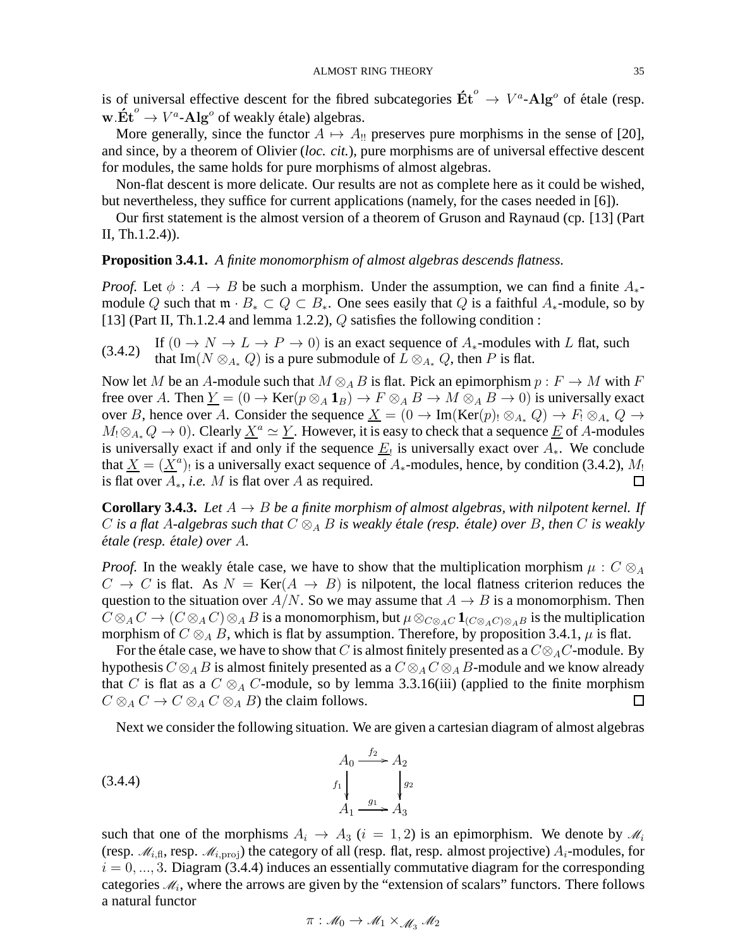is of universal effective descent for the fibred subcategories  $\mathbf{\acute{E}t}^{\circ} \to V^a$ -Alg<sup>o</sup> of étale (resp.  $\textbf{w}.\mathbf{\acute{E}}\textbf{t}^o \rightarrow V^a\textbf{-Alg}^o$  of weakly étale) algebras.

More generally, since the functor  $A \mapsto A_{\parallel}$  preserves pure morphisms in the sense of [20], and since, by a theorem of Olivier (*loc. cit.*), pure morphisms are of universal effective descent for modules, the same holds for pure morphisms of almost algebras.

Non-flat descent is more delicate. Our results are not as complete here as it could be wished, but nevertheless, they suffice for current applications (namely, for the cases needed in [6]).

Our first statement is the almost version of a theorem of Gruson and Raynaud (cp. [13] (Part II, Th.1.2.4)).

### **Proposition 3.4.1.** *A finite monomorphism of almost algebras descends flatness.*

*Proof.* Let  $\phi : A \rightarrow B$  be such a morphism. Under the assumption, we can find a finite  $A_{*}$ module Q such that  $\mathfrak{m} \cdot B_* \subset Q \subset B_*$ . One sees easily that Q is a faithful  $A_*$ -module, so by [13] (Part II, Th.1.2.4 and lemma 1.2.2),  $Q$  satisfies the following condition :

If  $(0 \to N \to L \to P \to 0)$  is an exact sequence of  $A_*$ -modules with L flat, such (3.4.2) If  $(0 \to N \to L \to P \to 0)$  is an exact sequence of  $A_*$ -modules that Im( $N \otimes_{A_*} Q$ ) is a pure submodule of  $L \otimes_{A_*} Q$ , then P is flat.

Now let M be an A-module such that  $M \otimes_A B$  is flat. Pick an epimorphism  $p : F \to M$  with F free over A. Then  $\underline{Y} = (0 \to \text{Ker}(p \otimes_A \mathbf{1}_B) \to F \otimes_A B \to M \otimes_A B \to 0)$  is universally exact over B, hence over A. Consider the sequence  $\underline{X} = (0 \to \text{Im}(\text{Ker}(p), \otimes_{A_{*}} Q) \to F_{!} \otimes_{A_{*}} Q \to$  $M_1 \otimes_{A_*} Q \to 0$ ). Clearly  $\underline{X}^a \simeq \underline{Y}$ . However, it is easy to check that a sequence  $\underline{E}$  of A-modules is universally exact if and only if the sequence  $\underline{E}_1$  is universally exact over  $A_*$ . We conclude that  $\underline{X} = (\underline{X}^a)$ , is a universally exact sequence of  $A_*$ -modules, hence, by condition (3.4.2),  $M_!$ is flat over  $A_*$ , *i.e.* M is flat over A as required. 口

**Corollary 3.4.3.** Let  $A \rightarrow B$  be a finite morphism of almost algebras, with nilpotent kernel. If C *is a flat* A-algebras such that  $C \otimes_A B$  *is weakly étale (resp. étale) over* B, then C *is weakly étale* (*resp. étale*) *over A*.

*Proof.* In the weakly étale case, we have to show that the multiplication morphism  $\mu : C \otimes_A \mathbb{R}$  $C \rightarrow C$  is flat. As  $N = \text{Ker}(A \rightarrow B)$  is nilpotent, the local flatness criterion reduces the question to the situation over A/N. So we may assume that  $A \rightarrow B$  is a monomorphism. Then  $C \otimes_A C \to (C \otimes_A C) \otimes_A B$  is a monomorphism, but  $\mu \otimes_{C \otimes_A C} \mathbf{1}_{(C \otimes_A C) \otimes_A B}$  is the multiplication morphism of  $C \otimes_A B$ , which is flat by assumption. Therefore, by proposition 3.4.1,  $\mu$  is flat.

For the étale case, we have to show that C is almost finitely presented as a  $C \otimes_A C$ -module. By hypothesis  $C \otimes_A B$  is almost finitely presented as a  $C \otimes_A C \otimes_A B$ -module and we know already that C is flat as a  $C \otimes_A C$ -module, so by lemma 3.3.16(iii) (applied to the finite morphism  $C \otimes_A C \to C \otimes_A C \otimes_A B$  the claim follows.  $\Box$ 

Next we consider the following situation. We are given a cartesian diagram of almost algebras

$$
A_0 \xrightarrow{f_2} A_2
$$
\n
$$
f_1 \downarrow \qquad \qquad f_2
$$
\n
$$
A_1 \xrightarrow{g_1} A_3
$$

such that one of the morphisms  $A_i \rightarrow A_3$  ( $i = 1, 2$ ) is an epimorphism. We denote by  $\mathcal{M}_i$ (resp.  $\mathcal{M}_{i,\text{fl}},$  resp.  $\mathcal{M}_{i,\text{proj}}$ ) the category of all (resp. flat, resp. almost projective)  $A_i$ -modules, for  $i = 0, \ldots, 3$ . Diagram (3.4.4) induces an essentially commutative diagram for the corresponding categories  $\mathcal{M}_i$ , where the arrows are given by the "extension of scalars" functors. There follows a natural functor

$$
\pi: \mathscr{M}_0 \to \mathscr{M}_1 \times_{\mathscr{M}_3} \mathscr{M}_2
$$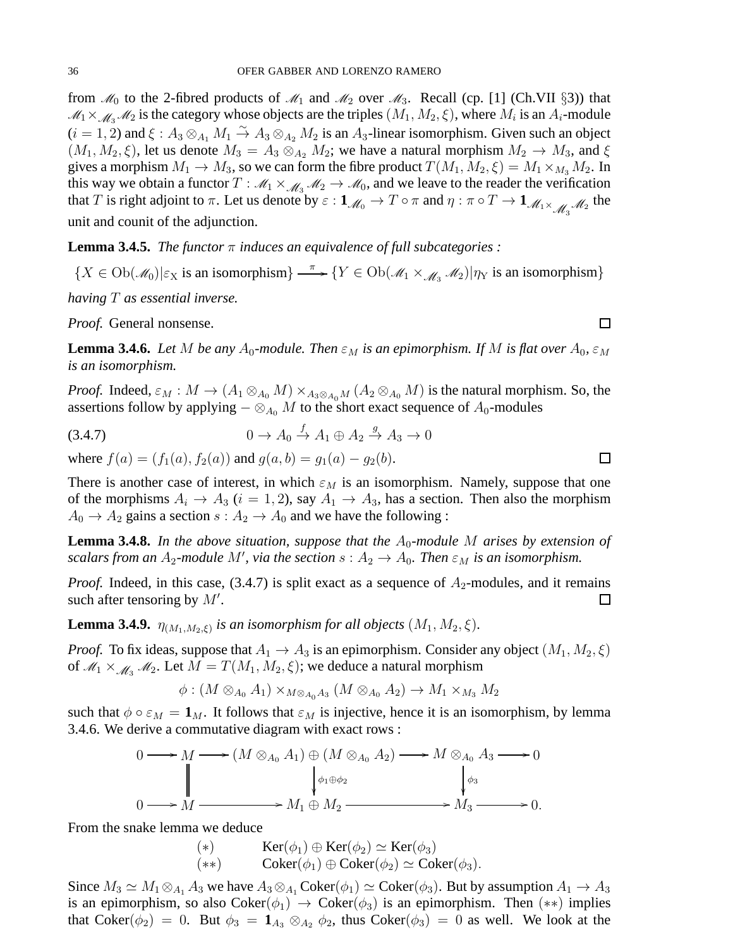from  $\mathcal{M}_0$  to the 2-fibred products of  $\mathcal{M}_1$  and  $\mathcal{M}_2$  over  $\mathcal{M}_3$ . Recall (cp. [1] (Ch.VII §3)) that  $M_1 \times_{M_3} M_2$  is the category whose objects are the triples  $(M_1, M_2, \xi)$ , where  $M_i$  is an  $A_i$ -module  $(i = 1, 2)$  and  $\xi : A_3 \otimes_{A_1} M_1 \overset{\sim}{\rightarrow} A_3 \otimes_{A_2} M_2$  is an  $A_3$ -linear isomorphism. Given such an object  $(M_1, M_2, \xi)$ , let us denote  $M_3 = A_3 \otimes_{A_2} M_2$ ; we have a natural morphism  $M_2 \to M_3$ , and  $\xi$ gives a morphism  $M_1 \to M_3$ , so we can form the fibre product  $T(M_1, M_2, \xi) = M_1 \times_{M_3} M_2$ . In this way we obtain a functor  $T : \mathcal{M}_1 \times \mathcal{M}_3 \mathcal{M}_2 \to \mathcal{M}_0$ , and we leave to the reader the verification that T is right adjoint to  $\pi$ . Let us denote by  $\varepsilon : \mathbf{1}_{\mathscr{M}_0} \to T \circ \pi$  and  $\eta : \pi \circ T \to \mathbf{1}_{\mathscr{M}_1 \times_{\mathscr{M}_3} \mathscr{M}_2}$  the unit and counit of the adjunction.

**Lemma 3.4.5.** *The functor* π *induces an equivalence of full subcategories :*

 ${X \in Ob(\mathcal{M}_0)|\varepsilon_X \text{ is an isomorphism}} \longrightarrow {Y \in Ob(\mathcal{M}_1 \times_{\mathcal{M}_3} \mathcal{M}_2)|\eta_Y \text{ is an isomorphism}}$ 

*having* T *as essential inverse.*

*Proof.* General nonsense.

**Lemma 3.4.6.** *Let* M *be any*  $A_0$ -module. Then  $\varepsilon_M$  *is an epimorphism. If* M *is flat over*  $A_0$ ,  $\varepsilon_M$ *is an isomorphism.*

*Proof.* Indeed,  $\varepsilon_M : M \to (A_1 \otimes_{A_0} M) \times_{A_3 \otimes_{A_0} M} (A_2 \otimes_{A_0} M)$  is the natural morphism. So, the assertions follow by applying  $-\otimes_{A_0} M$  to the short exact sequence of  $A_0$ -modules

$$
(3.4.7) \t\t 0 \to A_0 \xrightarrow{f} A_1 \oplus A_2 \xrightarrow{g} A_3 \to 0
$$

where  $f(a) = (f_1(a), f_2(a))$  and  $q(a, b) = q_1(a) - q_2(b)$ .

There is another case of interest, in which  $\varepsilon_M$  is an isomorphism. Namely, suppose that one of the morphisms  $A_i \rightarrow A_3$  ( $i = 1, 2$ ), say  $A_1 \rightarrow A_3$ , has a section. Then also the morphism  $A_0 \rightarrow A_2$  gains a section  $s : A_2 \rightarrow A_0$  and we have the following :

**Lemma 3.4.8.** In the above situation, suppose that the  $A_0$ -module M arises by extension of *scalars from an*  $A_2$ -module M', via the section  $s: A_2 \to A_0$ . Then  $\varepsilon_M$  is an isomorphism.

*Proof.* Indeed, in this case, (3.4.7) is split exact as a sequence of  $A_2$ -modules, and it remains such after tensoring by  $M'$ .  $\Box$ 

**Lemma 3.4.9.**  $\eta_{(M_1,M_2,\xi)}$  is an isomorphism for all objects  $(M_1, M_2, \xi)$ .

*Proof.* To fix ideas, suppose that  $A_1 \rightarrow A_3$  is an epimorphism. Consider any object  $(M_1, M_2, \xi)$ of  $\mathcal{M}_1 \times \mathcal{M}_3$   $\mathcal{M}_2$ . Let  $M = T(M_1, M_2, \xi)$ ; we deduce a natural morphism

 $\phi: (M\otimes_{A_0} A_1)\times_{M\otimes_{A_0} A_3} (M\otimes_{A_0} A_2)\rightarrow M_1\times_{M_3} M_2$ 

such that  $\phi \circ \varepsilon_M = \mathbf{1}_M$ . It follows that  $\varepsilon_M$  is injective, hence it is an isomorphism, by lemma 3.4.6. We derive a commutative diagram with exact rows :

$$
0 \longrightarrow M \longrightarrow (M \otimes_{A_0} A_1) \oplus (M \otimes_{A_0} A_2) \longrightarrow M \otimes_{A_0} A_3 \longrightarrow 0
$$
  

$$
\downarrow \phi_1 \oplus \phi_2
$$
  

$$
0 \longrightarrow M \longrightarrow M_1 \oplus M_2 \longrightarrow M_3 \longrightarrow 0.
$$

From the snake lemma we deduce

$$
\begin{array}{ll}\n (*) & \operatorname{Ker}(\phi_1) \oplus \operatorname{Ker}(\phi_2) \simeq \operatorname{Ker}(\phi_3) \\
 (**) & \operatorname{Coker}(\phi_1) \oplus \operatorname{Coker}(\phi_2) \simeq \operatorname{Coker}(\phi_3).\n \end{array}
$$

Since  $M_3 \simeq M_1 \otimes_{A_1} A_3$  we have  $A_3 \otimes_{A_1} \text{Coker}(\phi_1) \simeq \text{Coker}(\phi_3)$ . But by assumption  $A_1 \to A_3$ is an epimorphism, so also Coker( $\phi_1$ )  $\rightarrow$  Coker( $\phi_3$ ) is an epimorphism. Then (\*\*) implies that Coker( $\phi_2$ ) = 0. But  $\phi_3 = \mathbf{1}_{A_3} \otimes_{A_2} \phi_2$ , thus Coker( $\phi_3$ ) = 0 as well. We look at the

 $\Box$ 

 $\Box$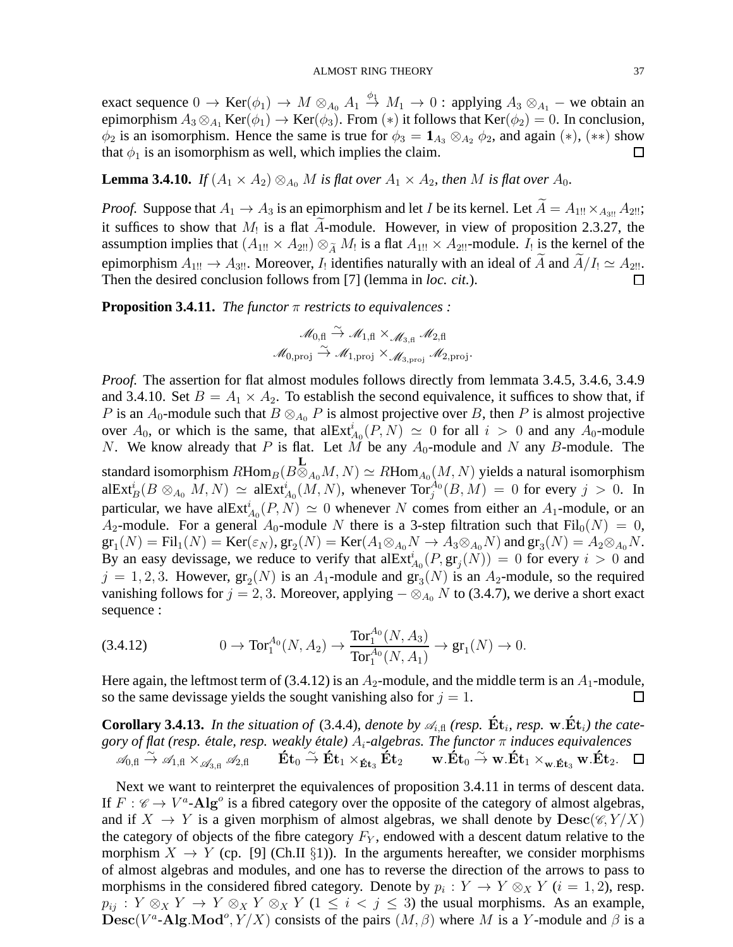exact sequence  $0 \to \text{Ker}(\phi_1) \to M \otimes_{A_0} A_1 \stackrel{\phi_1}{\to} M_1 \to 0$  : applying  $A_3 \otimes_{A_1} -$  we obtain an epimorphism  $A_3 \otimes_{A_1} \text{Ker}(\phi_1) \rightarrow \text{Ker}(\phi_3)$ . From (\*) it follows that  $\text{Ker}(\phi_2) = 0$ . In conclusion,  $\phi_2$  is an isomorphism. Hence the same is true for  $\phi_3 = \mathbf{1}_{A_3} \otimes_{A_2} \phi_2$ , and again (\*), (\*\*) show that  $\phi_1$  is an isomorphism as well, which implies the claim. □

**Lemma 3.4.10.** *If*  $(A_1 \times A_2) \otimes_{A_0} M$  *is flat over*  $A_1 \times A_2$ *, then M is flat over*  $A_0$ *.* 

*Proof.* Suppose that  $A_1 \rightarrow A_3$  is an epimorphism and let *I* be its kernel. Let  $\widetilde{A} = A_{1!1} \times_{A_{3!1}} A_{2!1}$ ; it suffices to show that  $M_1$  is a flat A-module. However, in view of proposition 2.3.27, the assumption implies that  $(A_{1!!} \times A_{2!!}) \otimes_{\widetilde{A}} M_1$  is a flat  $A_{1!!} \times A_{2!!}$ -module.  $I_1$  is the kernel of the epimorphism  $A_{1!!} \to A_{3!!}$ . Moreover,  $I_1$  identifies naturally with an ideal of A and  $A/I_1 \simeq A_{2!!}$ . Then the desired conclusion follows from [7] (lemma in *loc. cit.*).

**Proposition 3.4.11.** *The functor* π *restricts to equivalences :*

$$
\mathcal{M}_{0,\text{fl}} \xrightarrow{\sim} \mathcal{M}_{1,\text{fl}} \times_{\mathcal{M}_{3,\text{fl}}} \mathcal{M}_{2,\text{fl}}
$$
  

$$
\mathcal{M}_{0,\text{proj}} \xrightarrow{\sim} \mathcal{M}_{1,\text{proj}} \times_{\mathcal{M}_{3,\text{proj}}} \mathcal{M}_{2,\text{proj}}.
$$

*Proof.* The assertion for flat almost modules follows directly from lemmata 3.4.5, 3.4.6, 3.4.9 and 3.4.10. Set  $B = A_1 \times A_2$ . To establish the second equivalence, it suffices to show that, if P is an  $A_0$ -module such that  $B \otimes_{A_0} P$  is almost projective over B, then P is almost projective over  $A_0$ , or which is the same, that  $\mathrm{alExt}^i_{A_0}(P, N) \simeq 0$  for all  $i > 0$  and any  $A_0$ -module N. We know already that P is flat. Let M be any  $A_0$ -module and N any B-module. The standard isomorphism  $R\text{Hom}_B(B\otimes_{A_0} M, N) \simeq R\text{Hom}_{A_0}(M, N)$  yields a natural isomorphism  $\text{alExt}^i_B(B \otimes_{A_0} M, N) \simeq \text{alExt}^i_{A_0}(M, N)$ , whenever  $\text{Tor}_j^{A_0}(B, M) = 0$  for every  $j > 0$ . In particular, we have al $Ext^i_{A_0}(P, N) \simeq 0$  whenever N comes from either an  $A_1$ -module, or an  $A_2$ -module. For a general  $A_0$ -module N there is a 3-step filtration such that  $Fil_0(N) = 0$ ,  $\mathrm{gr}_1(N)=\mathrm{Fil}_1(N)=\mathrm{Ker}(\varepsilon_N), \mathrm{gr}_2(N)=\mathrm{Ker}(A_1\otimes_{A_0}N\rightarrow A_3\otimes_{A_0}N)$  and  $\mathrm{gr}_3(N)=A_2\otimes_{A_0}N.$ By an easy devissage, we reduce to verify that  $\mathrm{alExt}^i_{A_0}(P, \mathrm{gr}_j(N)) = 0$  for every  $i > 0$  and  $j = 1, 2, 3$ . However,  $gr_2(N)$  is an  $A_1$ -module and  $gr_3(N)$  is an  $A_2$ -module, so the required vanishing follows for  $j = 2, 3$ . Moreover, applying  $-\otimes_{A_0} N$  to (3.4.7), we derive a short exact sequence :

$$
(3.4.12) \t 0 \to Tor_1^{A_0}(N, A_2) \to \frac{Tor_1^{A_0}(N, A_3)}{Tor_1^{A_0}(N, A_1)} \to gr_1(N) \to 0.
$$

Here again, the leftmost term of (3.4.12) is an  $A_2$ -module, and the middle term is an  $A_1$ -module, so the same devissage yields the sought vanishing also for  $j = 1$ .

**Corollary 3.4.13.** In the situation of (3.4.4), denote by  $\mathcal{A}_{i,\text{fl}}$  (resp.  $\text{Ét}_i$ , resp. w. $\text{Ét}_i$ ) the cate*gory of flat (resp. étale, resp. weakly étale)*  $A_i$ -algebras. The functor  $\pi$  induces equivalences  $\check{\mathscr{A}}_{0,\mathrm{fl}} \stackrel{\sim}{\to} \check{\mathscr{A}}_{1,\mathrm{fl}} \times_{\check{\mathscr{A}}_{3,\mathrm{fl}}} \check{\mathscr{A}}_{2,\mathrm{fl}} \qquad \mathbf{\acute{E}} \mathbf{t}_0 \stackrel{\sim}{\to} \mathbf{\acute{E}} \mathbf{t}_1 \times_{\mathbf{\acute{E}} \mathbf{t}_3} \mathbf{\acute{E}} \mathbf{t}_2 \qquad \mathbf{w} . \mathbf{\acute{E}} \mathbf{t}_0 \stackrel{\sim}{\to} \mathbf{w} . \mathbf{\acute{E}} \mathbf{t}_1 \times_{\mathbf{w} . \mathbf{\acute{$ Ш

Next we want to reinterpret the equivalences of proposition 3.4.11 in terms of descent data. If  $F : \mathscr{C} \to V^a$ -Alg<sup>o</sup> is a fibred category over the opposite of the category of almost algebras, and if  $X \to Y$  is a given morphism of almost algebras, we shall denote by  $\text{Desc}(\mathscr{C}, Y/X)$ the category of objects of the fibre category  $F_Y$ , endowed with a descent datum relative to the morphism  $X \to Y$  (cp. [9] (Ch.II §1)). In the arguments hereafter, we consider morphisms of almost algebras and modules, and one has to reverse the direction of the arrows to pass to morphisms in the considered fibred category. Denote by  $p_i: Y \to Y \otimes_X Y$   $(i = 1, 2)$ , resp.  $p_{ij}: Y \otimes_X Y \to Y \otimes_X Y \otimes_X Y$  ( $1 \leq i < j \leq 3$ ) the usual morphisms. As an example,  $\text{Desc}(V^a\text{-}\text{Alg.Mod}^o, Y/X)$  consists of the pairs  $(M, \beta)$  where M is a Y-module and  $\beta$  is a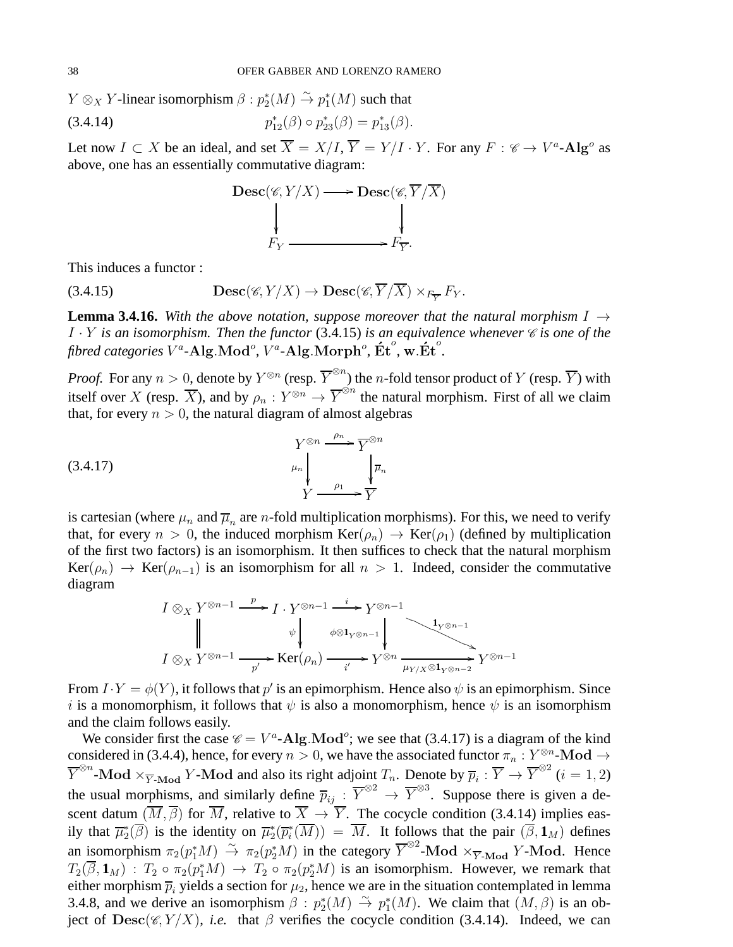$Y \otimes_X Y$ -linear isomorphism  $\beta : p_2^*(M) \overset{\sim}{\to} p_1^*(M)$  such that

(3.4.14) 
$$
p_{12}^*(\beta) \circ p_{23}^*(\beta) = p_{13}^*(\beta).
$$

Let now  $I \subset X$  be an ideal, and set  $\overline{X} = X/I$ ,  $\overline{Y} = Y/I \cdot Y$ . For any  $F : \mathscr{C} \to V^a$ -Alg<sup>o</sup> as above, one has an essentially commutative diagram:



This induces a functor :

(3.4.15) 
$$
\mathbf{Desc}(\mathscr{C}, Y/X) \to \mathbf{Desc}(\mathscr{C}, \overline{Y}/\overline{X}) \times_{F_{\overline{Y}}} F_Y.
$$

**Lemma 3.4.16.** With the above notation, suppose moreover that the natural morphism  $I \rightarrow$  $I \cdot Y$  *is an isomorphism. Then the functor* (3.4.15) *is an equivalence whenever*  $\mathscr C$  *is one of the*  $\phi$  *fibred categories*  $V^a$ -Alg.Mod<sup>o</sup>,  $\check{V}^a$ -Alg.Morph<sup>o</sup>, Ét $^o$ , w.Ét $^o$ .

*Proof.* For any  $n > 0$ , denote by  $Y^{\otimes n}$  (resp.  $\overline{Y}^{\otimes n}$ ) the *n*-fold tensor product of  $Y$  (resp.  $\overline{Y}$ ) with itself over X (resp.  $\overline{X}$ ), and by  $\rho_n: Y^{\otimes n} \to \overline{Y}^{\otimes n}$  the natural morphism. First of all we claim that, for every  $n > 0$ , the natural diagram of almost algebras

(3.4.17) 
$$
Y^{\otimes n} \xrightarrow{\rho_n} \overline{Y}^{\otimes n} \\
 \downarrow_{n} \qquad \qquad \downarrow_{n} \\
 Y \xrightarrow{\rho_1} \overline{Y}^{\otimes n}
$$

is cartesian (where  $\mu_n$  and  $\overline{\mu}_n$  are  $n$ -fold multiplication morphisms). For this, we need to verify that, for every  $n > 0$ , the induced morphism  $\text{Ker}(\rho_n) \to \text{Ker}(\rho_1)$  (defined by multiplication of the first two factors) is an isomorphism. It then suffices to check that the natural morphism  $Ker(\rho_n) \rightarrow Ker(\rho_{n-1})$  is an isomorphism for all  $n > 1$ . Indeed, consider the commutative diagram

$$
I \otimes_X Y^{\otimes n-1} \xrightarrow{p} I \cdot Y^{\otimes n-1} \xrightarrow{i} Y^{\otimes n-1}
$$
\n
$$
I \otimes_X Y^{\otimes n-1} \xrightarrow{p'} \text{Ker}(\rho_n) \xrightarrow{i'} Y^{\otimes n} \xrightarrow{\text{I}_{Y^{\otimes n-1}}} Y^{\otimes n-1}
$$

From  $I \cdot Y = \phi(Y)$ , it follows that  $p'$  is an epimorphism. Hence also  $\psi$  is an epimorphism. Since i is a monomorphism, it follows that  $\psi$  is also a monomorphism, hence  $\psi$  is an isomorphism and the claim follows easily.

We consider first the case  $\mathcal{C} = V^a$ -Alg.Mod<sup>o</sup>; we see that (3.4.17) is a diagram of the kind considered in (3.4.4), hence, for every  $n > 0$ , we have the associated functor  $\pi_n : Y^{\otimes n}$ -Mod  $\rightarrow$  $\overline{Y}^{\otimes n}$ -Mod  $\times_{\overline{Y}$ -Mod and also its right adjoint  $T_n$ . Denote by  $\overline{p}_i : \overline{Y} \to \overline{Y}^{\otimes 2}$   $(i = 1, 2)$ the usual morphisms, and similarly define  $\overline{p}_{ij}$  :  $\overline{Y}^{\otimes 2} \to \overline{Y}^{\otimes 3}$ . Suppose there is given a descent datum  $(\overline{M}, \overline{\beta})$  for  $\overline{M}$ , relative to  $\overline{X} \to \overline{Y}$ . The cocycle condition (3.4.14) implies easily that  $\overline{\mu}_2^*(\overline{\beta})$  is the identity on  $\overline{\mu}_2^*(\overline{p}_i^*(\overline{M})) = \overline{M}$ . It follows that the pair  $(\overline{\beta}, \mathbf{1}_M)$  defines  $2(\nu)$  is the identity on  $\mu_2(\nu_i)$ an isomorphism  $\pi_2(p_1^*M) \stackrel{\sim}{\to} \pi_2(p_2^*M)$  in the category  $\overline{Y}^{\otimes 2}$ -Mod  $\times_{\overline{Y}$ -Mod. Hence  $T_2(\overline{\beta}, \mathbf{1}_M)$  :  $T_2 \circ \pi_2(p_1^*M) \to T_2 \circ \pi_2(p_2^*M)$  is an isomorphism. However, we remark that either morphism  $\overline{p}_i$  yields a section for  $\mu_2$ , hence we are in the situation contemplated in lemma 3.4.8, and we derive an isomorphism  $\beta : p_2^*(M) \stackrel{\sim}{\to} p_1^*(M)$ . We claim that  $(M, \beta)$  is an object of  $\text{Desc}(\mathcal{C}, Y/X)$ , *i.e.* that  $\beta$  verifies the cocycle condition (3.4.14). Indeed, we can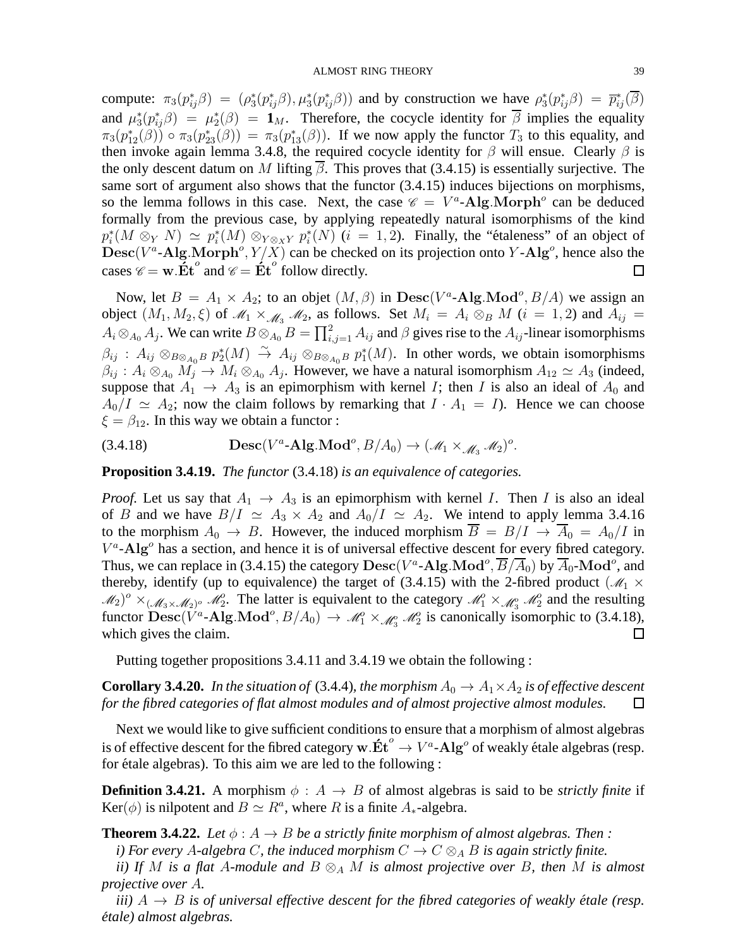compute:  $\pi_3(p_{ij}^*\beta) = (\rho_3^*(p_{ij}^*\beta), \mu_3^*(p_{ij}^*\beta))$  and by construction we have  $\rho_3^*(p_{ij}^*\beta) = \overline{p}_{ij}^*(\overline{\beta})$ and  $\mu_3^*(p_{ij}^*\beta) = \mu_2^*(\beta) = \mathbf{1}_M$ . Therefore, the cocycle identity for  $\overline{\beta}$  implies the equality  $\pi_3(p_{12}^*(\beta)) \circ \pi_3(p_{23}^*(\beta)) = \pi_3(p_{13}^*(\beta)).$  If we now apply the functor  $T_3$  to this equality, and then invoke again lemma 3.4.8, the required cocycle identity for  $\beta$  will ensue. Clearly  $\beta$  is the only descent datum on M lifting  $\beta$ . This proves that (3.4.15) is essentially surjective. The same sort of argument also shows that the functor (3.4.15) induces bijections on morphisms, so the lemma follows in this case. Next, the case  $\mathscr{C} = V^a$ -Alg.Morph<sup>o</sup> can be deduced formally from the previous case, by applying repeatedly natural isomorphisms of the kind  $p_i^*(M \otimes_Y N) \simeq p_i^*(M) \otimes_{Y \otimes_X Y} p_i^*(N)$  ( $i = 1, 2$ ). Finally, the "étaleness" of an object of  $\text{Desc}(V^a\text{-}\text{Alg.Morph}^o, Y/X)$  can be checked on its projection onto Y-Alg<sup>o</sup>, hence also the cases  $\mathscr{C} = \mathbf{w} \cdot \mathbf{\acute{E}} \mathbf{t}^{\circ}$  and  $\mathscr{C} = \mathbf{\acute{E}} \mathbf{t}^{\circ}$  follow directly.  $\Box$ 

Now, let  $B = A_1 \times A_2$ ; to an objet  $(M, \beta)$  in  $\text{Desc}(V^a\text{-}\text{Alg}.\text{Mod}^o, B/A)$  we assign an object  $(M_1, M_2, \xi)$  of  $\mathcal{M}_1 \times \mathcal{M}_3$   $\mathcal{M}_2$ , as follows. Set  $M_i = A_i \otimes_B M$   $(i = 1, 2)$  and  $A_{ij} =$  $A_i \otimes_{A_0} A_j$ . We can write  $B \otimes_{A_0} B = \prod_{i,j=1}^2 A_{ij}$  and  $\beta$  gives rise to the  $A_{ij}$ -linear isomorphisms  $\beta_{ij}$ :  $A_{ij} \otimes_{B \otimes_{A_0} B} p_2^*(M) \stackrel{\sim}{\to} A_{ij} \otimes_{B \otimes_{A_0} B} p_1^*(M)$ . In other words, we obtain isomorphisms  $\beta_{ij}$ :  $A_i \otimes_{A_0} M_j \to M_i \otimes_{A_0} A_j$ . However, we have a natural isomorphism  $A_{12} \simeq A_3$  (indeed, suppose that  $A_1 \rightarrow A_3$  is an epimorphism with kernel I; then I is also an ideal of  $A_0$  and  $A_0/I \simeq A_2$ ; now the claim follows by remarking that  $I \cdot A_1 = I$ ). Hence we can choose  $\xi = \beta_{12}$ . In this way we obtain a functor :

(3.4.18)  $\qquad \qquad \textbf{Desc}(V^a\textbf{-Alg.Mod}^o, B/A_0) \rightarrow (\mathcal{M}_1 \times \mathcal{M}_3 \mathcal{M}_2)^o.$ 

**Proposition 3.4.19.** *The functor* (3.4.18) *is an equivalence of categories.*

*Proof.* Let us say that  $A_1 \rightarrow A_3$  is an epimorphism with kernel I. Then I is also an ideal of B and we have  $B/I \simeq A_3 \times A_2$  and  $A_0/I \simeq A_2$ . We intend to apply lemma 3.4.16 to the morphism  $A_0 \to B$ . However, the induced morphism  $\overline{B} = B/I \to \overline{A}_0 = A_0/I$  in  $V^a$ -Alg<sup>o</sup> has a section, and hence it is of universal effective descent for every fibred category. Thus, we can replace in (3.4.15) the category  $\bf{Desc}(V^a\text{-}Alg.Mod^o, \overline{B}/\overline{A}_0)$  by  $\overline{A}_0\text{-}Mod^o$ , and thereby, identify (up to equivalence) the target of (3.4.15) with the 2-fibred product ( $\mathcal{M}_1 \times$  $M_2$ <sup>o</sup>  $\times_{(M_3\times M_2)^o}$   $M_2^o$ . The latter is equivalent to the category  $M_1^o \times_{M_3^o} M_2^o$  and the resulting functor  $\text{Desc}(\tilde{V}^a \text{-} \text{Alg} \cdot \text{Mod}^o, B/A_0) \to \mathcal{M}_1^o \times \mathcal{M}_2^o$  is canonically isomorphic to (3.4.18).  $\Box$ which gives the claim.

Putting together propositions 3.4.11 and 3.4.19 we obtain the following :

**Corollary 3.4.20.** *In the situation of* (3.4.4)*, the morphism*  $A_0 \to A_1 \times A_2$  *is of effective descent for the fibred categories of flat almost modules and of almost projective almost modules.*  $\Box$ 

Next we would like to give sufficient conditions to ensure that a morphism of almost algebras is of effective descent for the fibred category w.  $\mathbf{\acute{E}t}^{\circ} \rightarrow V^a$ -Alg<sup>o</sup> of weakly étale algebras (resp. for étale algebras). To this aim we are led to the following :

**Definition 3.4.21.** A morphism  $\phi$  :  $A \rightarrow B$  of almost algebras is said to be *strictly finite* if Ker( $\phi$ ) is nilpotent and  $B \simeq R^a$ , where R is a finite  $A_*$ -algebra.

**Theorem 3.4.22.** Let  $\phi: A \rightarrow B$  be a strictly finite morphism of almost algebras. Then :

*i)* For every A-algebra C, the induced morphism  $C \rightarrow C \otimes_A B$  is again strictly finite.

*ii)* If M is a flat A-module and  $B \otimes_A M$  is almost projective over B, then M is almost *projective over* A*.*

*iii*)  $A \rightarrow B$  *is of universal effective descent for the fibred categories of weakly étale (resp. etale) almost algebras. ´*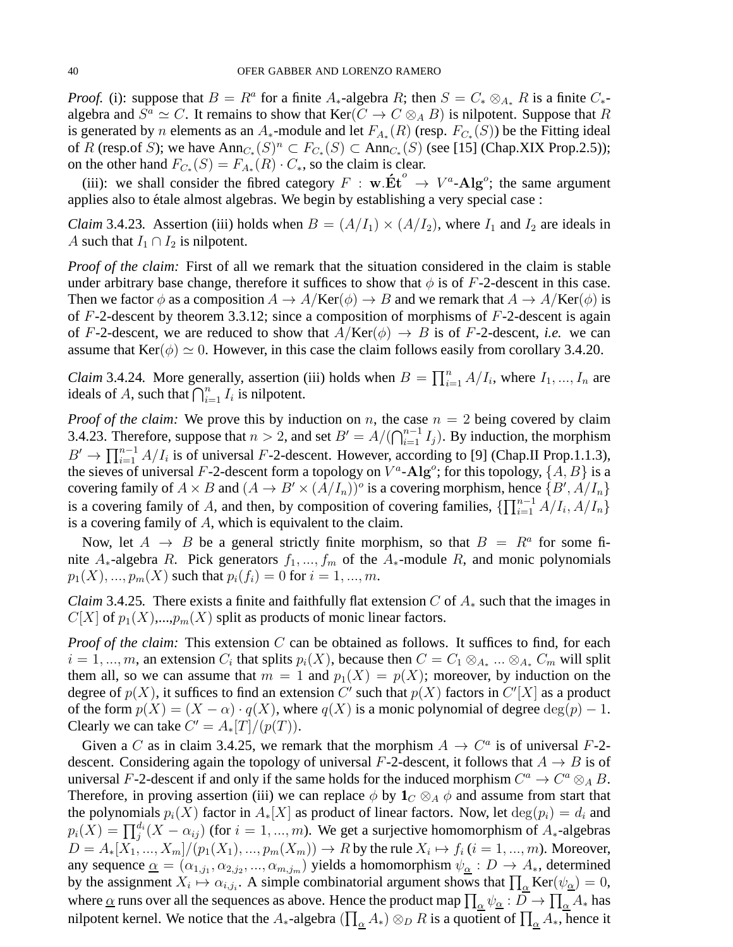*Proof.* (i): suppose that  $B = R^a$  for a finite  $A_*$ -algebra R; then  $S = C_* \otimes_{A_*} R$  is a finite  $C_*$ algebra and  $S^a \simeq C$ . It remains to show that  $\text{Ker}(C \to C \otimes_A B)$  is nilpotent. Suppose that R is generated by *n* elements as an  $A_*$ -module and let  $F_{A_*}(R)$  (resp.  $F_{C_*}(S)$ ) be the Fitting ideal of R (resp.of S); we have  $\text{Ann}_{C_*}(S)^n \subset F_{C_*}(S) \subset \text{Ann}_{C_*}(S)$  (see [15] (Chap.XIX Prop.2.5)); on the other hand  $F_{C_*}(S) = F_{A_*}(R) \cdot C_*$ , so the claim is clear.

(iii): we shall consider the fibred category  $F : w.\mathbf{Ét}^{\circ} \to V^a$ -Alg<sup>o</sup>; the same argument applies also to étale almost algebras. We begin by establishing a very special case :

*Claim* 3.4.23. Assertion (iii) holds when  $B = (A/I_1) \times (A/I_2)$ , where  $I_1$  and  $I_2$  are ideals in A such that  $I_1 \cap I_2$  is nilpotent.

*Proof of the claim:* First of all we remark that the situation considered in the claim is stable under arbitrary base change, therefore it suffices to show that  $\phi$  is of F-2-descent in this case. Then we factor  $\phi$  as a composition  $A \to A/\mathrm{Ker}(\phi) \to B$  and we remark that  $A \to A/\mathrm{Ker}(\phi)$  is of  $F-2$ -descent by theorem 3.3.12; since a composition of morphisms of  $F-2$ -descent is again of F-2-descent, we are reduced to show that  $A/$ Ker( $\phi$ )  $\rightarrow$  B is of F-2-descent, *i.e.* we can assume that Ker( $\phi$ )  $\simeq$  0. However, in this case the claim follows easily from corollary 3.4.20.

*Claim* 3.4.24. More generally, assertion (iii) holds when  $B = \prod_{i=1}^{n} A/I_i$ , where  $I_1, ..., I_n$  are ideals of A, such that  $\bigcap_{i=1}^n I_i$  is nilpotent.

*Proof of the claim:* We prove this by induction on n, the case  $n = 2$  being covered by claim 3.4.23. Therefore, suppose that  $n > 2$ , and set  $B' = A/(\bigcap_{i=1}^{n-1} I_i)$ . By induction, the morphism  $B' \to \prod_{i=1}^{n-1} A/I_i$  is of universal F-2-descent. However, according to [9] (Chap.II Prop.1.1.3), the sieves of universal F-2-descent form a topology on  $V^a$ -Alg<sup>o</sup>; for this topology,  $\{A, B\}$  is a covering family of  $A \times B$  and  $(A \to B' \times (A/I_n))^o$  is a covering morphism, hence  $\{B', A/I_n\}$ is a covering family of A, and then, by composition of covering families,  $\{\prod_{i=1}^{n-1} A/I_i, A/I_n\}$ is a covering family of A, which is equivalent to the claim.

Now, let  $A \rightarrow B$  be a general strictly finite morphism, so that  $B = R^a$  for some finite  $A_*$ -algebra R. Pick generators  $f_1, ..., f_m$  of the  $A_*$ -module R, and monic polynomials  $p_1(X), ..., p_m(X)$  such that  $p_i(f_i) = 0$  for  $i = 1, ..., m$ .

*Claim* 3.4.25. There exists a finite and faithfully flat extension C of  $A_*$  such that the images in  $C[X]$  of  $p_1(X),...,p_m(X)$  split as products of monic linear factors.

*Proof of the claim:* This extension C can be obtained as follows. It suffices to find, for each  $i = 1, ..., m$ , an extension  $C_i$  that splits  $p_i(X)$ , because then  $C = C_1 \otimes_{A_*} ... \otimes_{A_*} C_m$  will split them all, so we can assume that  $m = 1$  and  $p_1(X) = p(X)$ ; moreover, by induction on the degree of  $p(X)$ , it suffices to find an extension C' such that  $p(X)$  factors in  $C'[X]$  as a product of the form  $p(X) = (X - \alpha) \cdot q(X)$ , where  $q(X)$  is a monic polynomial of degree  $\deg(p) - 1$ . Clearly we can take  $C' = A_*[T]/(p(T)).$ 

Given a C as in claim 3.4.25, we remark that the morphism  $A \to C^a$  is of universal F-2descent. Considering again the topology of universal F-2-descent, it follows that  $A \rightarrow B$  is of universal F-2-descent if and only if the same holds for the induced morphism  $C^a \to C^a \otimes_A B$ . Therefore, in proving assertion (iii) we can replace  $\phi$  by  $\mathbf{1}_C \otimes_A \phi$  and assume from start that the polynomials  $p_i(X)$  factor in  $A_{*}[X]$  as product of linear factors. Now, let  $deg(p_i) = d_i$  and  $p_i(X) = \prod_j^{d_i} (X - \alpha_{ij})$  (for  $i = 1, ..., m$ ). We get a surjective homomorphism of  $A_*$ -algebras  $D = A_*[X_1,...,X_m]/(p_1(X_1),...,p_m(X_m)) \to R$  by the rule  $X_i \mapsto f_i$   $(i = 1,...,m).$  Moreover, any sequence  $\underline{\alpha} = (\alpha_{1,j_1}, \alpha_{2,j_2}, ..., \alpha_{m,j_m})$  yields a homomorphism  $\psi_{\underline{\alpha}} : D \to A_*$ , determined by the assignment  $X_i \mapsto \alpha_{i,j_i}$ . A simple combinatorial argument shows that  $\prod_{\alpha} \text{Ker}(\psi_{\alpha}) = 0$ , where  $\underline{\alpha}$  runs over all the sequences as above. Hence the product map  $\prod_{\alpha}\psi_{\alpha}:\bar{D}\to\prod_{\alpha}A_*$  has nilpotent kernel. We notice that the  $A_*$ -algebra  $(\prod_{\alpha} A_*) \otimes_D R$  is a quotient of  $\prod_{\alpha} A_*$ , hence it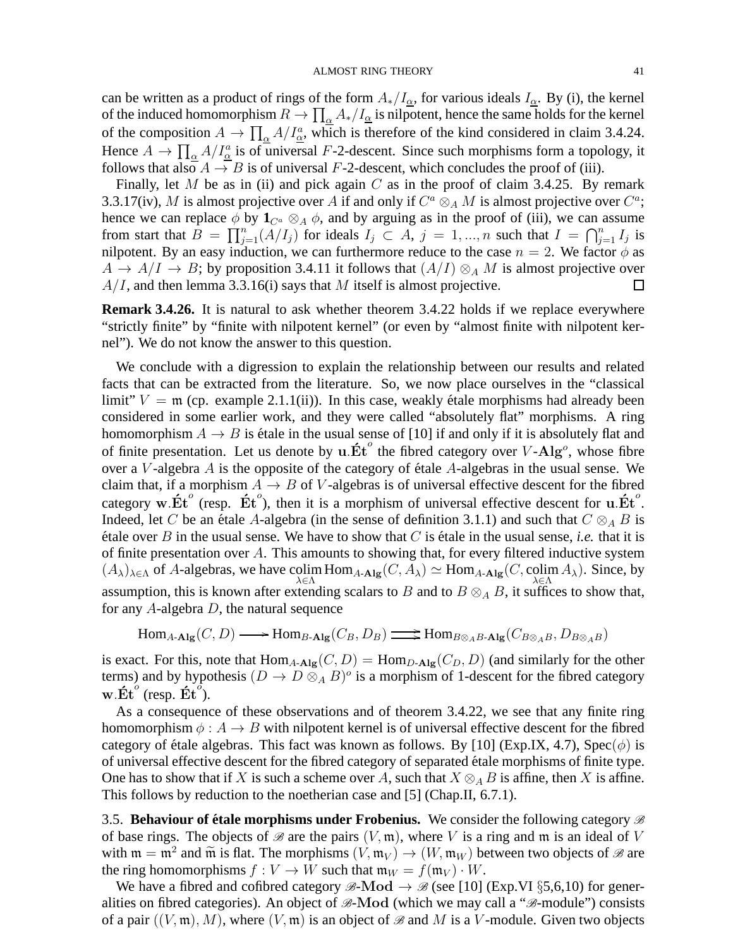can be written as a product of rings of the form  $A_*/I_\alpha$ , for various ideals  $I_\alpha$ . By (i), the kernel of the induced homomorphism  $R \to \prod_{\alpha} A_*/I_{\alpha}$  is nilpotent, hence the same holds for the kernel of the composition  $A \to \prod_{\alpha} A/I_{\alpha}^a$ , which is therefore of the kind considered in claim 3.4.24. Hence  $A \to \prod_{\alpha} A/I_{\alpha}^a$  is of universal F-2-descent. Since such morphisms form a topology, it follows that also  $A \rightarrow B$  is of universal F-2-descent, which concludes the proof of (iii).

Finally, let M be as in (ii) and pick again C as in the proof of claim 3.4.25. By remark 3.3.17(iv), M is almost projective over A if and only if  $C^a \otimes_A M$  is almost projective over  $C^a$ ; hence we can replace  $\phi$  by  $\mathbf{1}_{C^a} \otimes_A \phi$ , and by arguing as in the proof of (iii), we can assume from start that  $\hat{B} = \prod_{j=1}^n (A/I_j)$  for ideals  $I_j \subset A$ ,  $j = 1, ..., n$  such that  $I = \bigcap_{j=1}^n I_j$  is nilpotent. By an easy induction, we can furthermore reduce to the case  $n = 2$ . We factor  $\phi$  as  $A \to A/I \to B$ ; by proposition 3.4.11 it follows that  $(A/I) \otimes_A M$  is almost projective over  $A/I$ , and then lemma 3.3.16(i) says that M itself is almost projective.  $\Box$ 

**Remark 3.4.26.** It is natural to ask whether theorem 3.4.22 holds if we replace everywhere "strictly finite" by "finite with nilpotent kernel" (or even by "almost finite with nilpotent kernel"). We do not know the answer to this question.

We conclude with a digression to explain the relationship between our results and related facts that can be extracted from the literature. So, we now place ourselves in the "classical limit"  $V = \mathfrak{m}$  (cp. example 2.1.1(ii)). In this case, weakly étale morphisms had already been considered in some earlier work, and they were called "absolutely flat" morphisms. A ring homomorphism  $A \rightarrow B$  is étale in the usual sense of [10] if and only if it is absolutely flat and of finite presentation. Let us denote by  $\mathbf{u}.\mathbf{\hat{E}t}^{\circ}$  the fibred category over  $V$ -Alg<sup>o</sup>, whose fibre over a V-algebra  $A$  is the opposite of the category of étale  $A$ -algebras in the usual sense. We claim that, if a morphism  $A \rightarrow B$  of V-algebras is of universal effective descent for the fibred category w. Ét<sup>°</sup> (resp. Ét<sup>°</sup>), then it is a morphism of universal effective descent for u. Ét<sup>°</sup>. Indeed, let C be an étale A-algebra (in the sense of definition 3.1.1) and such that  $C \otimes_A B$  is  $\acute{\epsilon}$ tale over B in the usual sense. We have to show that C is  $\acute{\epsilon}$ tale in the usual sense, *i.e.* that it is of finite presentation over  $A$ . This amounts to showing that, for every filtered inductive system  $(A_{\lambda})_{\lambda \in \Lambda}$  of A-algebras, we have colim  $Hom_{A\text{-}Alg}(C, A_{\lambda}) \simeq Hom_{A\text{-}Alg}(C, colim A_{\lambda})$ . Since, by  $\lambda \in \Lambda$ <br>assumption, this is known after extending scalars to B and to  $B \otimes_A B$ , it suffices to show that, for any  $A$ -algebra  $D$ , the natural sequence

$$
\text{Hom}_{A\text{-}\textbf{Alg}}(C, D) \longrightarrow \text{Hom}_{B\text{-}\textbf{Alg}}(C_B, D_B) \longrightarrow \text{Hom}_{B\otimes_A B\text{-}\textbf{Alg}}(C_{B\otimes_A B}, D_{B\otimes_A B})
$$

is exact. For this, note that  $\text{Hom}_{A\text{-Alg}}(C, D) = \text{Hom}_{D\text{-Alg}}(C_D, D)$  (and similarly for the other terms) and by hypothesis  $(D \to D \otimes_A B)^\circ$  is a morphism of 1-descent for the fibred category w. $\acute{\bf{E}}t^{\circ}$  (resp.  $\acute{\bf{E}}t^{\circ}$ ).

As a consequence of these observations and of theorem 3.4.22, we see that any finite ring homomorphism  $\phi: A \rightarrow B$  with nilpotent kernel is of universal effective descent for the fibred category of étale algebras. This fact was known as follows. By [10] (Exp.IX, 4.7), Spec( $\phi$ ) is of universal effective descent for the fibred category of separated étale morphisms of finite type. One has to show that if X is such a scheme over A, such that  $X \otimes_A B$  is affine, then X is affine. This follows by reduction to the noetherian case and [5] (Chap.II, 6.7.1).

3.5. **Behaviour of etale morphisms under Frobenius. ´** We consider the following category B of base rings. The objects of B are the pairs  $(V, \mathfrak{m})$ , where V is a ring and  $\mathfrak{m}$  is an ideal of V with  $m = m^2$  and  $\tilde{m}$  is flat. The morphisms  $(V, m_V) \rightarrow (W, m_W)$  between two objects of  $\mathcal{B}$  are the ring homomorphisms  $f : V \to W$  such that  $\mathfrak{m}_W = f(\mathfrak{m}_V) \cdot W$ .

We have a fibred and cofibred category  $\mathcal{B}\text{-Mod} \to \mathcal{B}$  (see [10] (Exp.VI §5,6,10) for generalities on fibred categories). An object of  $\mathscr{B}\text{-Mod}$  (which we may call a " $\mathscr{B}\text{-module}$ ") consists of a pair  $((V, \mathfrak{m}), M)$ , where  $(V, \mathfrak{m})$  is an object of  $\mathcal{B}$  and M is a V-module. Given two objects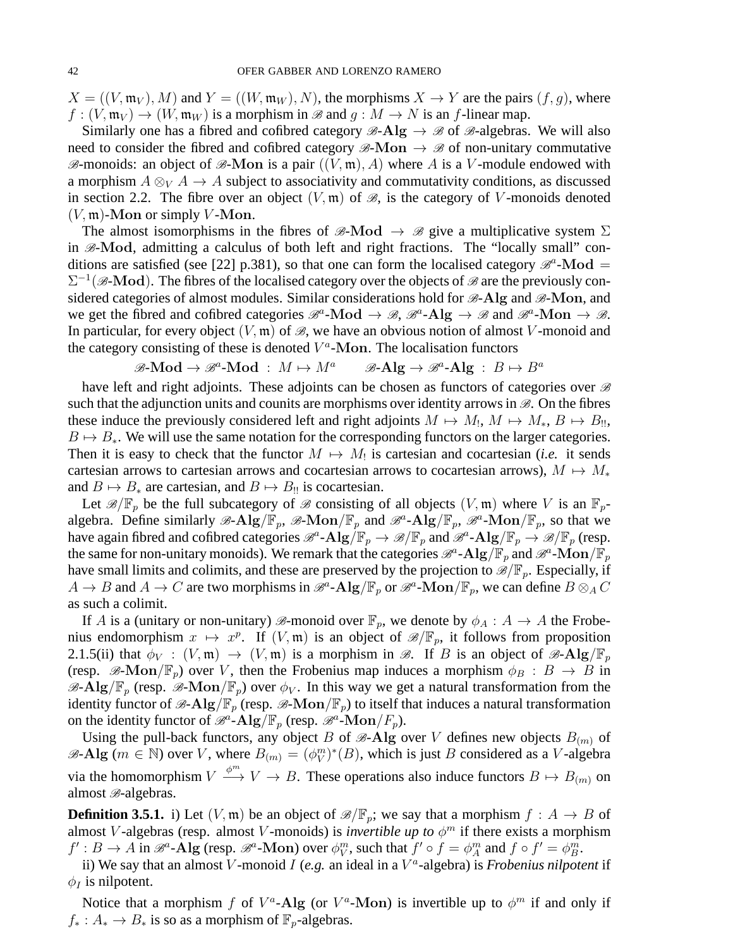$X = ((V, \mathfrak{m}_V), M)$  and  $Y = ((W, \mathfrak{m}_W), N)$ , the morphisms  $X \to Y$  are the pairs  $(f, g)$ , where  $f : (V, \mathfrak{m}_V) \to (W, \mathfrak{m}_W)$  is a morphism in B and  $g : M \to N$  is an f-linear map.

Similarly one has a fibred and cofibred category  $\mathcal{B}$ -Alg  $\rightarrow \mathcal{B}$  of  $\mathcal{B}$ -algebras. We will also need to consider the fibred and cofibred category  $\mathscr{B}\text{-}\mathbf{Mon} \to \mathscr{B}$  of non-unitary commutative  $\mathscr{B}$ -monoids: an object of  $\mathscr{B}$ -Mon is a pair  $((V, \mathfrak{m}), A)$  where A is a V-module endowed with a morphism  $A \otimes_V A \rightarrow A$  subject to associativity and commutativity conditions, as discussed in section 2.2. The fibre over an object  $(V, \mathfrak{m})$  of  $\mathcal{B}$ , is the category of V-monoids denoted  $(V, \mathfrak{m})$ -Mon or simply V-Mon.

The almost isomorphisms in the fibres of  $\mathcal{B}\text{-}\mathbf{Mod} \to \mathcal{B}$  give a multiplicative system  $\Sigma$ in  $\mathscr{B}-Mod$ , admitting a calculus of both left and right fractions. The "locally small" conditions are satisfied (see [22] p.381), so that one can form the localised category  $\mathscr{B}^a$ -Mod =  $\Sigma^{-1}(\mathscr{B}\text{-}\mathbf{Mod})$ . The fibres of the localised category over the objects of  $\mathscr{B}$  are the previously considered categories of almost modules. Similar considerations hold for  $\mathscr{B}\text{-}\mathrm{Alg}$  and  $\mathscr{B}\text{-}\mathrm{Mon}$ , and we get the fibred and cofibred categories  $\mathcal{B}^a$ -Mod  $\to \mathcal{B}$ ,  $\mathcal{B}^a$ -Alg  $\to \mathcal{B}$  and  $\mathcal{B}^a$ -Mon  $\to \mathcal{B}$ . In particular, for every object  $(V, \mathfrak{m})$  of  $\mathcal{B}$ , we have an obvious notion of almost V-monoid and the category consisting of these is denoted  $V^a$ -Mon. The localisation functors

$$
\mathscr{B}\text{-}\mathbf{Mod}\to\mathscr{B}^a\text{-}\mathbf{Mod}~:~M\mapsto M^a\qquad\mathscr{B}\text{-}\mathbf{Alg}\to\mathscr{B}^a\text{-}\mathbf{Alg}~:~B\mapsto B^a
$$

have left and right adjoints. These adjoints can be chosen as functors of categories over  $\mathscr B$ such that the adjunction units and counits are morphisms over identity arrows in  $\mathcal{B}$ . On the fibres these induce the previously considered left and right adjoints  $M \mapsto M_1, M \mapsto M_*$ ,  $B \mapsto B_{!!}$ ,  $B \mapsto B_*$ . We will use the same notation for the corresponding functors on the larger categories. Then it is easy to check that the functor  $M \mapsto M_1$  is cartesian and cocartesian (*i.e.* it sends cartesian arrows to cartesian arrows and cocartesian arrows to cocartesian arrows),  $M \mapsto M_*$ and  $B \mapsto B_*$  are cartesian, and  $B \mapsto B_{\parallel}$  is cocartesian.

Let  $\mathscr{B}/\mathbb{F}_p$  be the full subcategory of  $\mathscr{B}$  consisting of all objects  $(V, \mathfrak{m})$  where V is an  $\mathbb{F}_p$ algebra. Define similarly  $\mathscr{B}\text{-}{\bf Alg}/\mathbb{F}_p$ ,  $\mathscr{B}\text{-}{\bf Mon}/\mathbb{F}_p$  and  $\mathscr{B}^a\text{-}{\bf Alg}/\mathbb{F}_p$ ,  $\mathscr{B}^a\text{-}{\bf Mon}/\mathbb{F}_p$ , so that we have again fibred and cofibred categories  $\mathscr{B}^a$ -Alg $/\mathbb{F}_p \to \mathscr{B}/\mathbb{F}_p$  and  $\mathscr{B}^a$ -Alg $/\mathbb{F}_p \to \mathscr{B}/\mathbb{F}_p$  (resp. the same for non-unitary monoids). We remark that the categories  $\mathscr{B}^a\text{-}{\bf Alg}/\mathbb{F}_p$  and  $\mathscr{B}^a\text{-}{\bf Mon}/\mathbb{F}_p$ have small limits and colimits, and these are preserved by the projection to  $\mathscr{B}/\mathbb{F}_p$ . Especially, if  $A \to B$  and  $A \to C$  are two morphisms in  $\mathscr{B}^a$ -Alg/ $\mathbb{F}_p$  or  $\mathscr{B}^a$ -Mon/ $\mathbb{F}_p$ , we can define  $B \otimes_A C$ as such a colimit.

If A is a (unitary or non-unitary)  $\mathscr{B}$ -monoid over  $\mathbb{F}_p$ , we denote by  $\phi_A : A \to A$  the Frobenius endomorphism  $x \mapsto x^p$ . If  $(V, \mathfrak{m})$  is an object of  $\mathscr{B}/\mathbb{F}_p$ , it follows from proposition 2.1.5(ii) that  $\phi_V : (V, \mathfrak{m}) \to (V, \mathfrak{m})$  is a morphism in  $\mathscr{B}$ . If B is an object of  $\mathscr{B}\text{-}\mathbf{Alg}/\mathbb{F}_p$ (resp.  $\mathscr{B}\text{-}\mathrm{Mon}/\mathbb{F}_p$ ) over V, then the Frobenius map induces a morphism  $\phi_B : B \to B$  in  $\mathscr{B}\text{-}\mathrm{Alg}/\mathbb{F}_p$  (resp.  $\mathscr{B}\text{-}\mathrm{Mon}/\mathbb{F}_p$ ) over  $\phi_V$ . In this way we get a natural transformation from the identity functor of  $\mathscr{B}\text{-}\mathbf{Alg}/\mathbb{F}_p$  (resp.  $\mathscr{B}\text{-}\mathbf{Mon}/\mathbb{F}_p$ ) to itself that induces a natural transformation on the identity functor of  $\mathscr{B}^a$ -Alg/ $\mathbb{F}_p$  (resp.  $\mathscr{B}^a$ -Mon/ $F_p$ ).

Using the pull-back functors, any object B of  $\mathcal{B}-\mathbf{Alg}$  over V defines new objects  $B_{(m)}$  of  $\mathscr{B}\text{-}\mathbf{Alg}$  ( $m \in \mathbb{N}$ ) over V, where  $B_{(m)} = (\phi_V^m)^*(B)$ , which is just B considered as a V-algebra via the homomorphism  $V \stackrel{\phi^m}{\longrightarrow} V \to B$ . These operations also induce functors  $B \mapsto B_{(m)}$  on almost  $\mathscr{B}$ -algebras.

**Definition 3.5.1.** i) Let  $(V, \mathfrak{m})$  be an object of  $\mathscr{B}/\mathbb{F}_p$ ; we say that a morphism  $f : A \rightarrow B$  of almost *V*-algebras (resp. almost *V*-monoids) is *invertible up to*  $\phi^m$  if there exists a morphism  $f': B \to A$  in  $\mathscr{B}^a$ -Alg (resp.  $\mathscr{B}^a$ -Mon) over  $\phi_V^m$ , such that  $f' \circ f = \phi_A^m$  and  $f \circ f' = \phi_B^m$ .

ii) We say that an almost *V*-monoid *I* (e.g. an ideal in a  $V^a$ -algebra) is *Frobenius nilpotent* if  $\phi_I$  is nilpotent.

Notice that a morphism f of  $V^a$ -Alg (or  $V^a$ -Mon) is invertible up to  $\phi^m$  if and only if  $f_*: A_* \to B_*$  is so as a morphism of  $\mathbb{F}_p$ -algebras.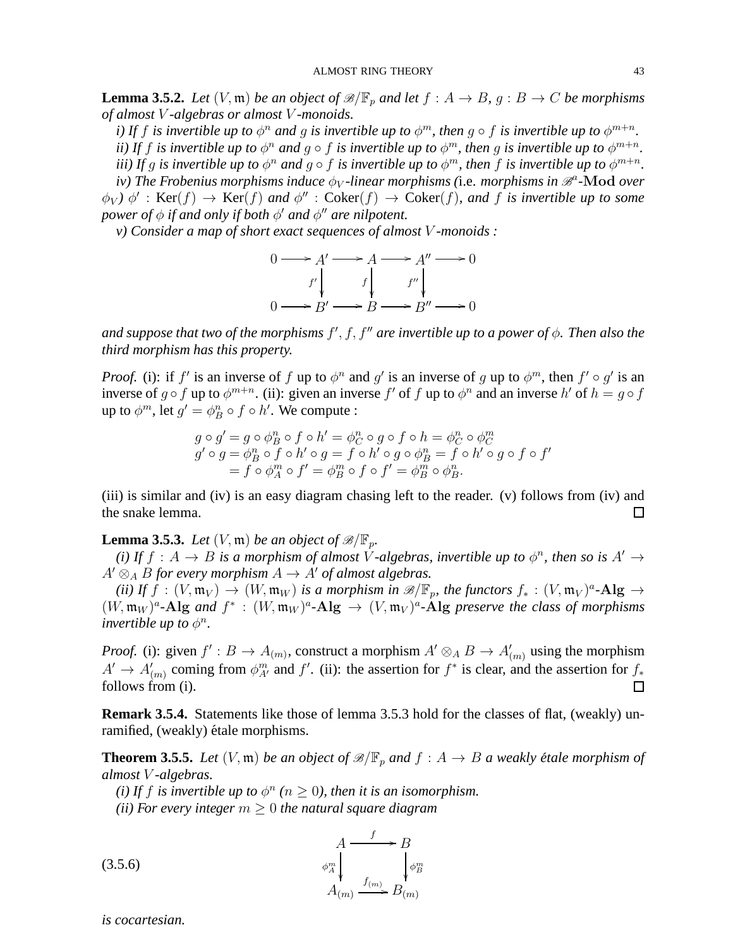**Lemma 3.5.2.** *Let*  $(V, \mathfrak{m})$  *be an object of*  $\mathscr{B}/\mathbb{F}_p$  *and let*  $f : A \rightarrow B$ ,  $g : B \rightarrow C$  *be morphisms of almost* V *-algebras or almost* V *-monoids.*

*i)* If f is invertible up to  $\phi^n$  and g is invertible up to  $\phi^m$ , then  $g \circ f$  is invertible up to  $\phi^{m+n}$ .

*ii)* If f is invertible up to  $\phi^n$  and  $g \circ f$  is invertible up to  $\phi^m$ , then g is invertible up to  $\phi^{m+n}$ .

*iii)* If g is invertible up to  $\phi^n$  and  $g \circ f$  is invertible up to  $\phi^m$ , then f is invertible up to  $\phi^{m+n}$ .

 $i$ v) The Frobenius morphisms induce  $\phi_V$ -linear morphisms (i.e. morphisms in  $\mathscr{B}^a\text{-}\mathbf{Mod}$  over  $\phi_V$ )  $\phi'$  : Ker(f)  $\to$  Ker(f) and  $\phi''$  : Coker(f)  $\to$  Coker(f), and f is invertible up to some *power of* φ *if and only if both* φ ′ *and* φ ′′ *are nilpotent.*

*v) Consider a map of short exact sequences of almost* V *-monoids :*

$$
0 \longrightarrow A' \longrightarrow A \longrightarrow A'' \longrightarrow 0
$$
  
\n
$$
f' \downarrow \qquad f \downarrow \qquad f'' \downarrow \qquad 0
$$
  
\n
$$
0 \longrightarrow B' \longrightarrow B \longrightarrow B'' \longrightarrow 0
$$

*and suppose that two of the morphisms* f ′ , f, f′′ *are invertible up to a power of* φ*. Then also the third morphism has this property.*

*Proof.* (i): if f' is an inverse of f up to  $\phi^n$  and g' is an inverse of g up to  $\phi^m$ , then  $f' \circ g'$  is an inverse of  $g \circ f$  up to  $\phi^{m+n}$ . (ii): given an inverse  $f'$  of  $f$  up to  $\phi^n$  and an inverse  $h'$  of  $h = g \circ f$ up to  $\phi^m$ , let  $g' = \phi_B^n \circ f \circ h'$ . We compute :

$$
g \circ g' = g \circ \phi_B^n \circ f \circ h' = \phi_C^n \circ g \circ f \circ h = \phi_C^n \circ \phi_C^m
$$
  

$$
g' \circ g = \phi_B^n \circ f \circ h' \circ g = f \circ h' \circ g \circ \phi_B^n = f \circ h' \circ g \circ f \circ f'
$$
  

$$
= f \circ \phi_A^m \circ f' = \phi_B^m \circ f \circ f' = \phi_B^m \circ \phi_B^n.
$$

(iii) is similar and (iv) is an easy diagram chasing left to the reader. (v) follows from (iv) and the snake lemma.  $\Box$ 

**Lemma 3.5.3.** *Let*  $(V, \mathfrak{m})$  *be an object of*  $\mathcal{B}/\mathbb{F}_p$ *.* 

*(i)* If  $f : A \to B$  is a morphism of almost V-algebras, invertible up to  $\phi^n$ , then so is  $A' \to$  $A' \otimes_A B$  *for every morphism*  $A \rightarrow A'$  *of almost algebras.* 

*(ii)* If  $f : (V, \mathfrak{m}_V) \to (W, \mathfrak{m}_W)$  *is a morphism in*  $\mathscr{B}/\mathbb{F}_p$ *, the functors*  $f_* : (V, \mathfrak{m}_V)^a$ -Alg  $\to$  $(W, \mathfrak{m}_W)^a$ -Alg and  $f^*$ :  $(W, \mathfrak{m}_W)^a$ -Alg  $\rightarrow (V, \mathfrak{m}_V)^a$ -Alg preserve the class of morphisms *invertible up to*  $\phi^n$ .

*Proof.* (i): given  $f' : B \to A_{(m)}$ , construct a morphism  $A' \otimes_A B \to A'_{(m)}$  using the morphism  $A' \to A'_{(m)}$  coming from  $\phi^m_{A'}$  and f'. (ii): the assertion for  $f^*$  is clear, and the assertion for  $f_*$ follows from (i).  $\Box$ 

**Remark 3.5.4.** Statements like those of lemma 3.5.3 hold for the classes of flat, (weakly) unramified, (weakly) étale morphisms.

**Theorem 3.5.5.** Let  $(V, \mathfrak{m})$  be an object of  $\mathscr{B}/\mathbb{F}_p$  and  $f : A \rightarrow B$  a weakly étale morphism of *almost* V *-algebras.*

*(i)* If f is invertible up to  $\phi^n$   $(n \geq 0)$ , then it is an isomorphism.

*(ii) For every integer*  $m \geq 0$  *the natural square diagram* 

$$
\begin{array}{ccc}\n & A \xrightarrow{f} & B \\
 & \downarrow^{m} & \downarrow^{m} \\
 & A_{(m)} \xrightarrow{f_{(m)}} B_{(m)} \\
 & A_{(m)} \xrightarrow{f_{(m)}} B_{(m)}\n\end{array}
$$

*is cocartesian.*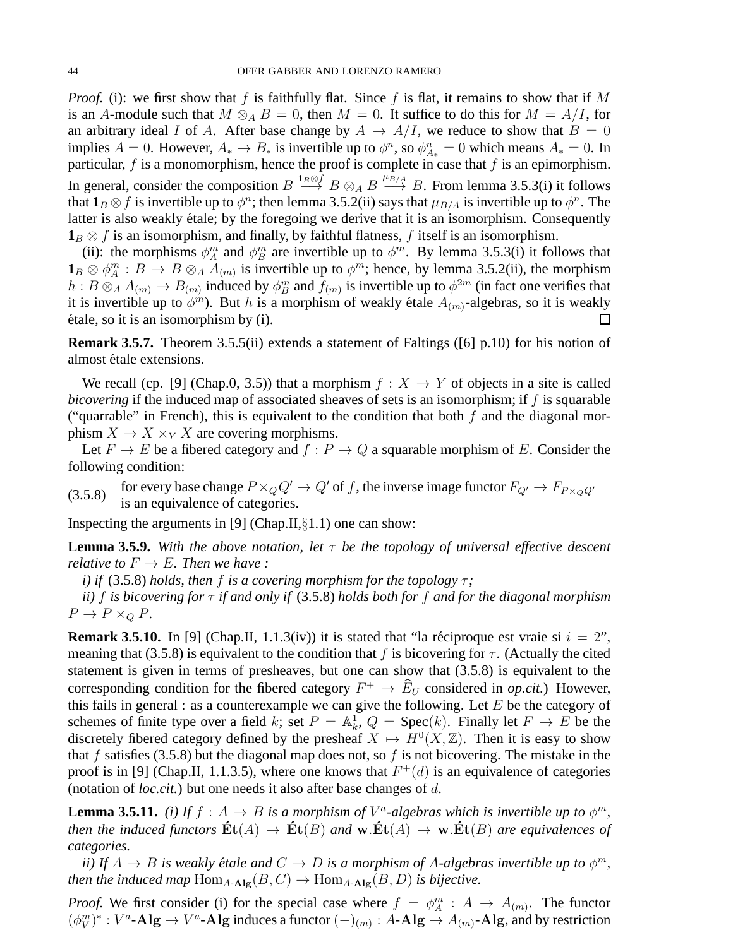*Proof.* (i): we first show that f is faithfully flat. Since f is flat, it remains to show that if M is an A-module such that  $M \otimes_A B = 0$ , then  $M = 0$ . It suffice to do this for  $M = A/I$ , for an arbitrary ideal I of A. After base change by  $A \rightarrow A/I$ , we reduce to show that  $B = 0$ implies  $A = 0$ . However,  $A_* \to B_*$  is invertible up to  $\phi^n$ , so  $\phi^n_{A_*} = 0$  which means  $A_* = 0$ . In particular,  $f$  is a monomorphism, hence the proof is complete in case that  $f$  is an epimorphism. In general, consider the composition  $B \stackrel{1_B \otimes f}{\longrightarrow} B \otimes_A B \stackrel{\mu_{B/A}}{\longrightarrow} B$ . From lemma 3.5.3(i) it follows that  $1_B \otimes f$  is invertible up to  $\phi^n$ ; then lemma 3.5.2(ii) says that  $\mu_{B/A}$  is invertible up to  $\phi^n$ . The latter is also weakly étale; by the foregoing we derive that it is an isomorphism. Consequently  $\mathbf{1}_B \otimes f$  is an isomorphism, and finally, by faithful flatness, f itself is an isomorphism.

(ii): the morphisms  $\phi_A^m$  and  $\phi_B^m$  are invertible up to  $\phi^m$ . By lemma 3.5.3(i) it follows that  $\mathbf{1}_B \otimes \phi_A^m : B \to B \otimes_A A_{(m)}$  is invertible up to  $\phi^m$ ; hence, by lemma 3.5.2(ii), the morphism  $h: B\otimes_A A_{(m)}\to B_{(m)}$  induced by  $\phi_B^m$  and  $f_{(m)}$  is invertible up to  $\phi^{2m}$  (in fact one verifies that it is invertible up to  $\phi^m$ ). But h is a morphism of weakly étale  $A_{(m)}$ -algebras, so it is weakly  $\acute{e}$ tale, so it is an isomorphism by (i).  $\Box$ 

**Remark 3.5.7.** Theorem 3.5.5(ii) extends a statement of Faltings ([6] p.10) for his notion of almost étale extensions.

We recall (cp. [9] (Chap.0, 3.5)) that a morphism  $f: X \to Y$  of objects in a site is called *bicovering* if the induced map of associated sheaves of sets is an isomorphism; if f is squarable ("quarrable" in French), this is equivalent to the condition that both  $f$  and the diagonal morphism  $X \to X \times_Y X$  are covering morphisms.

Let  $F \to E$  be a fibered category and  $f : P \to Q$  a squarable morphism of E. Consider the following condition:

for every base change  $P \times_Q Q' \to Q'$  of f, the inverse image functor  $F_{Q'} \to F_{P \times_Q Q'}$ (3.5.8) for every base change  $T \wedge Q \vee Q$ <br>is an equivalence of categories.

Inspecting the arguments in [9] (Chap.II, $\S1.1$ ) one can show:

**Lemma 3.5.9.** *With the above notation, let* τ *be the topology of universal effective descent relative to*  $F \to E$ *. Then we have* :

*i*) *if* (3.5.8) *holds, then f is a covering morphism for the topology*  $\tau$ ;

*ii)* f *is bicovering for* τ *if and only if* (3.5.8) *holds both for* f *and for the diagonal morphism*  $P \rightarrow P \times_{Q} P$ .

**Remark 3.5.10.** In [9] (Chap.II, 1.1.3(iv)) it is stated that "la réciproque est vraie si  $i = 2$ ", meaning that (3.5.8) is equivalent to the condition that f is bicovering for  $\tau$ . (Actually the cited statement is given in terms of presheaves, but one can show that (3.5.8) is equivalent to the corresponding condition for the fibered category  $F^+ \to E_U$  considered in *op.cit.*) However, this fails in general : as a counterexample we can give the following. Let  $E$  be the category of schemes of finite type over a field k; set  $P = \mathbb{A}^1_k$ ,  $Q = \text{Spec}(k)$ . Finally let  $F \to E$  be the discretely fibered category defined by the presheaf  $X \mapsto H^0(X, \mathbb{Z})$ . Then it is easy to show that f satisfies (3.5.8) but the diagonal map does not, so f is not bicovering. The mistake in the proof is in [9] (Chap.II, 1.1.3.5), where one knows that  $F^+(d)$  is an equivalence of categories (notation of *loc.cit.*) but one needs it also after base changes of d.

**Lemma 3.5.11.** *(i)* If  $f : A \rightarrow B$  is a morphism of  $V^a$ -algebras which is invertible up to  $\phi^m$ , *then the induced functors*  $\mathbf{Et}(A) \to \mathbf{Et}(B)$  *and*  $\mathbf{w}.\mathbf{Et}(A) \to \mathbf{w}.\mathbf{Et}(B)$  *are equivalences of categories.*

*ii)* If  $A \to B$  *is weakly étale and*  $C \to D$  *is a morphism of* A-algebras invertible up to  $\phi^m$ , *then the induced map*  $\text{Hom}_{A\text{-Alg}}(B, C) \to \text{Hom}_{A\text{-Alg}}(B, D)$  *is bijective.* 

*Proof.* We first consider (i) for the special case where  $f = \phi_A^m : A \to A_{(m)}$ . The functor  $(\phi_V^m)^*: V^a$ -Alg  $\to V^a$ -Alg induces a functor  $(-)_{(m)}: A$ -Alg  $\to A_{(m)}$ -Alg, and by restriction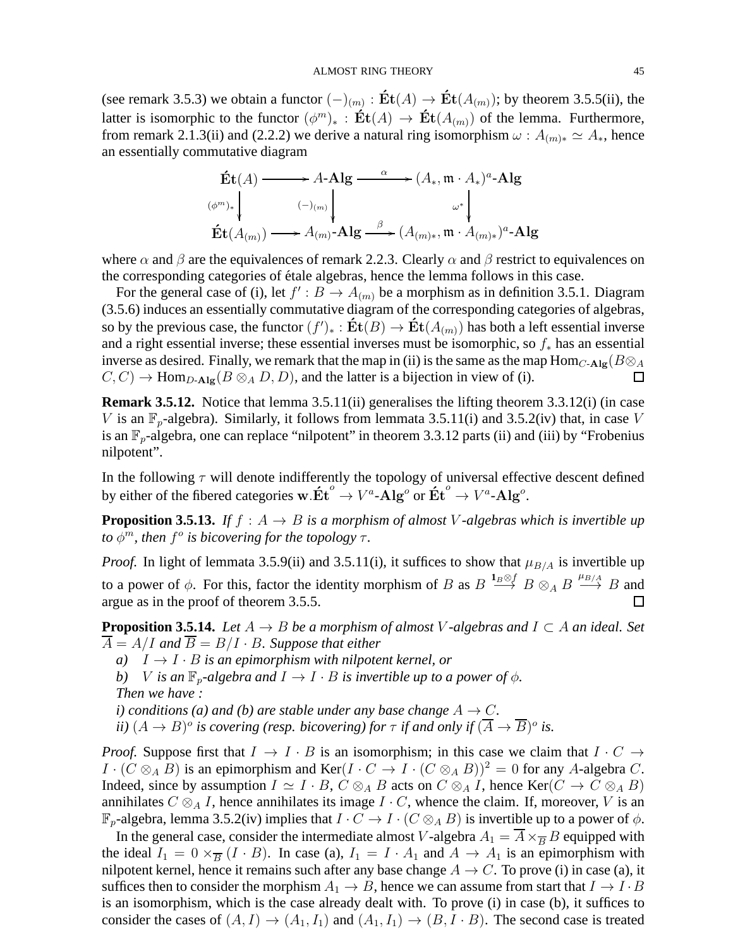(see remark 3.5.3) we obtain a functor  $(-)_{(m)} : \mathbf{Ét}(A) \to \mathbf{Ét}(A_{(m)})$ ; by theorem 3.5.5(ii), the latter is isomorphic to the functor  $(\phi^m)_* : \mathbf{Ét}(A) \to \mathbf{Ét}(A_{(m)})$  of the lemma. Furthermore, from remark 2.1.3(ii) and (2.2.2) we derive a natural ring isomorphism  $\omega$  :  $A_{(m)*} \simeq A_*$ , hence an essentially commutative diagram

$$
\begin{array}{ccc}\n\textbf{Ét}(A) & \longrightarrow A\textbf{-Alg} & \xrightarrow{\alpha} (A_*, \mathfrak{m} \cdot A_*)^a\textbf{-Alg} \\
\downarrow^{\phi^m}_\textbf{H} & \downarrow^{\phi^m}_\textbf{H} & \downarrow^{\phi^m}_\textbf{H} \\
\textbf{Ét}(A_{(m)}) & \longrightarrow A_{(m)}\textbf{-Alg} & \xrightarrow{\beta} (A_{(m)*}, \mathfrak{m} \cdot A_{(m)*})^a\textbf{-Alg}\n\end{array}
$$

where  $\alpha$  and  $\beta$  are the equivalences of remark 2.2.3. Clearly  $\alpha$  and  $\beta$  restrict to equivalences on the corresponding categories of étale algebras, hence the lemma follows in this case.

For the general case of (i), let  $f' : B \to A_{(m)}$  be a morphism as in definition 3.5.1. Diagram (3.5.6) induces an essentially commutative diagram of the corresponding categories of algebras, so by the previous case, the functor  $(f')_* : \mathbf{Ét}(B) \to \mathbf{Ét}(A_{(m)})$  has both a left essential inverse and a right essential inverse; these essential inverses must be isomorphic, so  $f_*$  has an essential inverse as desired. Finally, we remark that the map in (ii) is the same as the map  $\text{Hom}_{C\text{-Alg}}(B\otimes_A B)$  $C, C$   $\rightarrow$  Hom<sub>D-Alg</sub>  $(B \otimes_A D, D)$ , and the latter is a bijection in view of (i).  $\Box$ 

**Remark 3.5.12.** Notice that lemma 3.5.11(ii) generalises the lifting theorem 3.3.12(i) (in case V is an  $\mathbb{F}_p$ -algebra). Similarly, it follows from lemmata 3.5.11(i) and 3.5.2(iv) that, in case V is an  $\mathbb{F}_p$ -algebra, one can replace "nilpotent" in theorem 3.3.12 parts (ii) and (iii) by "Frobenius nilpotent".

In the following  $\tau$  will denote indifferently the topology of universal effective descent defined by either of the fibered categories w.  $\mathbf{E} \mathbf{t}^{\circ} \to V^a \textbf{-Alg}^{\circ}$  or  $\mathbf{E} \mathbf{t}^{\circ} \to V^a \textbf{-Alg}^{\circ}$ .

**Proposition 3.5.13.** *If*  $f : A \rightarrow B$  *is a morphism of almost V*-algebras which is invertible up *to*  $\phi^m$ , then  $f^o$  is bicovering for the topology  $\tau$ .

*Proof.* In light of lemmata 3.5.9(ii) and 3.5.11(i), it suffices to show that  $\mu_{B/A}$  is invertible up to a power of  $\phi$ . For this, factor the identity morphism of B as  $B \xrightarrow{\mathbf{1}_B \otimes f} B \otimes_A B \xrightarrow{\mu_{B/A}} B$  and argue as in the proof of theorem 3.5.5.  $\Box$ 

**Proposition 3.5.14.** *Let*  $A \rightarrow B$  *be a morphism of almost V*-algebras and  $I \subset A$  *an ideal. Set*  $A = A/I$  and  $B = B/I \cdot B$ *. Suppose that either* 

- *a*)  $I \rightarrow I \cdot B$  *is an epimorphism with nilpotent kernel, or*
- *b*) *V is an*  $\mathbb{F}_p$ -algebra and  $I \to I \cdot B$  *is invertible up to a power of*  $\phi$ *. Then we have :*
- *i)* conditions (a) and (b) are stable under any base change  $A \rightarrow C$ .
- *ii*)  $(A \to B)^o$  *is covering (resp. bicovering) for*  $\tau$  *if and only if*  $(\overline{A} \to \overline{B})^o$  *is.*

*Proof.* Suppose first that  $I \rightarrow I \cdot B$  is an isomorphism; in this case we claim that  $I \cdot C \rightarrow$  $I \cdot (C \otimes_A B)$  is an epimorphism and Ker $(I \cdot C \to I \cdot (C \otimes_A B))^2 = 0$  for any A-algebra C. Indeed, since by assumption  $I \simeq I \cdot B$ ,  $C \otimes_A B$  acts on  $C \otimes_A I$ , hence Ker( $C \to C \otimes_A B$ ) annihilates  $C \otimes_A I$ , hence annihilates its image  $I \cdot C$ , whence the claim. If, moreover, V is an  $\mathbb{F}_p$ -algebra, lemma 3.5.2(iv) implies that  $I \cdot C \to I \cdot (C \otimes_A B)$  is invertible up to a power of  $\phi$ .

In the general case, consider the intermediate almost V-algebra  $A_1 = \overline{A} \times_{\overline{B}} B$  equipped with the ideal  $I_1 = 0 \times_{\overline{B}} (I \cdot B)$ . In case (a),  $I_1 = I \cdot A_1$  and  $A \rightarrow A_1$  is an epimorphism with nilpotent kernel, hence it remains such after any base change  $A \to C$ . To prove (i) in case (a), it suffices then to consider the morphism  $A_1 \rightarrow B$ , hence we can assume from start that  $I \rightarrow I \cdot B$ is an isomorphism, which is the case already dealt with. To prove (i) in case (b), it suffices to consider the cases of  $(A, I) \rightarrow (A_1, I_1)$  and  $(A_1, I_1) \rightarrow (B, I \cdot B)$ . The second case is treated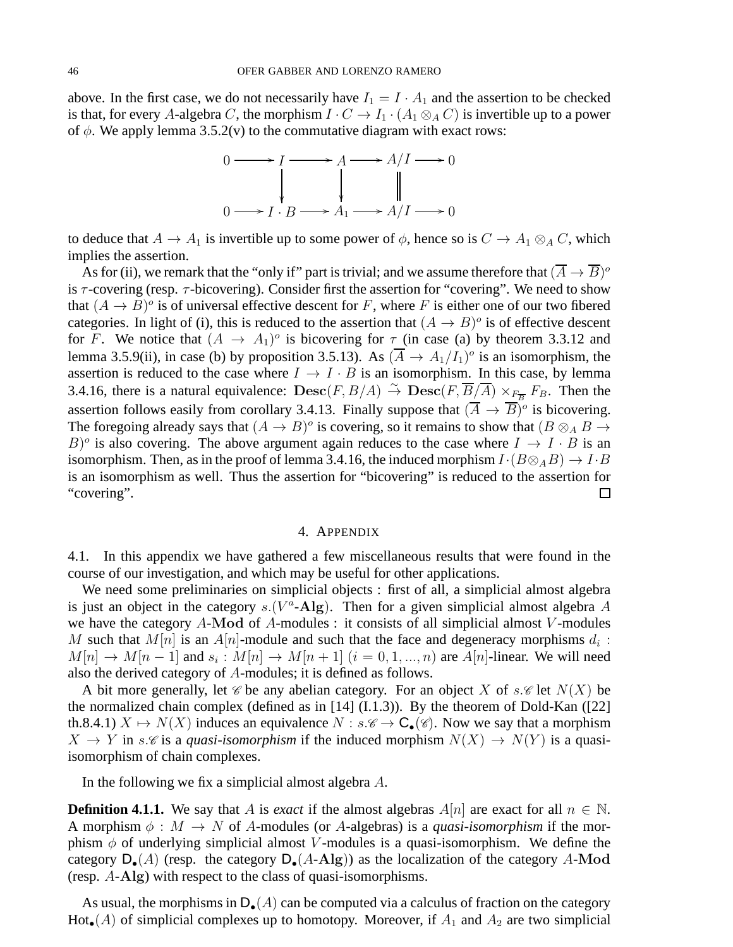above. In the first case, we do not necessarily have  $I_1 = I \cdot A_1$  and the assertion to be checked is that, for every A-algebra C, the morphism  $I \cdot C \to I_1 \cdot (A_1 \otimes_A C)$  is invertible up to a power of  $\phi$ . We apply lemma 3.5.2(v) to the commutative diagram with exact rows:



to deduce that  $A \to A_1$  is invertible up to some power of  $\phi$ , hence so is  $C \to A_1 \otimes_A C$ , which implies the assertion.

As for (ii), we remark that the "only if" part is trivial; and we assume therefore that  $(\overline A\to \overline B)^o$ is  $\tau$ -covering (resp.  $\tau$ -bicovering). Consider first the assertion for "covering". We need to show that  $(A \to B)^\circ$  is of universal effective descent for F, where F is either one of our two fibered categories. In light of (i), this is reduced to the assertion that  $(A \rightarrow B)^{\circ}$  is of effective descent for F. We notice that  $(A \to A_1)^\circ$  is bicovering for  $\tau$  (in case (a) by theorem 3.3.12 and lemma 3.5.9(ii), in case (b) by proposition 3.5.13). As  $(\overline{A} \to A_1/I_1)^o$  is an isomorphism, the assertion is reduced to the case where  $I \rightarrow I \cdot B$  is an isomorphism. In this case, by lemma 3.4.16, there is a natural equivalence:  $\text{Desc}(F, B/A) \overset{\sim}{\to} \text{Desc}(F, \overline{B/A}) \times_{F_{\overline{B}}} F_B$ . Then the assertion follows easily from corollary 3.4.13. Finally suppose that  $(\overline{A} \to \overline{B})^o$  is bicovering. The foregoing already says that  $(A \to B)^o$  is covering, so it remains to show that  $(B \otimes_A B \to B)^o$ B)<sup>o</sup> is also covering. The above argument again reduces to the case where  $I \rightarrow I \cdot B$  is an isomorphism. Then, as in the proof of lemma 3.4.16, the induced morphism  $I \cdot (B \otimes_A B) \to I \cdot B$ is an isomorphism as well. Thus the assertion for "bicovering" is reduced to the assertion for "covering". □

# 4. APPENDIX

4.1. In this appendix we have gathered a few miscellaneous results that were found in the course of our investigation, and which may be useful for other applications.

We need some preliminaries on simplicial objects : first of all, a simplicial almost algebra is just an object in the category  $s.(V^a\text{-}\mathbf{Alg})$ . Then for a given simplicial almost algebra A we have the category  $A\text{-Mod}$  of  $A\text{-modules}$ : it consists of all simplicial almost V-modules M such that  $M[n]$  is an  $A[n]$ -module and such that the face and degeneracy morphisms  $d_i$ :  $M[n] \to M[n-1]$  and  $s_i : M[n] \to M[n+1]$   $(i = 0, 1, ..., n)$  are  $A[n]$ -linear. We will need also the derived category of A-modules; it is defined as follows.

A bit more generally, let  $\mathscr C$  be any abelian category. For an object X of s.  $\mathscr C$  let  $N(X)$  be the normalized chain complex (defined as in  $[14]$  (I.1.3)). By the theorem of Dold-Kan ( $[22]$ th.8.4.1)  $X \mapsto N(X)$  induces an equivalence  $N : s \mathcal{C} \rightarrow C_{\bullet}(\mathcal{C})$ . Now we say that a morphism  $X \to Y$  in s. *C* is a *quasi-isomorphism* if the induced morphism  $N(X) \to N(Y)$  is a quasiisomorphism of chain complexes.

In the following we fix a simplicial almost algebra A.

**Definition 4.1.1.** We say that A is *exact* if the almost algebras  $A[n]$  are exact for all  $n \in \mathbb{N}$ . A morphism  $\phi : M \to N$  of A-modules (or A-algebras) is a *quasi-isomorphism* if the morphism  $\phi$  of underlying simplicial almost V-modules is a quasi-isomorphism. We define the category  $D_{\bullet}(A)$  (resp. the category  $D_{\bullet}(A\text{-}{\bf Alg})$ ) as the localization of the category A-Mod (resp. A-Alg) with respect to the class of quasi-isomorphisms.

As usual, the morphisms in  $D_{\bullet}(A)$  can be computed via a calculus of fraction on the category Hot<sub>•</sub>(A) of simplicial complexes up to homotopy. Moreover, if  $A_1$  and  $A_2$  are two simplicial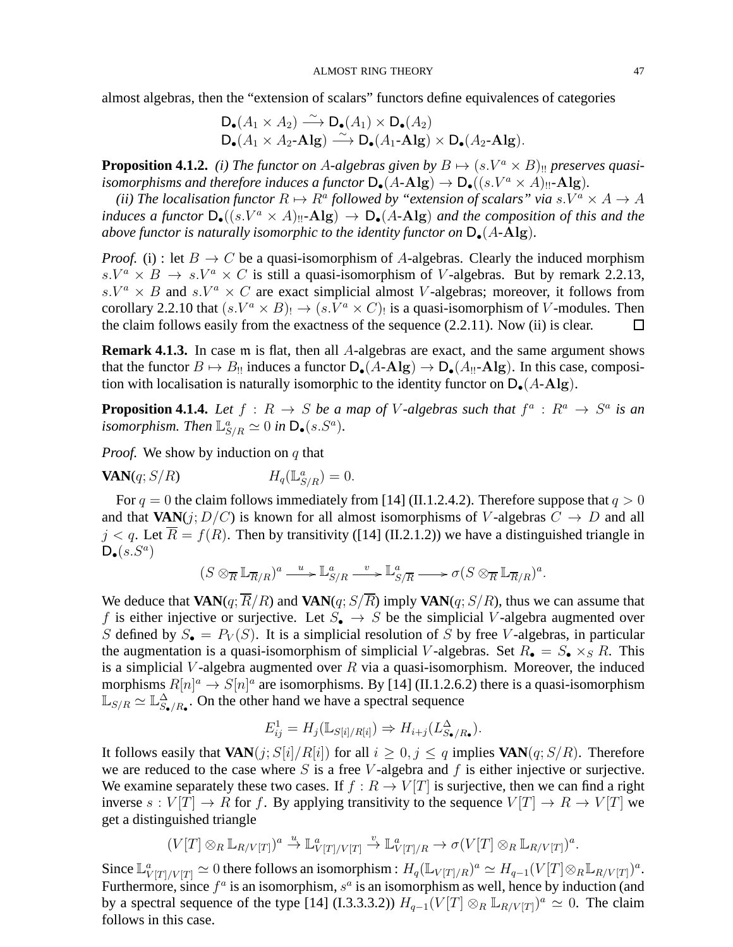almost algebras, then the "extension of scalars" functors define equivalences of categories

$$
\mathbf{D}_{\bullet}(A_1 \times A_2) \xrightarrow{\sim} \mathbf{D}_{\bullet}(A_1) \times \mathbf{D}_{\bullet}(A_2)
$$
  

$$
\mathbf{D}_{\bullet}(A_1 \times A_2 \text{-Alg}) \xrightarrow{\sim} \mathbf{D}_{\bullet}(A_1 \text{-Alg}) \times \mathbf{D}_{\bullet}(A_2 \text{-Alg}).
$$

**Proposition 4.1.2.** *(i) The functor on A-algebras given by*  $B \mapsto (s.V^a \times B)$ <sup>u</sup> *preserves quasiisomorphisms and therefore induces a functor*  $D_{\bullet}(A-A\lg) \to D_{\bullet}((s.V^a \times A)_{!!}$ -Alg).

(*ii*) The localisation functor  $R \mapsto R^a$  followed by "extension of scalars" via  $s.V^a \times A \rightarrow A$ *induces a functor*  $D_{\bullet}((s,V^a \times A)_{!!}$ -Alg)  $\rightarrow$   $D_{\bullet}(A$ -Alg) *and the composition of this and the above functor is naturally isomorphic to the identity functor on*  $D_{\bullet}(A-A\lg)$ *.* 

*Proof.* (i) : let  $B \to C$  be a quasi-isomorphism of A-algebras. Clearly the induced morphism  $s.V^a \times B \rightarrow s.V^a \times C$  is still a quasi-isomorphism of V-algebras. But by remark 2.2.13,  $s.V^a \times B$  and  $s.V^a \times C$  are exact simplicial almost V-algebras; moreover, it follows from corollary 2.2.10 that  $(s.V^a \times B) \rightarrow (s.V^a \times C)$  is a quasi-isomorphism of V-modules. Then the claim follows easily from the exactness of the sequence (2.2.11). Now (ii) is clear.  $\Box$ 

**Remark 4.1.3.** In case m is flat, then all A-algebras are exact, and the same argument shows that the functor  $B \mapsto B_{!!}$  induces a functor  $D_{\bullet}(A\text{-}{Alg}) \to D_{\bullet}(A_{!!}\text{-}{Alg})$ . In this case, composition with localisation is naturally isomorphic to the identity functor on  $\mathsf{D}_{\bullet}(A\text{-}\mathbf{Alg})$ .

**Proposition 4.1.4.** Let  $f : R \to S$  be a map of V-algebras such that  $f^a : R^a \to S^a$  is an *isomorphism. Then*  $\mathbb{L}^a_{S/R} \simeq 0$  *in*  $\mathsf{D}_\bullet(s.S^a)$ *.* 

*Proof.* We show by induction on q that

$$
VAN(q;S/R) \t\t H_q(\mathbb{L}^a_{S/R}) = 0.
$$

For  $q = 0$  the claim follows immediately from [14] (II.1.2.4.2). Therefore suppose that  $q > 0$ and that **VAN** $(j; D/C)$  is known for all almost isomorphisms of V-algebras  $C \rightarrow D$  and all  $j < q$ . Let  $\overline{R} = f(R)$ . Then by transitivity ([14] (II.2.1.2)) we have a distinguished triangle in  $\mathsf{D}_\bullet(s.S^a)$ 

$$
(S\otimes_{\overline{R}} \mathbb{L}_{\overline{R}/R})^a \xrightarrow{u} \mathbb{L}_{S/R}^a \xrightarrow{v} \mathbb{L}_{S/\overline{R}}^a \longrightarrow \sigma(S\otimes_{\overline{R}} \mathbb{L}_{\overline{R}/R})^a.
$$

We deduce that **VAN**(q;  $\overline{R}/R$ ) and **VAN**(q;  $S/\overline{R}$ ) imply **VAN**(q;  $S/R$ ), thus we can assume that f is either injective or surjective. Let  $S_{\bullet} \rightarrow S$  be the simplicial V-algebra augmented over S defined by  $S_{\bullet} = P_V(S)$ . It is a simplicial resolution of S by free V-algebras, in particular the augmentation is a quasi-isomorphism of simplicial V-algebras. Set  $R_{\bullet} = S_{\bullet} \times_S R$ . This is a simplicial V-algebra augmented over  $R$  via a quasi-isomorphism. Moreover, the induced morphisms  $R[n]^a \to S[n]^a$  are isomorphisms. By [14] (II.1.2.6.2) there is a quasi-isomorphism  $\mathbb{L}_{S/R} \simeq \mathbb{L}_{S_{\bullet}/R_{\bullet}}^{\Delta}$ . On the other hand we have a spectral sequence

$$
E_{ij}^1 = H_j(\mathbb{L}_{S[i]/R[i]}) \Rightarrow H_{i+j}(L_{S_{\bullet}/R_{\bullet}}^{\Delta}).
$$

It follows easily that **VAN** $(j; S[i]/R[i])$  for all  $i > 0, j < q$  implies **VAN** $(q; S/R)$ . Therefore we are reduced to the case where  $S$  is a free  $V$ -algebra and  $f$  is either injective or surjective. We examine separately these two cases. If  $f : R \to V[T]$  is surjective, then we can find a right inverse  $s: V[T] \to R$  for f. By applying transitivity to the sequence  $V[T] \to R \to V[T]$  we get a distinguished triangle

$$
(V[T] \otimes_R \mathbb{L}_{R/V[T]})^a \stackrel{u}{\to} \mathbb{L}_{V[T]/V[T]}^a \stackrel{v}{\to} \mathbb{L}_{V[T]/R}^a \to \sigma(V[T] \otimes_R \mathbb{L}_{R/V[T]})^a.
$$

Since  $\mathbb{L}_{V[T]/V[T]}^a \simeq 0$  there follows an isomorphism :  $H_q(\mathbb{L}_{V[T]/R})^a \simeq H_{q-1}(V[T] \otimes_R \mathbb{L}_{R/V[T]})^a$ . Furthermore, since  $f^a$  is an isomorphism,  $s^a$  is an isomorphism as well, hence by induction (and by a spectral sequence of the type [14] (I.3.3.3.2))  $H_{q-1}(V[T] \otimes_R \mathbb{L}_{R/V[T]})^a \simeq 0$ . The claim follows in this case.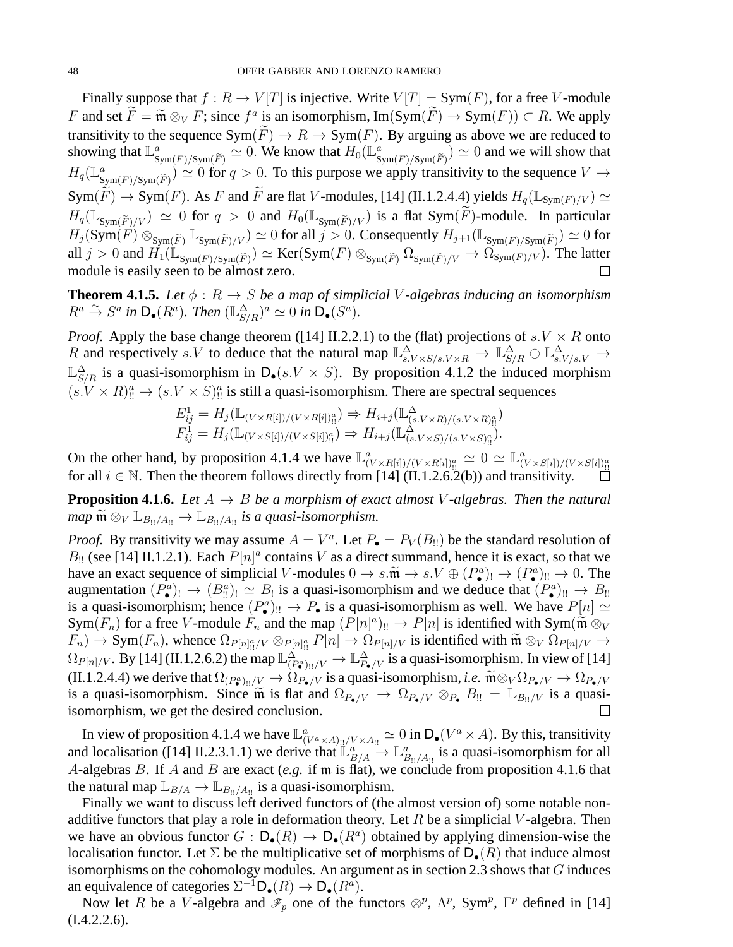Finally suppose that  $f : R \to V[T]$  is injective. Write  $V[T] = Sym(F)$ , for a free V-module F and set  $\overline{F} = \widetilde{\mathfrak{m}} \otimes_V F$ ; since  $f^a$  is an isomorphism,  $\text{Im}(\text{Sym}(F)) \to \text{Sym}(F)$ )  $\subset R$ . We apply transitivity to the sequence  $\text{Sym}(\widetilde{F}) \to R \to \text{Sym}(F)$ . By arguing as above we are reduced to showing that  $\mathbb{L}_{\infty}^a$  $\frac{a}{\text{Sym}(F)/\text{Sym}(\widetilde{F})} \simeq 0$ . We know that  $H_0(\mathbb{L}_\mathbf{S}^a)$  $\binom{a}{\text{Sym}(F)/\text{Sym}(F)} \simeq 0$  and we will show that  $H_q(\mathbb{L}_{\infty}^a)$  $\lim_{\text{Sym}(F)/\text{Sym}(\widetilde{F})}$   $\simeq$  0 for  $q > 0$ . To this purpose we apply transitivity to the sequence  $V \to \infty$  $Sym(\widetilde{F}) \to Sym(F)$ . As F and  $\widetilde{F}$  are flat V-modules, [14] (II.1.2.4.4) yields  $H_q(\mathbb{L}_{Sym(F)/V}) \simeq$  $H_q(\mathbb{L}_{\text{Sym}(\widetilde{F})/V}) \simeq 0$  for  $q > 0$  and  $H_0(\mathbb{L}_{\text{Sym}(\widetilde{F})/V})$  is a flat  $\text{Sym}(\widetilde{F})$ -module. In particular  $H_j(\text{Sym}(F) \otimes_{\text{Sym}(\widetilde{F})} \mathbb{L}_{\text{Sym}(\widetilde{F})/V}) \simeq 0$  for all  $j > 0$ . Consequently  $H_{j+1}(\mathbb{L}_{\text{Sym}(F)/\text{Sym}(\widetilde{F})}) \simeq 0$  for all  $j > 0$  and  $H_1(\mathbb{L}_{\text{Sym}(F)/\text{Sym}(\widetilde{F})}) \simeq \text{Ker}(\text{Sym}(F) \otimes_{\text{Sym}(\widetilde{F})} \Omega_{\text{Sym}(\widetilde{F})/V} \to \Omega_{\text{Sym}(F)/V}$ ). The latter module is easily seen to be almost zero.

**Theorem 4.1.5.** *Let*  $\phi : R \to S$  *be a map of simplicial V*-algebras inducing an isomorphism  $R^a \stackrel{\sim}{\rightarrow} S^a$  in  $\mathsf{D}_\bullet(R^a)$ . Then  $(\mathbb{L}^{\Delta}_{S/R})^a \simeq 0$  in  $\mathsf{D}_\bullet(S^a)$ .

*Proof.* Apply the base change theorem ([14] II.2.2.1) to the (flat) projections of  $s.V \times R$  onto R and respectively s.V to deduce that the natural map  $\mathbb{L}^{\Delta}_{s.V \times S/s.V \times R} \to \mathbb{L}^{\Delta}_{S/R} \oplus \mathbb{L}^{\Delta}_{s.V/s.V} \to$  $\mathbb{L}^{\Delta}_{S/R}$  is a quasi-isomorphism in  $\mathsf{D}_{\bullet}(s.V \times S)$ . By proposition 4.1.2 the induced morphism  $(s.V \times R)_{\text{II}}^a \rightarrow (s.V \times S)_{\text{II}}^a$  is still a quasi-isomorphism. There are spectral sequences

$$
E_{ij}^1 = H_j(\mathbb{L}_{(V \times R[i])/(V \times R[i])_{\Pi}^a}) \Rightarrow H_{i+j}(\mathbb{L}_{(s,V \times R)/(s,V \times R)_{\Pi}^a}^{\Delta})
$$
  

$$
F_{ij}^1 = H_j(\mathbb{L}_{(V \times S[i])/(V \times S[i])_{\Pi}^a}) \Rightarrow H_{i+j}(\mathbb{L}_{(s,V \times S)/(s,V \times S)_{\Pi}^a}^{\Delta}).
$$

On the other hand, by proposition 4.1.4 we have  $\mathbb{L}_{(V \times R[i])/(V \times R[i])^{\alpha}_{\Pi}}^a \simeq 0 \simeq \mathbb{L}_{(V \times S[i])/(V \times S[i]]^{\alpha}_{\Pi}}^a$ for all  $i \in \mathbb{N}$ . Then the theorem follows directly from [14] (II.1.2.6.2(b)) and transitivity.

**Proposition 4.1.6.** *Let*  $A \rightarrow B$  *be a morphism of exact almost V*-algebras. Then the natural *map*  $\widetilde{\mathfrak{m}} \otimes_V \mathbb{L}_{B_{!1}/A_{!1}} \to \mathbb{L}_{B_{!1}/A_{!1}}$  *is a quasi-isomorphism.* 

*Proof.* By transitivity we may assume  $A = V^a$ . Let  $P_{\bullet} = P_V(B_{\parallel})$  be the standard resolution of  $B_{\text{II}}$  (see [14] II.1.2.1). Each  $P[n]^a$  contains V as a direct summand, hence it is exact, so that we have an exact sequence of simplicial V-modules  $0 \to s.\widetilde{m} \to s.V \oplus (P_a^a)_! \to (P_a^a)_{!} \to 0$ . The augmentation  $(P_{\bullet}^a)_{!} \to (B_{!}^a)_{!} \simeq B_{!}$  is a quasi-isomorphism and we deduce that  $(P_{\bullet}^a)_{!} \to B_{!}$ is a quasi-isomorphism; hence  $(P_{\bullet}^a)_{!} \to P_{\bullet}$  is a quasi-isomorphism as well. We have  $P[n] \simeq$  $\text{Sym}(F_n)$  for a free V-module  $F_n$  and the map  $(P[n]^a)_{\mathfrak{l}} \to P[n]$  is identified with  $\text{Sym}(\widetilde{\mathfrak{m}} \otimes_{V} \mathfrak{m}(\widetilde{\mathfrak{m}}))$  $(F_n) \to \text{Sym}(F_n)$ , whence  $\Omega_{P[n]_1^n/V} \otimes_{P[n]_1^n} P[n] \to \Omega_{P[n]/V}$  is identified with  $\widetilde{\mathfrak{m}} \otimes_V \Omega_{P[n]/V} \to$  $\Omega_{P[n]/V}$ . By [14] (II.1.2.6.2) the map  $\mathbb{L}^\Delta_{(P^{\bullet}_\bullet)_{!!}/V} \to \mathbb{L}^\Delta_{P_\bullet/V}$  is a quasi-isomorphism. In view of [14] (II.1.2.4.4) we derive that  $\Omega_{(P^a)_{\parallel}/V} \to \Omega_{P\bullet/V}$  is a quasi-isomorphism, *i.e.*  $\widetilde{\mathfrak{m}} \otimes_V \Omega_{P\bullet}/V \to \Omega_{P\bullet/V}$ is a quasi-isomorphism. Since  $\tilde{m}$  is flat and  $\Omega_{P_{\bullet}/V} \to \Omega_{P_{\bullet}/V} \otimes_{P_{\bullet}} B_{\cdot} = \mathbb{L}_{B_{\cdot}N}$  is a quasi-isomorphism, we get the desired conclusion. isomorphism, we get the desired conclusion.

In view of proposition 4.1.4 we have  $\mathbb{L}^a_{(V^a \times A)_{!!}/V \times A_{!!}} \simeq 0$  in  $\mathsf{D}_\bullet(V^a \times A)$ . By this, transitivity and localisation ([14] II.2.3.1.1) we derive that  $\mathbb{L}_{B/A}^a \to \mathbb{L}_{B_H/A_H}^a$  is a quasi-isomorphism for all A-algebras B. If A and B are exact (*e.g.* if m is flat), we conclude from proposition 4.1.6 that the natural map  $\mathbb{L}_{B/A} \to \mathbb{L}_{B_{!1}/A_{!1}}$  is a quasi-isomorphism.

Finally we want to discuss left derived functors of (the almost version of) some notable nonadditive functors that play a role in deformation theory. Let R be a simplicial V-algebra. Then we have an obvious functor  $G : D_{\bullet}(R) \to D_{\bullet}(R^a)$  obtained by applying dimension-wise the localisation functor. Let  $\Sigma$  be the multiplicative set of morphisms of  $\mathsf{D}_{\bullet}(R)$  that induce almost isomorphisms on the cohomology modules. An argument as in section 2.3 shows that  $G$  induces an equivalence of categories  $\Sigma^{-1} \mathsf{D}_\bullet(R) \to \mathsf{D}_\bullet(R^a)$ .

Now let R be a V-algebra and  $\mathcal{F}_p$  one of the functors  $\otimes^p$ ,  $\Lambda^p$ , Sym<sup>p</sup>,  $\Gamma^p$  defined in [14]  $(I.4.2.2.6).$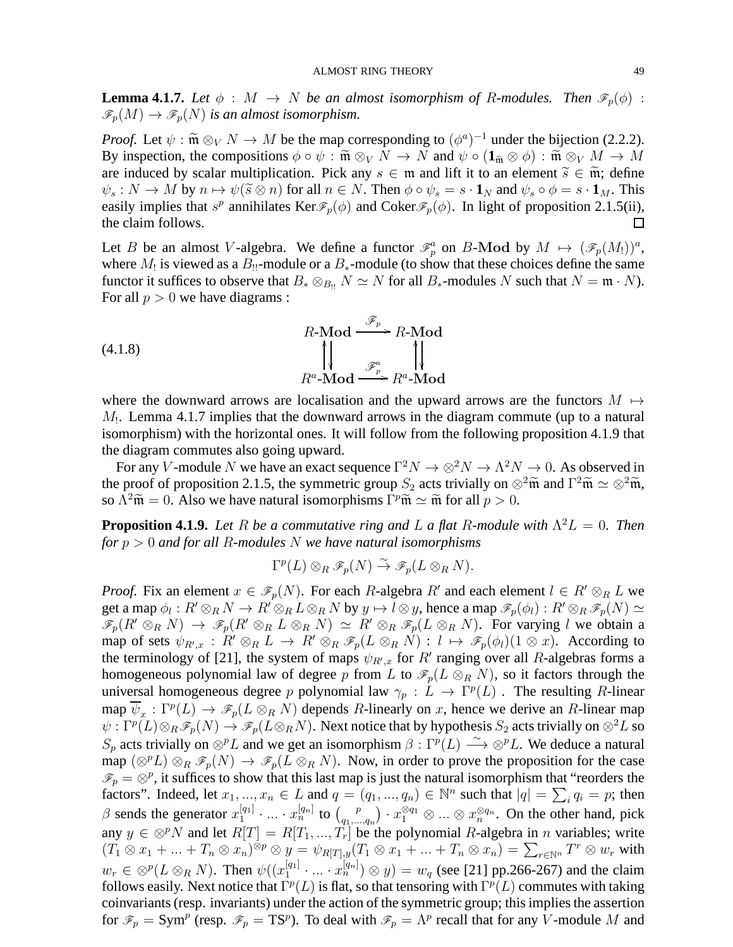**Lemma 4.1.7.** Let  $\phi : M \to N$  be an almost isomorphism of R-modules. Then  $\mathscr{F}_p(\phi)$ :  $\mathscr{F}_p(M) \to \mathscr{F}_p(N)$  *is an almost isomorphism.* 

*Proof.* Let  $\psi$ :  $\widetilde{m} \otimes_V N \to M$  be the map corresponding to  $(\phi^a)^{-1}$  under the bijection (2.2.2). By inspection, the compositions  $\phi \circ \psi : \widetilde{\mathfrak{m}} \otimes_V N \to N$  and  $\psi \circ (\mathbf{1}_{\widetilde{\mathfrak{m}}} \otimes \phi) : \widetilde{\mathfrak{m}} \otimes_V M \to M$ are induced by scalar multiplication. Pick any  $s \in \mathfrak{m}$  and lift it to an element  $\widetilde{s} \in \widetilde{\mathfrak{m}}$ ; define  $\psi_s : N \to M$  by  $n \mapsto \psi(\tilde{s} \otimes n)$  for all  $n \in N$ . Then  $\phi \circ \psi_s = s \cdot \mathbf{1}_N$  and  $\psi_s \circ \phi = s \cdot \mathbf{1}_M$ . This easily implies that  $s^p$  annihilates Ker $\mathcal{F}_p(\phi)$  and Coker $\mathcal{F}_p(\phi)$ . In light of proposition 2.1.5(ii), the claim follows.  $\Box$ 

Let B be an almost V-algebra. We define a functor  $\mathcal{F}_p^a$  on B-Mod by  $M \mapsto (\mathcal{F}_p(M_1))^a$ , where  $M_1$  is viewed as a  $B_1$ -module or a  $B_*$ -module (to show that these choices define the same functor it suffices to observe that  $B_* \otimes_{B_{1!}} N \simeq N$  for all  $B_*$ -modules N such that  $N = \mathfrak{m} \cdot N$ ). For all  $p > 0$  we have diagrams :

(4.1.8)  
\n
$$
R\text{-Mod} \xrightarrow{\mathscr{F}_p} R\text{-Mod}
$$
  
\n $\downarrow \qquad \qquad \mathscr{F}_p^a \qquad \qquad \downarrow$   
\n $R^a\text{-Mod} \xrightarrow{\mathscr{F}_p^a} R^a\text{-Mod}$ 

where the downward arrows are localisation and the upward arrows are the functors  $M \mapsto$  $M<sub>1</sub>$ . Lemma 4.1.7 implies that the downward arrows in the diagram commute (up to a natural isomorphism) with the horizontal ones. It will follow from the following proposition 4.1.9 that the diagram commutes also going upward.

For any V-module N we have an exact sequence  $\Gamma^2 N \to \otimes^2 N \to \Lambda^2 N \to 0$ . As observed in the proof of proposition 2.1.5, the symmetric group  $S_2$  acts trivially on  $\otimes^2 \widetilde{\mathfrak{m}}$  and  $\Gamma^2 \widetilde{\mathfrak{m}} \simeq \otimes^2 \widetilde{\mathfrak{m}}$ , so  $\Lambda^2 \tilde{\mathfrak{m}} = 0$ . Also we have natural isomorphisms  $\Gamma^p \tilde{\mathfrak{m}} \simeq \tilde{\mathfrak{m}}$  for all  $p > 0$ .

**Proposition 4.1.9.** Let R be a commutative ring and L a flat R-module with  $\Lambda^2 L = 0$ . Then *for* p > 0 *and for all* R*-modules* N *we have natural isomorphisms*

$$
\Gamma^p(L)\otimes_R \mathscr{F}_p(N)\stackrel{\sim}{\to} \mathscr{F}_p(L\otimes_R N).
$$

*Proof.* Fix an element  $x \in \mathcal{F}_p(N)$ . For each R-algebra R' and each element  $l \in R' \otimes_R L$  we get a map  $\phi_l: R'\otimes_R N\to R'\otimes_R L\otimes_R N$  by  $y\mapsto l\otimes y$ , hence a map  $\mathscr{F}_p(\phi_l): R'\otimes_R \mathscr{F}_p(N)\simeq$  $\mathscr{F}_p(R' \otimes_R N) \to \mathscr{F}_p(R' \otimes_R L \otimes_R N) \simeq R' \otimes_R \mathscr{F}_p(L \otimes_R N)$ . For varying l we obtain a map of sets  $\psi_{R',x} : R' \otimes_R L \to R' \otimes_R \mathscr{F}_p(L \otimes_R N) : l \mapsto \mathscr{F}_p(\phi_l)(1 \otimes x)$ . According to the terminology of [21], the system of maps  $\psi_{R',x}$  for R' ranging over all R-algebras forms a homogeneous polynomial law of degree p from L to  $\mathcal{F}_p(L \otimes_R N)$ , so it factors through the universal homogeneous degree p polynomial law  $\gamma_p : L \to \Gamma^p(L)$ . The resulting R-linear map  $\overline{\psi}_x : \Gamma^p(L) \to \mathscr{F}_p(L \otimes_R N)$  depends R-linearly on x, hence we derive an R-linear map  $\psi: \Gamma^p(L) \otimes_R \mathscr{F}_p(N) \to \mathscr{F}_p(L \otimes_R N)$ . Next notice that by hypothesis  $S_2$  acts trivially on  $\otimes^2 L$  so  $S_p$  acts trivially on  $\otimes^p L$  and we get an isomorphism  $\beta : \Gamma^p(L) \longrightarrow \otimes^p L$ . We deduce a natural map  $(\otimes^p L) \otimes_R \mathcal{F}_p(N) \to \mathcal{F}_p(L \otimes_R N)$ . Now, in order to prove the proposition for the case  $\mathscr{F}_p = \otimes^p$ , it suffices to show that this last map is just the natural isomorphism that "reorders the factors". Indeed, let  $x_1, ..., x_n \in L$  and  $q = (q_1, ..., q_n) \in \mathbb{N}^n$  such that  $|q| = \sum_i q_i = p$ ; then  $\beta$  sends the generator  $x_1^{[q_1]}$  $\mathbf{1}_{1}^{[q_{1}]} \cdot \ldots \cdot x_{n}^{[q_{n}]}$  to  $\binom{p}{q_{1},...}$  $\binom{p}{q_1,\ldots,q_n}$   $\cdot x_1^{\otimes q_1} \otimes \ldots \otimes x_n^{\otimes q_n}$ . On the other hand, pick any  $y \in \otimes^p N$  and let  $R[T] = R[T_1, ..., T_r]$  be the polynomial R-algebra in n variables; write  $(T_1 \otimes x_1 + ... + T_n \otimes x_n)^{\otimes p} \otimes y = \psi_{R[T],y}(T_1 \otimes x_1 + ... + T_n \otimes x_n) = \sum_{r \in \mathbb{N}^n} T^r \otimes w_r$  with  $w_r \in \otimes^p (L \otimes_R N)$ . Then  $\psi((x_1^{[q_1]})$  $u_1^{[q_1]} \cdot ... \cdot x_n^{[q_n]}$   $\otimes$   $y$  =  $w_q$  (see [21] pp.266-267) and the claim follows easily. Next notice that  $\Gamma^p(L)$  is flat, so that tensoring with  $\Gamma^p(L)$  commutes with taking coinvariants (resp. invariants) under the action of the symmetric group; this implies the assertion for  $\mathcal{F}_p = \text{Sym}^p$  (resp.  $\mathcal{F}_p = \text{TS}^p$ ). To deal with  $\mathcal{F}_p = \Lambda^p$  recall that for any V-module M and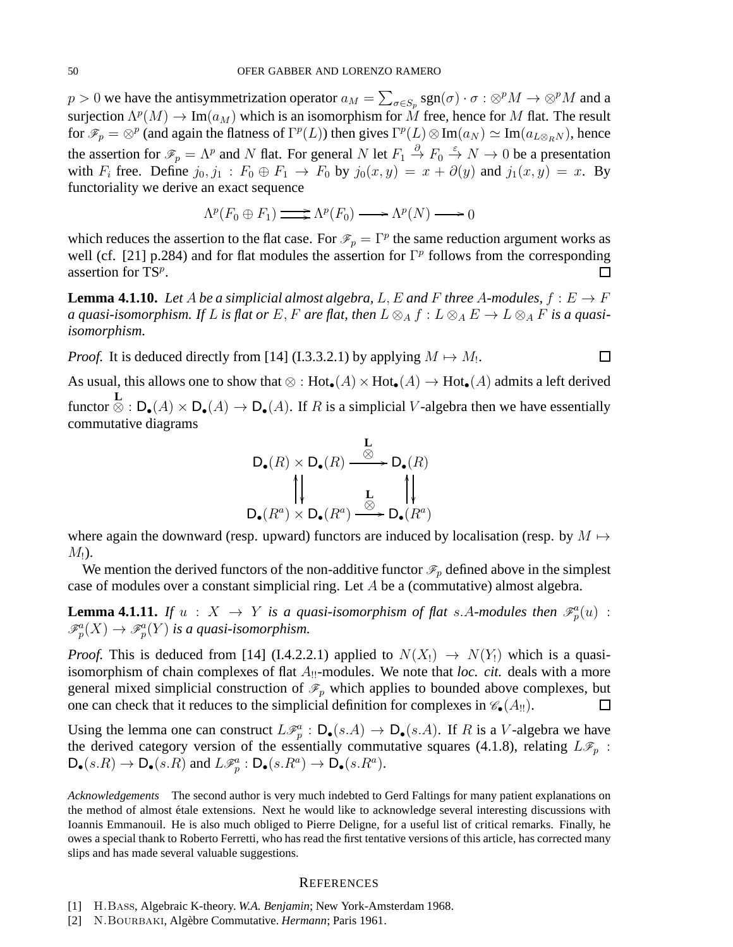$p > 0$  we have the antisymmetrization operator  $a_M = \sum_{\sigma \in S_p} sgn(\sigma) \cdot \sigma : \otimes^p M \to \otimes^p M$  and a surjection  $\Lambda^p(M)\to{\rm Im}(a_M)$  which is an isomorphism for  $\dot M$  free, hence for  $M$  flat. The result for  $\mathscr{F}_p = \otimes^p$  (and again the flatness of  $\Gamma^p(L)$ ) then gives  $\Gamma^p(L) \otimes \text{Im}(a_N) \simeq \text{Im}(a_{L \otimes_R N})$ , hence the assertion for  $\mathscr{F}_p = \Lambda^p$  and N flat. For general N let  $F_1 \stackrel{\partial}{\to} F_0 \stackrel{\varepsilon}{\to} N \to 0$  be a presentation with  $F_i$  free. Define  $j_0, j_1 : F_0 \oplus F_1 \rightarrow F_0$  by  $j_0(x, y) = x + \partial(y)$  and  $j_1(x, y) = x$ . By functoriality we derive an exact sequence

$$
\Lambda^p(F_0 \oplus F_1) \longrightarrow \Lambda^p(F_0) \longrightarrow \Lambda^p(N) \longrightarrow 0
$$

which reduces the assertion to the flat case. For  $\mathcal{F}_p = \Gamma^p$  the same reduction argument works as well (cf. [21] p.284) and for flat modules the assertion for  $\Gamma^p$  follows from the corresponding assertion for  $TS<sup>p</sup>$ .  $\Box$ 

**Lemma 4.1.10.** Let A be a simplicial almost algebra, L, E and F three A-modules,  $f : E \to F$ *a quasi-isomorphism. If* L *is flat or* E, F *are flat, then*  $L \otimes_A f : L \otimes_A E \to L \otimes_A F$  *is a quasiisomorphism.*

*Proof.* It is deduced directly from [14] (I.3.3.2.1) by applying  $M \mapsto M_1$ .  $\Box$ 

As usual, this allows one to show that  $\otimes$  : Hot<sub>•</sub>(A)  $\times$  Hot<sub>•</sub>(A)  $\rightarrow$  Hot<sub>•</sub>(A) admits a left derived functor  $\otimes$  :  $D_{\bullet}(A) \times D_{\bullet}(A) \to D_{\bullet}(A)$ . If R is a simplicial V-algebra then we have essentially commutative diagrams

$$
D_{\bullet}(R) \times D_{\bullet}(R) \xrightarrow{\mathbf{L}} D_{\bullet}(R)
$$
  
\n
$$
\uparrow \qquad \qquad \downarrow \qquad \qquad \downarrow
$$
  
\n
$$
D_{\bullet}(R^a) \times D_{\bullet}(R^a) \xrightarrow{\otimes} D_{\bullet}(R^a)
$$

where again the downward (resp. upward) functors are induced by localisation (resp. by  $M \mapsto$  $M_{\rm}$ ).

We mention the derived functors of the non-additive functor  $\mathcal{F}_p$  defined above in the simplest case of modules over a constant simplicial ring. Let A be a (commutative) almost algebra.

**Lemma 4.1.11.** If  $u : X \to Y$  is a quasi-isomorphism of flat s.A-modules then  $\mathscr{F}_p^a(u)$  :  $\mathscr{F}_{p}^{a}(X) \to \mathscr{F}_{p}^{a}(Y)$  is a quasi-isomorphism.

*Proof.* This is deduced from [14] (I.4.2.2.1) applied to  $N(X_1) \rightarrow N(Y_1)$  which is a quasiisomorphism of chain complexes of flat  $A_{\parallel}$ -modules. We note that *loc. cit.* deals with a more general mixed simplicial construction of  $\mathcal{F}_p$  which applies to bounded above complexes, but one can check that it reduces to the simplicial definition for complexes in  $\mathscr{C}_\bullet(A_{!!})$ .  $\Box$ 

Using the lemma one can construct  $L\mathcal{F}_p^a$ :  $\mathsf{D}_\bullet(s.A) \to \mathsf{D}_\bullet(s.A)$ . If R is a V-algebra we have the derived category version of the essentially commutative squares (4.1.8), relating  $L\mathcal{F}_p$ :  $\mathsf{D}_{\bullet}(s.R) \to \mathsf{D}_{\bullet}(s.R)$  and  $L\mathscr{F}_{p}^{a} : \mathsf{D}_{\bullet}(s.R^{a}) \to \mathsf{D}_{\bullet}(s.R^{a}).$ 

*Acknowledgements* The second author is very much indebted to Gerd Faltings for many patient explanations on the method of almost étale extensions. Next he would like to acknowledge several interesting discussions with Ioannis Emmanouil. He is also much obliged to Pierre Deligne, for a useful list of critical remarks. Finally, he owes a special thank to Roberto Ferretti, who has read the first tentative versions of this article, has corrected many slips and has made several valuable suggestions.

#### **REFERENCES**

- [1] H.Bass, Algebraic K-theory. *W.A. Benjamin*; New York-Amsterdam 1968.
- [2] N.BOURBAKI, Algèbre Commutative. *Hermann*; Paris 1961.